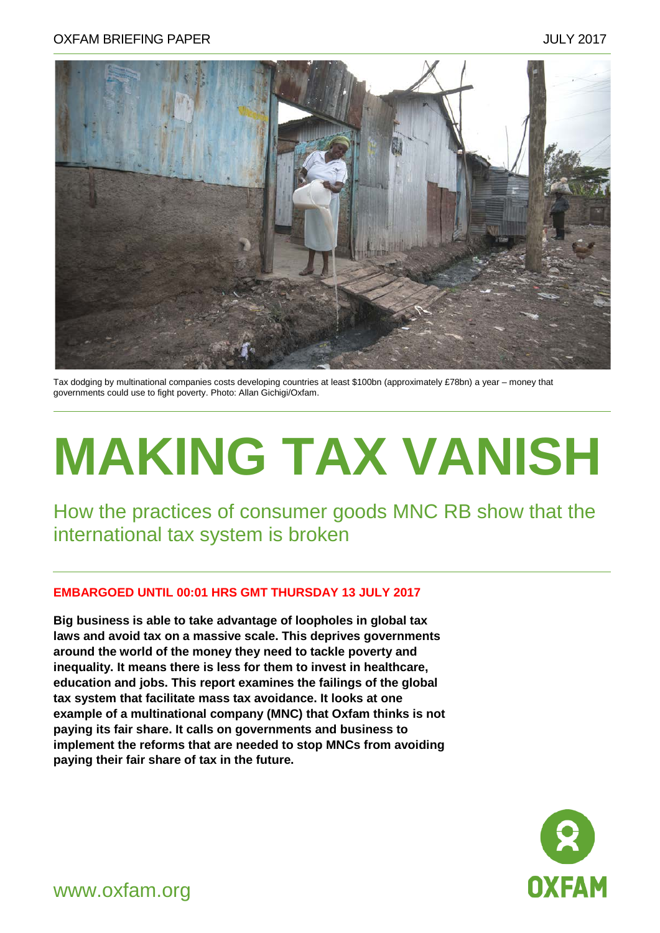

Tax dodging by multinational companies costs developing countries at least \$100bn (approximately £78bn) a year – money that governments could use to fight poverty. Photo: Allan Gichigi/Oxfam.

# **MAKING TAX VANISH**

How the practices of consumer goods MNC RB show that the international tax system is broken

#### **EMBARGOED UNTIL 00:01 HRS GMT THURSDAY 13 JULY 2017**

**Big business is able to take advantage of loopholes in global tax laws and avoid tax on a massive scale. This deprives governments around the world of the money they need to tackle poverty and inequality. It means there is less for them to invest in healthcare, education and jobs. This report examines the failings of the global tax system that facilitate mass tax avoidance. It looks at one example of a multinational company (MNC) that Oxfam thinks is not paying its fair share. It calls on governments and business to implement the reforms that are needed to stop MNCs from avoiding paying their fair share of tax in the future.** 



www.oxfam.org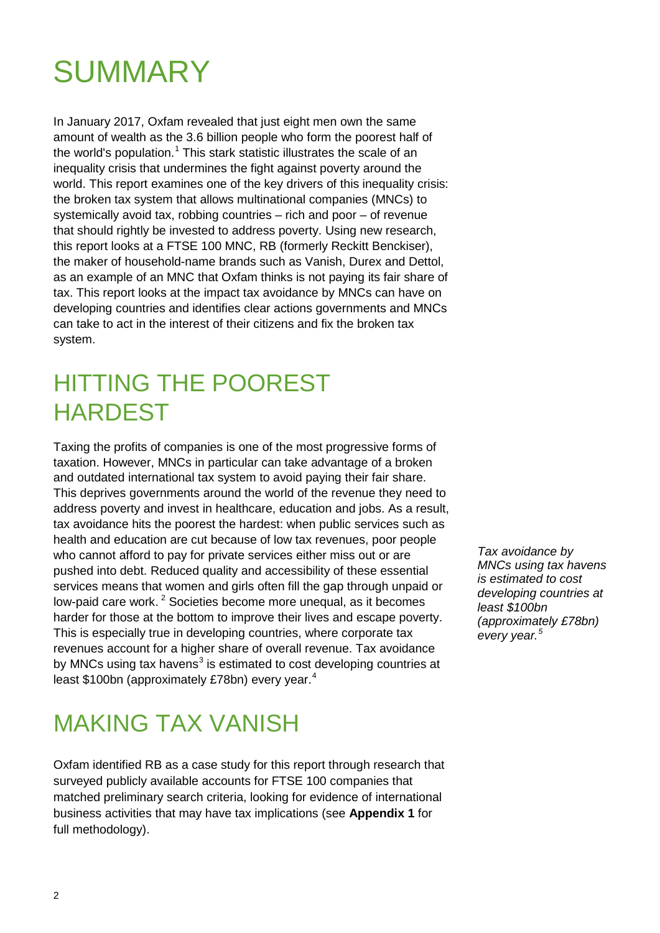# SUMMARY

In January 2017, Oxfam revealed that just eight men own the same amount of wealth as the 3.6 billion people who form the poorest half of the world's population.<sup>[1](#page-44-0)</sup> This stark statistic illustrates the scale of an inequality crisis that undermines the fight against poverty around the world. This report examines one of the key drivers of this inequality crisis: the broken tax system that allows multinational companies (MNCs) to systemically avoid tax, robbing countries – rich and poor – of revenue that should rightly be invested to address poverty. Using new research, this report looks at a FTSE 100 MNC, RB (formerly Reckitt Benckiser), the maker of household-name brands such as Vanish, Durex and Dettol, as an example of an MNC that Oxfam thinks is not paying its fair share of tax. This report looks at the impact tax avoidance by MNCs can have on developing countries and identifies clear actions governments and MNCs can take to act in the interest of their citizens and fix the broken tax system.

### HITTING THE POOREST HARDEST

Taxing the profits of companies is one of the most progressive forms of taxation. However, MNCs in particular can take advantage of a broken and outdated international tax system to avoid paying their fair share. This deprives governments around the world of the revenue they need to address poverty and invest in healthcare, education and jobs. As a result, tax avoidance hits the poorest the hardest: when public services such as health and education are cut because of low tax revenues, poor people who cannot afford to pay for private services either miss out or are pushed into debt. Reduced quality and accessibility of these essential services means that women and girls often fill the gap through unpaid or low-paid care work.<sup>[2](#page-44-1)</sup> Societies become more unequal, as it becomes harder for those at the bottom to improve their lives and escape poverty. This is especially true in developing countries, where corporate tax revenues account for a higher share of overall revenue. Tax avoidance by MNCs using tax havens<sup>[3](#page-44-2)</sup> is estimated to cost developing countries at least \$100bn (approximately £78bn) every year.<sup>[4](#page-44-3)</sup>

*Tax avoidance by MNCs using tax havens is estimated to cost developing countries at least \$100bn (approximately £78bn) every year.<sup>5</sup>*

### MAKING TAX VANISH

Oxfam identified RB as a case study for this report through research that surveyed publicly available accounts for FTSE 100 companies that matched preliminary search criteria, looking for evidence of international business activities that may have tax implications (see **Appendix 1** for full methodology).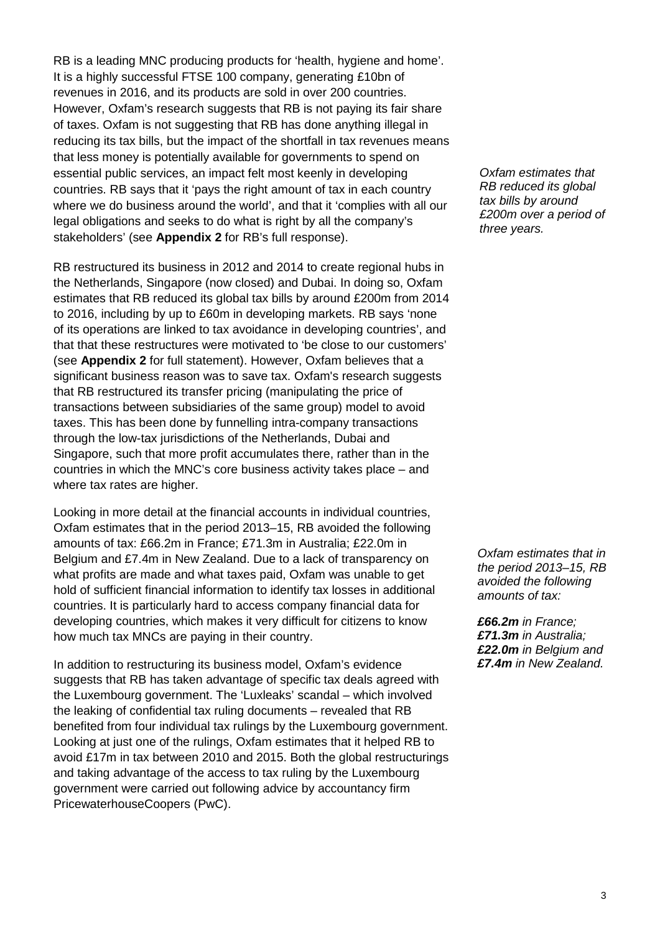RB is a leading MNC producing products for 'health, hygiene and home'. It is a highly successful FTSE 100 company, generating £10bn of revenues in 2016, and its products are sold in over 200 countries. However, Oxfam's research suggests that RB is not paying its fair share of taxes. Oxfam is not suggesting that RB has done anything illegal in reducing its tax bills, but the impact of the shortfall in tax revenues means that less money is potentially available for governments to spend on essential public services, an impact felt most keenly in developing countries. RB says that it 'pays the right amount of tax in each country where we do business around the world', and that it 'complies with all our legal obligations and seeks to do what is right by all the company's stakeholders' (see **Appendix 2** for RB's full response).

RB restructured its business in 2012 and 2014 to create regional hubs in the Netherlands, Singapore (now closed) and Dubai. In doing so, Oxfam estimates that RB reduced its global tax bills by around £200m from 2014 to 2016, including by up to £60m in developing markets. RB says 'none of its operations are linked to tax avoidance in developing countries', and that that these restructures were motivated to 'be close to our customers' (see **Appendix 2** for full statement). However, Oxfam believes that a significant business reason was to save tax. Oxfam's research suggests that RB restructured its transfer pricing (manipulating the price of transactions between subsidiaries of the same group) model to avoid taxes. This has been done by funnelling intra-company transactions through the low-tax jurisdictions of the Netherlands, Dubai and Singapore, such that more profit accumulates there, rather than in the countries in which the MNC's core business activity takes place – and where tax rates are higher.

Looking in more detail at the financial accounts in individual countries, Oxfam estimates that in the period 2013–15, RB avoided the following amounts of tax: £66.2m in France; £71.3m in Australia; £22.0m in Belgium and £7.4m in New Zealand. Due to a lack of transparency on what profits are made and what taxes paid, Oxfam was unable to get hold of sufficient financial information to identify tax losses in additional countries. It is particularly hard to access company financial data for developing countries, which makes it very difficult for citizens to know how much tax MNCs are paying in their country.

In addition to restructuring its business model, Oxfam's evidence suggests that RB has taken advantage of specific tax deals agreed with the Luxembourg government. The 'Luxleaks' scandal – which involved the leaking of confidential tax ruling documents – revealed that RB benefited from four individual tax rulings by the Luxembourg government. Looking at just one of the rulings, Oxfam estimates that it helped RB to avoid £17m in tax between 2010 and 2015. Both the global restructurings and taking advantage of the access to tax ruling by the Luxembourg government were carried out following advice by accountancy firm PricewaterhouseCoopers (PwC).

*Oxfam estimates that RB reduced its global tax bills by around £200m over a period of three years.*

*Oxfam estimates that in the period 2013–15, RB avoided the following amounts of tax:* 

*£66.2m in France; £71.3m in Australia; £22.0m in Belgium and £7.4m in New Zealand.*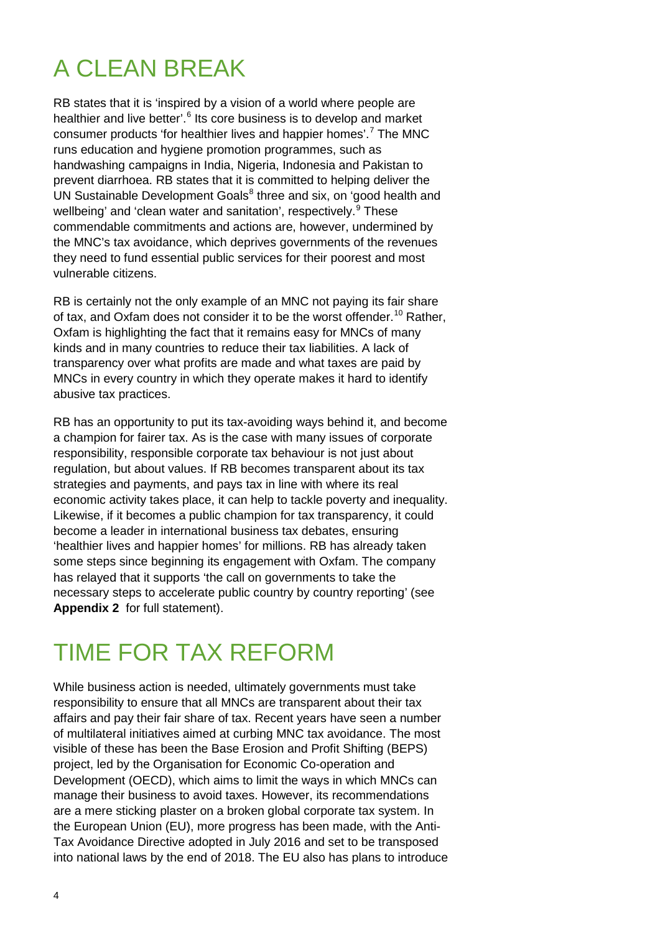### A CLEAN BREAK

RB states that it is 'inspired by a vision of a world where people are healthier and live better'.<sup>[6](#page-44-4)</sup> Its core business is to develop and market consumer products 'for healthier lives and happier homes'.[7](#page-44-5) The MNC runs education and hygiene promotion programmes, such as handwashing campaigns in India, Nigeria, Indonesia and Pakistan to prevent diarrhoea. RB states that it is committed to helping deliver the UN Sustainable Development Goals<sup>[8](#page-44-6)</sup> three and six, on 'good health and wellbeing' and 'clean water and sanitation', respectively.<sup>[9](#page-44-7)</sup> These commendable commitments and actions are, however, undermined by the MNC's tax avoidance, which deprives governments of the revenues they need to fund essential public services for their poorest and most vulnerable citizens.

RB is certainly not the only example of an MNC not paying its fair share of tax, and Oxfam does not consider it to be the worst offender.<sup>[10](#page-44-8)</sup> Rather, Oxfam is highlighting the fact that it remains easy for MNCs of many kinds and in many countries to reduce their tax liabilities. A lack of transparency over what profits are made and what taxes are paid by MNCs in every country in which they operate makes it hard to identify abusive tax practices.

RB has an opportunity to put its tax-avoiding ways behind it, and become a champion for fairer tax. As is the case with many issues of corporate responsibility, responsible corporate tax behaviour is not just about regulation, but about values. If RB becomes transparent about its tax strategies and payments, and pays tax in line with where its real economic activity takes place, it can help to tackle poverty and inequality. Likewise, if it becomes a public champion for tax transparency, it could become a leader in international business tax debates, ensuring 'healthier lives and happier homes' for millions. RB has already taken some steps since beginning its engagement with Oxfam. The company has relayed that it supports 'the call on governments to take the necessary steps to accelerate public country by country reporting' (see **Appendix 2** for full statement).

### TIME FOR TAX REFORM

While business action is needed, ultimately governments must take responsibility to ensure that all MNCs are transparent about their tax affairs and pay their fair share of tax. Recent years have seen a number of multilateral initiatives aimed at curbing MNC tax avoidance. The most visible of these has been the Base Erosion and Profit Shifting (BEPS) project, led by the Organisation for Economic Co-operation and Development (OECD), which aims to limit the ways in which MNCs can manage their business to avoid taxes. However, its recommendations are a mere sticking plaster on a broken global corporate tax system. In the European Union (EU), more progress has been made, with the Anti-Tax Avoidance Directive adopted in July 2016 and set to be transposed into national laws by the end of 2018. The EU also has plans to introduce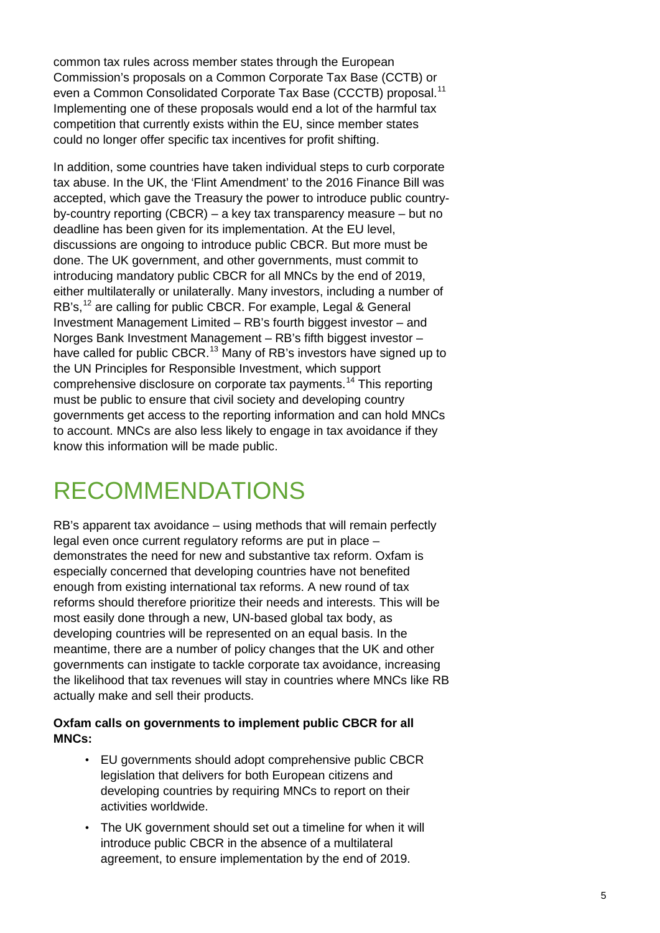common tax rules across member states through the European Commission's proposals on a Common Corporate Tax Base (CCTB) or even a Common Consolidated Corporate Tax Base (CCCTB) proposal.<sup>[11](#page-44-9)</sup> Implementing one of these proposals would end a lot of the harmful tax competition that currently exists within the EU, since member states could no longer offer specific tax incentives for profit shifting.

In addition, some countries have taken individual steps to curb corporate tax abuse. In the UK, the 'Flint Amendment' to the 2016 Finance Bill was accepted, which gave the Treasury the power to introduce public countryby-country reporting (CBCR) – a key tax transparency measure – but no deadline has been given for its implementation. At the EU level, discussions are ongoing to introduce public CBCR. But more must be done. The UK government, and other governments, must commit to introducing mandatory public CBCR for all MNCs by the end of 2019, either multilaterally or unilaterally. Many investors, including a number of RB's,<sup>[12](#page-44-10)</sup> are calling for public CBCR. For example, Legal & General Investment Management Limited – RB's fourth biggest investor – and Norges Bank Investment Management – RB's fifth biggest investor – have called for public CBCR.<sup>[13](#page-44-11)</sup> Many of RB's investors have signed up to the UN Principles for Responsible Investment, which support comprehensive disclosure on corporate tax payments.[14](#page-44-12) This reporting must be public to ensure that civil society and developing country governments get access to the reporting information and can hold MNCs to account. MNCs are also less likely to engage in tax avoidance if they know this information will be made public.

### RECOMMENDATIONS

RB's apparent tax avoidance – using methods that will remain perfectly legal even once current regulatory reforms are put in place – demonstrates the need for new and substantive tax reform. Oxfam is especially concerned that developing countries have not benefited enough from existing international tax reforms. A new round of tax reforms should therefore prioritize their needs and interests. This will be most easily done through a new, UN-based global tax body, as developing countries will be represented on an equal basis. In the meantime, there are a number of policy changes that the UK and other governments can instigate to tackle corporate tax avoidance, increasing the likelihood that tax revenues will stay in countries where MNCs like RB actually make and sell their products.

#### **Oxfam calls on governments to implement public CBCR for all MNCs:**

- EU governments should adopt comprehensive public CBCR legislation that delivers for both European citizens and developing countries by requiring MNCs to report on their activities worldwide.
- The UK government should set out a timeline for when it will introduce public CBCR in the absence of a multilateral agreement, to ensure implementation by the end of 2019.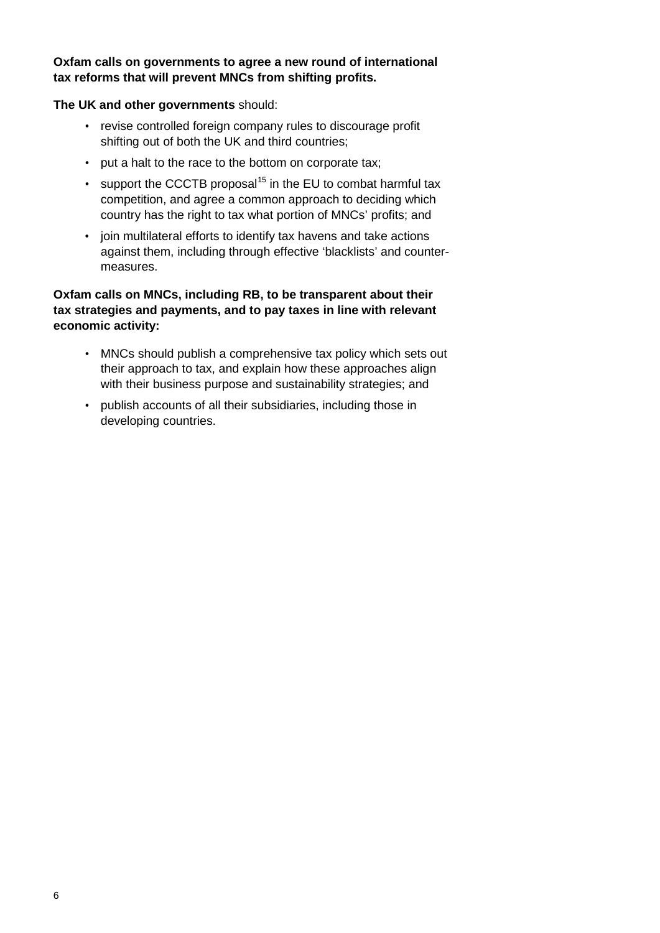#### **Oxfam calls on governments to agree a new round of international tax reforms that will prevent MNCs from shifting profits.**

#### **The UK and other governments** should:

- revise controlled foreign company rules to discourage profit shifting out of both the UK and third countries;
- put a halt to the race to the bottom on corporate tax;
- support the CCCTB proposal<sup>[15](#page-44-13)</sup> in the EU to combat harmful tax competition, and agree a common approach to deciding which country has the right to tax what portion of MNCs' profits; and
- join multilateral efforts to identify tax havens and take actions against them, including through effective 'blacklists' and countermeasures.

#### **Oxfam calls on MNCs, including RB, to be transparent about their tax strategies and payments, and to pay taxes in line with relevant economic activity:**

- MNCs should publish a comprehensive tax policy which sets out their approach to tax, and explain how these approaches align with their business purpose and sustainability strategies; and
- publish accounts of all their subsidiaries, including those in developing countries.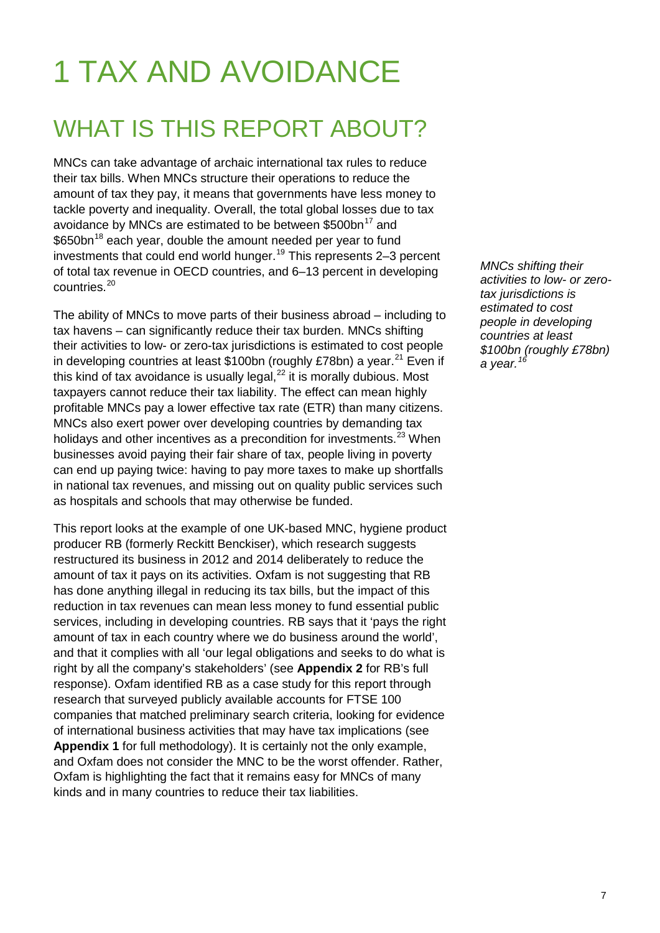# 1 TAX AND AVOIDANCE

### WHAT IS THIS REPORT ABOUT?

MNCs can take advantage of archaic international tax rules to reduce their tax bills. When MNCs structure their operations to reduce the amount of tax they pay, it means that governments have less money to tackle poverty and inequality. Overall, the total global losses due to tax avoidance by MNCs are estimated to be between \$500bn<sup>[17](#page-44-14)</sup> and \$650bn<sup>[18](#page-44-15)</sup> each year, double the amount needed per year to fund investments that could end world hunger.<sup>[19](#page-44-16)</sup> This represents 2–3 percent of total tax revenue in OECD countries, and 6–13 percent in developing countries. [20](#page-45-0)

The ability of MNCs to move parts of their business abroad – including to tax havens – can significantly reduce their tax burden. MNCs shifting their activities to low- or zero-tax jurisdictions is estimated to cost people in developing countries at least  $$100bn$  (roughly £78bn) a year.<sup>[21](#page-45-1)</sup> Even if this kind of tax avoidance is usually legal, $^{22}$  $^{22}$  $^{22}$  it is morally dubious. Most taxpayers cannot reduce their tax liability. The effect can mean highly profitable MNCs pay a lower effective tax rate (ETR) than many citizens. MNCs also exert power over developing countries by demanding tax holidays and other incentives as a precondition for investments.<sup>[23](#page-45-3)</sup> When businesses avoid paying their fair share of tax, people living in poverty can end up paying twice: having to pay more taxes to make up shortfalls in national tax revenues, and missing out on quality public services such as hospitals and schools that may otherwise be funded.

This report looks at the example of one UK-based MNC, hygiene product producer RB (formerly Reckitt Benckiser), which research suggests restructured its business in 2012 and 2014 deliberately to reduce the amount of tax it pays on its activities. Oxfam is not suggesting that RB has done anything illegal in reducing its tax bills, but the impact of this reduction in tax revenues can mean less money to fund essential public services, including in developing countries. RB says that it 'pays the right amount of tax in each country where we do business around the world', and that it complies with all 'our legal obligations and seeks to do what is right by all the company's stakeholders' (see **Appendix 2** for RB's full response). Oxfam identified RB as a case study for this report through research that surveyed publicly available accounts for FTSE 100 companies that matched preliminary search criteria, looking for evidence of international business activities that may have tax implications (see **Appendix 1** for full methodology). It is certainly not the only example, and Oxfam does not consider the MNC to be the worst offender. Rather, Oxfam is highlighting the fact that it remains easy for MNCs of many kinds and in many countries to reduce their tax liabilities.

*MNCs shifting their activities to low- or zerotax jurisdictions is estimated to cost people in developing countries at least \$100bn (roughly £78bn) a year.[16](#page-44-17)*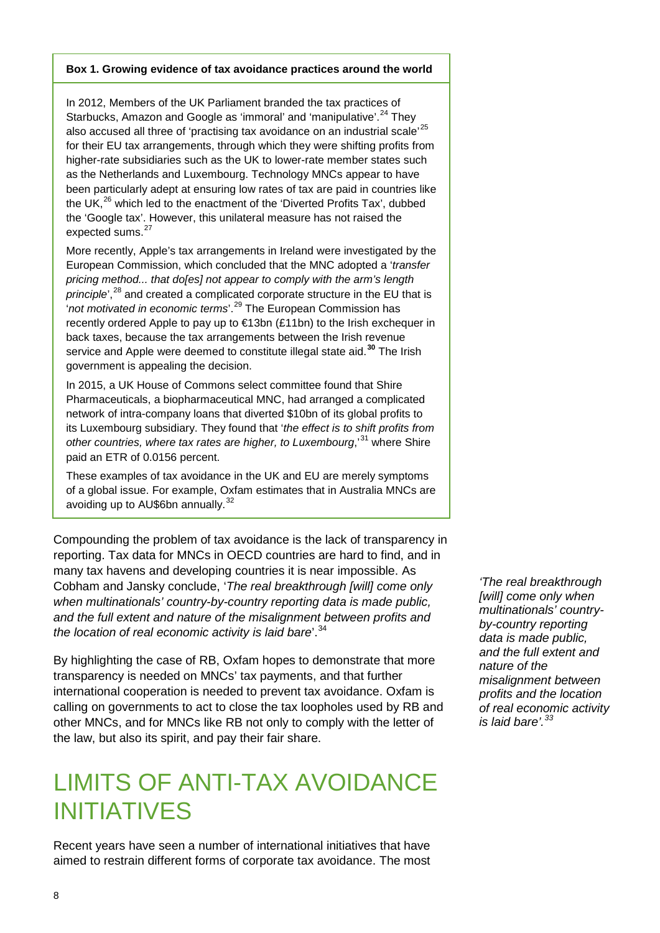#### **Box 1. Growing evidence of tax avoidance practices around the world**

In 2012, Members of the UK Parliament branded the tax practices of Starbucks, Amazon and Google as 'immoral' and 'manipulative'.<sup>[24](#page-45-4)</sup> They also accused all three of 'practising tax avoidance on an industrial scale'<sup>[25](#page-45-5)</sup> for their EU tax arrangements, through which they were shifting profits from higher-rate subsidiaries such as the UK to lower-rate member states such as the Netherlands and Luxembourg. Technology MNCs appear to have been particularly adept at ensuring low rates of tax are paid in countries like the UK,<sup>[26](#page-45-6)</sup> which led to the enactment of the 'Diverted Profits Tax', dubbed the 'Google tax'. However, this unilateral measure has not raised the expected sums.<sup>[27](#page-45-7)</sup>

More recently, Apple's tax arrangements in Ireland were investigated by the European Commission, which concluded that the MNC adopted a '*transfer pricing method... that do[es] not appear to comply with the arm's length principle*',<sup>[28](#page-45-8)</sup> and created a complicated corporate structure in the EU that is '*not motivated in economic terms*'. [29](#page-45-9) The European Commission has recently ordered Apple to pay up to €13bn (£11bn) to the Irish exchequer in back taxes, because the tax arrangements between the Irish revenue service and Apple were deemed to constitute illegal state aid.**[30](#page-45-10)** The Irish government is appealing the decision.

In 2015, a UK House of Commons select committee found that Shire Pharmaceuticals, a biopharmaceutical MNC, had arranged a complicated network of intra-company loans that diverted \$10bn of its global profits to its Luxembourg subsidiary. They found that '*the effect is to shift profits from other countries, where tax rates are higher, to Luxembourg*,'[31](#page-45-11) where Shire paid an ETR of 0.0156 percent.

These examples of tax avoidance in the UK and EU are merely symptoms of a global issue. For example, Oxfam estimates that in Australia MNCs are avoiding up to AU\$6bn annually.<sup>[32](#page-45-12)</sup>

Compounding the problem of tax avoidance is the lack of transparency in reporting. Tax data for MNCs in OECD countries are hard to find, and in many tax havens and developing countries it is near impossible. As Cobham and Jansky conclude, '*The real breakthrough [will] come only when multinationals' country-by-country reporting data is made public, and the full extent and nature of the misalignment between profits and the location of real economic activity is laid bare*'.[34](#page-45-13)

By highlighting the case of RB, Oxfam hopes to demonstrate that more transparency is needed on MNCs' tax payments, and that further international cooperation is needed to prevent tax avoidance. Oxfam is calling on governments to act to close the tax loopholes used by RB and other MNCs, and for MNCs like RB not only to comply with the letter of the law, but also its spirit, and pay their fair share.

### LIMITS OF ANTI-TAX AVOIDANCE INITIATIVES

Recent years have seen a number of international initiatives that have aimed to restrain different forms of corporate tax avoidance. The most

*'The real breakthrough [will] come only when multinationals' countryby-country reporting data is made public, and the full extent and nature of the misalignment between profits and the location of real economic activity is laid bare'.[33](#page-45-14)*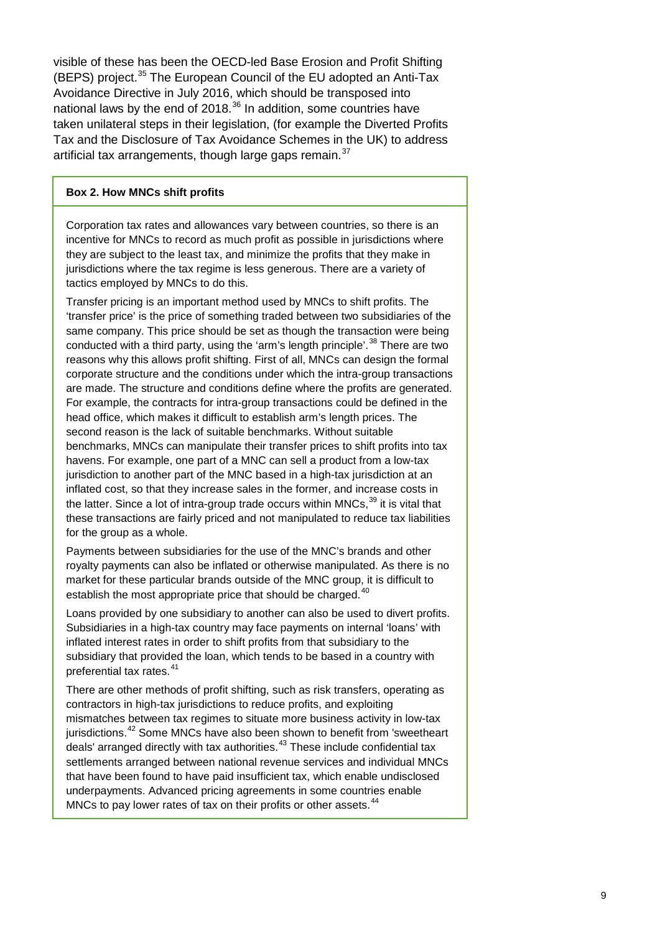visible of these has been the OECD-led Base Erosion and Profit Shifting (BEPS) project.<sup>[35](#page-45-15)</sup> The European Council of the EU adopted an Anti-Tax Avoidance Directive in July 2016, which should be transposed into national laws by the end of 2018.<sup>[36](#page-45-16)</sup> In addition, some countries have taken unilateral steps in their legislation, (for example the Diverted Profits Tax and the Disclosure of Tax Avoidance Schemes in the UK) to address artificial tax arrangements, though large gaps remain.<sup>[37](#page-45-17)</sup>

#### **Box 2. How MNCs shift profits**

Corporation tax rates and allowances vary between countries, so there is an incentive for MNCs to record as much profit as possible in jurisdictions where they are subject to the least tax, and minimize the profits that they make in jurisdictions where the tax regime is less generous. There are a variety of tactics employed by MNCs to do this.

Transfer pricing is an important method used by MNCs to shift profits. The 'transfer price' is the price of something traded between two subsidiaries of the same company. This price should be set as though the transaction were being conducted with a third party, using the 'arm's length principle'.<sup>[38](#page-46-0)</sup> There are two reasons why this allows profit shifting. First of all, MNCs can design the formal corporate structure and the conditions under which the intra-group transactions are made. The structure and conditions define where the profits are generated. For example, the contracts for intra-group transactions could be defined in the head office, which makes it difficult to establish arm's length prices. The second reason is the lack of suitable benchmarks. Without suitable benchmarks, MNCs can manipulate their transfer prices to shift profits into tax havens. For example, one part of a MNC can sell a product from a low-tax jurisdiction to another part of the MNC based in a high-tax jurisdiction at an inflated cost, so that they increase sales in the former, and increase costs in the latter. Since a lot of intra-group trade occurs within MNCs,<sup>[39](#page-46-1)</sup> it is vital that these transactions are fairly priced and not manipulated to reduce tax liabilities for the group as a whole.

Payments between subsidiaries for the use of the MNC's brands and other royalty payments can also be inflated or otherwise manipulated. As there is no market for these particular brands outside of the MNC group, it is difficult to establish the most appropriate price that should be charged.<sup>[40](#page-46-2)</sup>

Loans provided by one subsidiary to another can also be used to divert profits. Subsidiaries in a high-tax country may face payments on internal 'loans' with inflated interest rates in order to shift profits from that subsidiary to the subsidiary that provided the loan, which tends to be based in a country with preferential tax rates.<sup>[41](#page-46-3)</sup>

There are other methods of profit shifting, such as risk transfers, operating as contractors in high-tax jurisdictions to reduce profits, and exploiting mismatches between tax regimes to situate more business activity in low-tax jurisdictions.<sup>[42](#page-46-4)</sup> Some MNCs have also been shown to benefit from 'sweetheart deals' arranged directly with tax authorities.<sup>[43](#page-46-5)</sup> These include confidential tax settlements arranged between national revenue services and individual MNCs that have been found to have paid insufficient tax, which enable undisclosed underpayments. Advanced pricing agreements in some countries enable MNCs to pay lower rates of tax on their profits or other assets.<sup>[44](#page-46-6)</sup>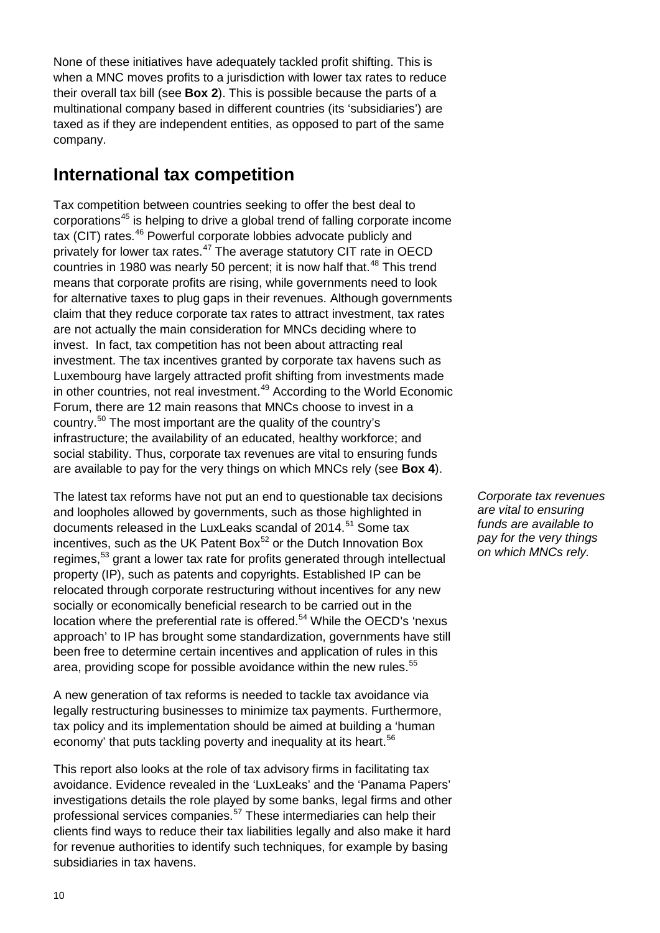None of these initiatives have adequately tackled profit shifting. This is when a MNC moves profits to a jurisdiction with lower tax rates to reduce their overall tax bill (see **Box 2**). This is possible because the parts of a multinational company based in different countries (its 'subsidiaries') are taxed as if they are independent entities, as opposed to part of the same company.

### **International tax competition**

Tax competition between countries seeking to offer the best deal to corporations[45](#page-46-7) is helping to drive a global trend of falling corporate income tax (CIT) rates.<sup>[46](#page-46-8)</sup> Powerful corporate lobbies advocate publicly and privately for lower tax rates.[47](#page-46-9) The average statutory CIT rate in OECD countries in 1980 was nearly 50 percent; it is now half that.<sup>[48](#page-46-10)</sup> This trend means that corporate profits are rising, while governments need to look for alternative taxes to plug gaps in their revenues. Although governments claim that they reduce corporate tax rates to attract investment, tax rates are not actually the main consideration for MNCs deciding where to invest. In fact, tax competition has not been about attracting real investment. The tax incentives granted by corporate tax havens such as Luxembourg have largely attracted profit shifting from investments made in other countries, not real investment.<sup>[49](#page-46-11)</sup> According to the World Economic Forum, there are 12 main reasons that MNCs choose to invest in a country.[50](#page-46-12) The most important are the quality of the country's infrastructure; the availability of an educated, healthy workforce; and social stability. Thus, corporate tax revenues are vital to ensuring funds are available to pay for the very things on which MNCs rely (see **Box 4**).

The latest tax reforms have not put an end to questionable tax decisions and loopholes allowed by governments, such as those highlighted in documents released in the LuxLeaks scandal of 2014.<sup>[51](#page-46-13)</sup> Some tax incentives, such as the UK Patent Box $52$  or the Dutch Innovation Box regimes,<sup>[53](#page-46-15)</sup> grant a lower tax rate for profits generated through intellectual property (IP), such as patents and copyrights. Established IP can be relocated through corporate restructuring without incentives for any new socially or economically beneficial research to be carried out in the location where the preferential rate is offered.<sup>[54](#page-46-16)</sup> While the OECD's 'nexus approach' to IP has brought some standardization, governments have still been free to determine certain incentives and application of rules in this area, providing scope for possible avoidance within the new rules.<sup>[55](#page-46-17)</sup>

A new generation of tax reforms is needed to tackle tax avoidance via legally restructuring businesses to minimize tax payments. Furthermore, tax policy and its implementation should be aimed at building a 'human economy' that puts tackling poverty and inequality at its heart.<sup>[56](#page-47-0)</sup>

This report also looks at the role of tax advisory firms in facilitating tax avoidance. Evidence revealed in the 'LuxLeaks' and the 'Panama Papers' investigations details the role played by some banks, legal firms and other professional services companies.<sup>[57](#page-47-1)</sup> These intermediaries can help their clients find ways to reduce their tax liabilities legally and also make it hard for revenue authorities to identify such techniques, for example by basing subsidiaries in tax havens.

*Corporate tax revenues are vital to ensuring funds are available to pay for the very things on which MNCs rely.*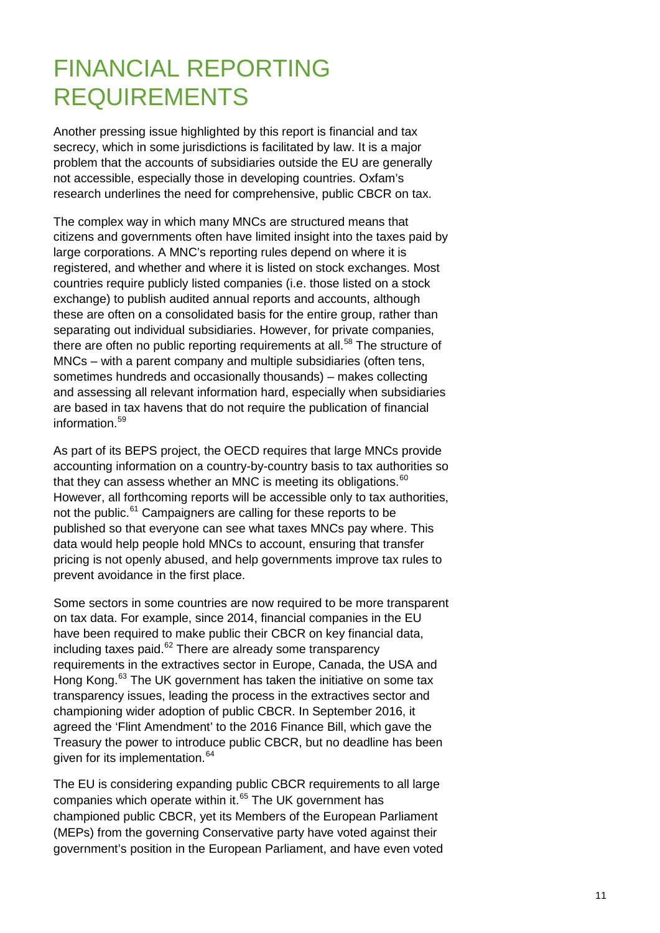### FINANCIAL REPORTING REQUIREMENTS

Another pressing issue highlighted by this report is financial and tax secrecy, which in some jurisdictions is facilitated by law. It is a major problem that the accounts of subsidiaries outside the EU are generally not accessible, especially those in developing countries. Oxfam's research underlines the need for comprehensive, public CBCR on tax.

The complex way in which many MNCs are structured means that citizens and governments often have limited insight into the taxes paid by large corporations. A MNC's reporting rules depend on where it is registered, and whether and where it is listed on stock exchanges. Most countries require publicly listed companies (i.e. those listed on a stock exchange) to publish audited annual reports and accounts, although these are often on a consolidated basis for the entire group, rather than separating out individual subsidiaries. However, for private companies, there are often no public reporting requirements at all.<sup>[58](#page-47-2)</sup> The structure of MNCs – with a parent company and multiple subsidiaries (often tens, sometimes hundreds and occasionally thousands) – makes collecting and assessing all relevant information hard, especially when subsidiaries are based in tax havens that do not require the publication of financial information $59$ 

As part of its BEPS project, the OECD requires that large MNCs provide accounting information on a country-by-country basis to tax authorities so that they can assess whether an MNC is meeting its obligations.  $^{60}$  $^{60}$  $^{60}$ However, all forthcoming reports will be accessible only to tax authorities, not the public.<sup>[61](#page-47-5)</sup> Campaigners are calling for these reports to be published so that everyone can see what taxes MNCs pay where. This data would help people hold MNCs to account, ensuring that transfer pricing is not openly abused, and help governments improve tax rules to prevent avoidance in the first place.

Some sectors in some countries are now required to be more transparent on tax data. For example, since 2014, financial companies in the EU have been required to make public their CBCR on key financial data, including taxes paid. $62$  There are already some transparency requirements in the extractives sector in Europe, Canada, the USA and Hong Kong.<sup>[63](#page-47-7)</sup> The UK government has taken the initiative on some tax transparency issues, leading the process in the extractives sector and championing wider adoption of public CBCR. In September 2016, it agreed the 'Flint Amendment' to the 2016 Finance Bill, which gave the Treasury the power to introduce public CBCR, but no deadline has been given for its implementation.<sup>[64](#page-47-8)</sup>

The EU is considering expanding public CBCR requirements to all large companies which operate within it.<sup>[65](#page-47-9)</sup> The UK government has championed public CBCR, yet its Members of the European Parliament (MEPs) from the governing Conservative party have voted against their government's position in the European Parliament, and have even voted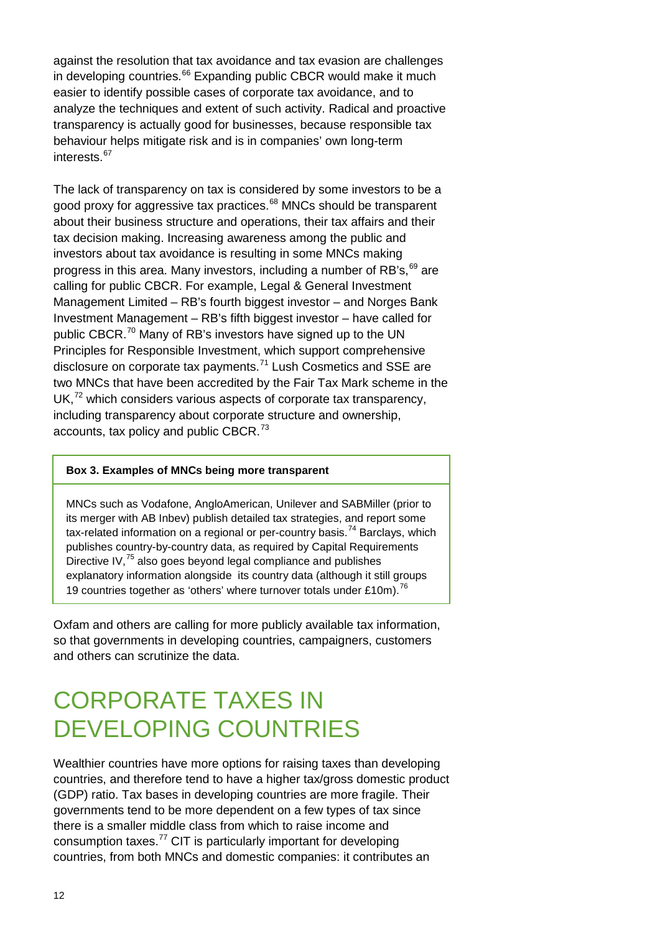against the resolution that tax avoidance and tax evasion are challenges in developing countries.<sup>[66](#page-47-10)</sup> Expanding public CBCR would make it much easier to identify possible cases of corporate tax avoidance, and to analyze the techniques and extent of such activity. Radical and proactive transparency is actually good for businesses, because responsible tax behaviour helps mitigate risk and is in companies' own long-term interests [67](#page-47-11)

The lack of transparency on tax is considered by some investors to be a good proxy for aggressive tax practices.<sup>[68](#page-47-12)</sup> MNCs should be transparent about their business structure and operations, their tax affairs and their tax decision making. Increasing awareness among the public and investors about tax avoidance is resulting in some MNCs making progress in this area. Many investors, including a number of RB's, <sup>[69](#page-47-13)</sup> are calling for public CBCR. For example, Legal & General Investment Management Limited – RB's fourth biggest investor – and Norges Bank Investment Management – RB's fifth biggest investor – have called for public CBCR.<sup>[70](#page-48-0)</sup> Many of RB's investors have signed up to the UN Principles for Responsible Investment, which support comprehensive disclosure on corporate tax payments.<sup>[71](#page-48-1)</sup> Lush Cosmetics and SSE are two MNCs that have been accredited by the Fair Tax Mark scheme in the UK, $72$  which considers various aspects of corporate tax transparency, including transparency about corporate structure and ownership, accounts, tax policy and public CBCR.<sup>[73](#page-48-3)</sup>

#### **Box 3. Examples of MNCs being more transparent**

MNCs such as Vodafone, AngloAmerican, Unilever and SABMiller (prior to its merger with AB Inbev) publish detailed tax strategies, and report some tax-related information on a regional or per-country basis.<sup>[74](#page-48-4)</sup> Barclays, which publishes country-by-country data, as required by Capital Requirements Directive IV,<sup>[75](#page-48-5)</sup> also goes beyond legal compliance and publishes explanatory information alongside its country data (although it still groups 19 countries together as 'others' where turnover totals under £10m).<sup>[76](#page-48-6)</sup>

Oxfam and others are calling for more publicly available tax information, so that governments in developing countries, campaigners, customers and others can scrutinize the data.

### CORPORATE TAXES IN DEVELOPING COUNTRIES

Wealthier countries have more options for raising taxes than developing countries, and therefore tend to have a higher tax/gross domestic product (GDP) ratio. Tax bases in developing countries are more fragile. Their governments tend to be more dependent on a few types of tax since there is a smaller middle class from which to raise income and consumption taxes. $^{77}$  $^{77}$  $^{77}$  CIT is particularly important for developing countries, from both MNCs and domestic companies: it contributes an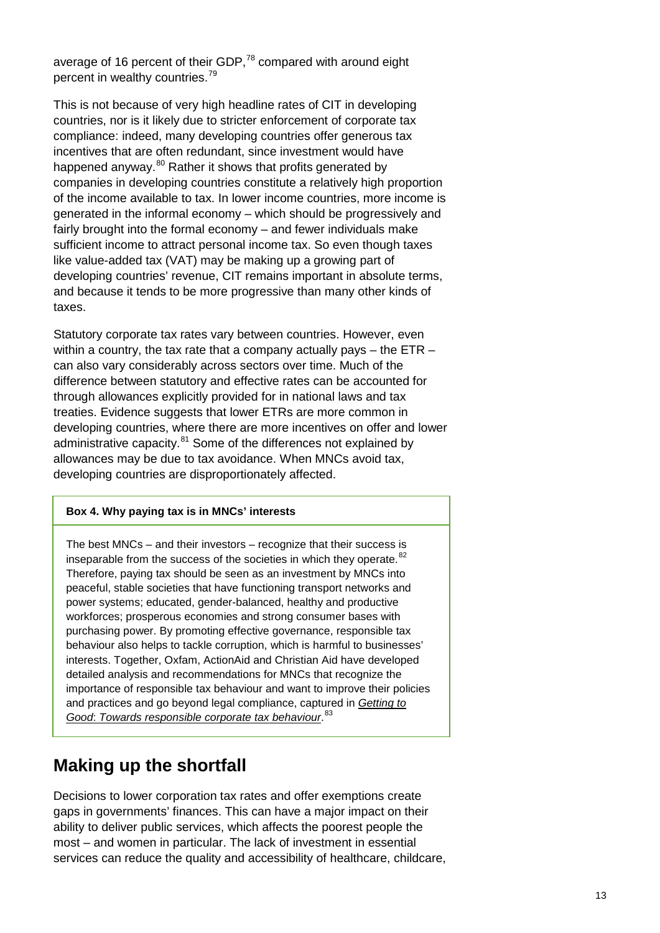average of 16 percent of their GDP,<sup>[78](#page-48-8)</sup> compared with around eight percent in wealthy countries.[79](#page-48-9)

This is not because of very high headline rates of CIT in developing countries, nor is it likely due to stricter enforcement of corporate tax compliance: indeed, many developing countries offer generous tax incentives that are often redundant, since investment would have happened anyway.<sup>[80](#page-48-10)</sup> Rather it shows that profits generated by companies in developing countries constitute a relatively high proportion of the income available to tax. In lower income countries, more income is generated in the informal economy – which should be progressively and fairly brought into the formal economy – and fewer individuals make sufficient income to attract personal income tax. So even though taxes like value-added tax (VAT) may be making up a growing part of developing countries' revenue, CIT remains important in absolute terms, and because it tends to be more progressive than many other kinds of taxes.

Statutory corporate tax rates vary between countries. However, even within a country, the tax rate that a company actually pays – the ETR – can also vary considerably across sectors over time. Much of the difference between statutory and effective rates can be accounted for through allowances explicitly provided for in national laws and tax treaties. Evidence suggests that lower ETRs are more common in developing countries, where there are more incentives on offer and lower administrative capacity.<sup>[81](#page-49-0)</sup> Some of the differences not explained by allowances may be due to tax avoidance. When MNCs avoid tax, developing countries are disproportionately affected.

#### **Box 4. Why paying tax is in MNCs' interests**

The best MNCs – and their investors – recognize that their success is inseparable from the success of the societies in which they operate.<sup>[82](#page-49-1)</sup> Therefore, paying tax should be seen as an investment by MNCs into peaceful, stable societies that have functioning transport networks and power systems; educated, gender-balanced, healthy and productive workforces; prosperous economies and strong consumer bases with purchasing power. By promoting effective governance, responsible tax behaviour also helps to tackle corruption, which is harmful to businesses' interests. Together, Oxfam, ActionAid and Christian Aid have developed detailed analysis and recommendations for MNCs that recognize the importance of responsible tax behaviour and want to improve their policies and practices and go beyond legal compliance, captured in *[Getting to](http://policy-practice.oxfam.org.uk/publications/getting-to-good-towards-responsible-corporate-tax-behaviour-582243)  Good*: *[Towards responsible corporate tax behaviour](http://policy-practice.oxfam.org.uk/publications/getting-to-good-towards-responsible-corporate-tax-behaviour-582243)*. [83](#page-49-2)

### **Making up the shortfall**

Decisions to lower corporation tax rates and offer exemptions create gaps in governments' finances. This can have a major impact on their ability to deliver public services, which affects the poorest people the most – and women in particular. The lack of investment in essential services can reduce the quality and accessibility of healthcare, childcare,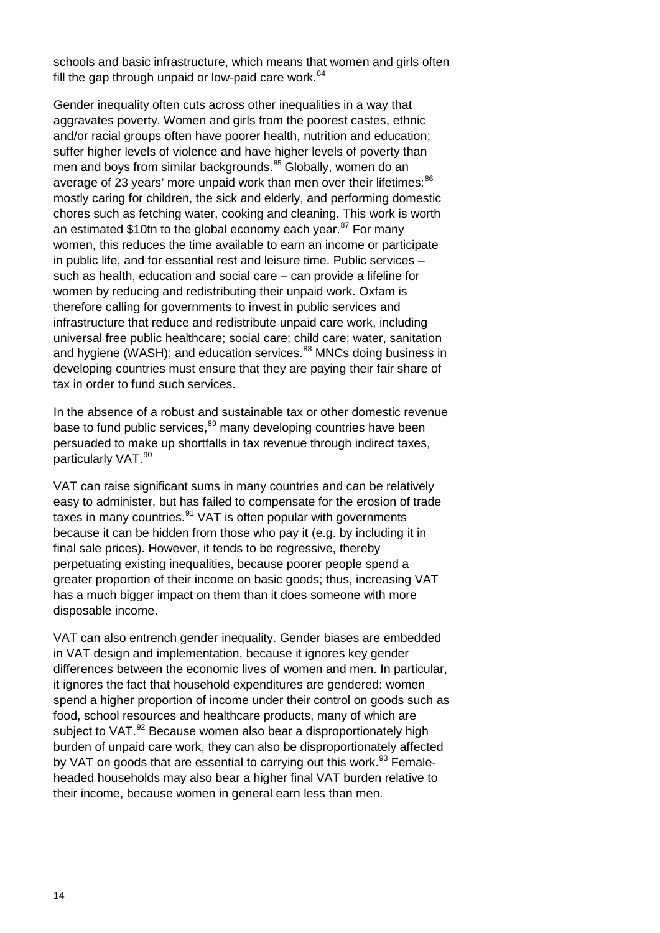schools and basic infrastructure, which means that women and girls often fill the gap through unpaid or low-paid care work.<sup>[84](#page-49-3)</sup>

Gender inequality often cuts across other inequalities in a way that aggravates poverty. Women and girls from the poorest castes, ethnic and/or racial groups often have poorer health, nutrition and education; suffer higher levels of violence and have higher levels of poverty than men and boys from similar backgrounds.<sup>[85](#page-49-4)</sup> Globally, women do an average of 23 years' more unpaid work than men over their lifetimes: [86](#page-49-5) mostly caring for children, the sick and elderly, and performing domestic chores such as fetching water, cooking and cleaning. This work is worth an estimated \$10tn to the global economy each year.<sup>[87](#page-49-6)</sup> For many women, this reduces the time available to earn an income or participate in public life, and for essential rest and leisure time. Public services – such as health, education and social care – can provide a lifeline for women by reducing and redistributing their unpaid work. Oxfam is therefore calling for governments to invest in public services and infrastructure that reduce and redistribute unpaid care work, including universal free public healthcare; social care; child care; water, sanitation and hygiene (WASH); and education services.<sup>[88](#page-49-7)</sup> MNCs doing business in developing countries must ensure that they are paying their fair share of tax in order to fund such services.

In the absence of a robust and sustainable tax or other domestic revenue base to fund public services,<sup>[89](#page-49-8)</sup> many developing countries have been persuaded to make up shortfalls in tax revenue through indirect taxes, particularly VAT. [90](#page-49-9)

VAT can raise significant sums in many countries and can be relatively easy to administer, but has failed to compensate for the erosion of trade taxes in many countries. $91$  VAT is often popular with governments because it can be hidden from those who pay it (e.g. by including it in final sale prices). However, it tends to be regressive, thereby perpetuating existing inequalities, because poorer people spend a greater proportion of their income on basic goods; thus, increasing VAT has a much bigger impact on them than it does someone with more disposable income.

VAT can also entrench gender inequality. Gender biases are embedded in VAT design and implementation, because it ignores key gender differences between the economic lives of women and men. In particular, it ignores the fact that household expenditures are gendered: women spend a higher proportion of income under their control on goods such as food, school resources and healthcare products, many of which are subject to VAT.<sup>[92](#page-49-11)</sup> Because women also bear a disproportionately high burden of unpaid care work, they can also be disproportionately affected by VAT on goods that are essential to carrying out this work.<sup>[93](#page-49-12)</sup> Femaleheaded households may also bear a higher final VAT burden relative to their income, because women in general earn less than men.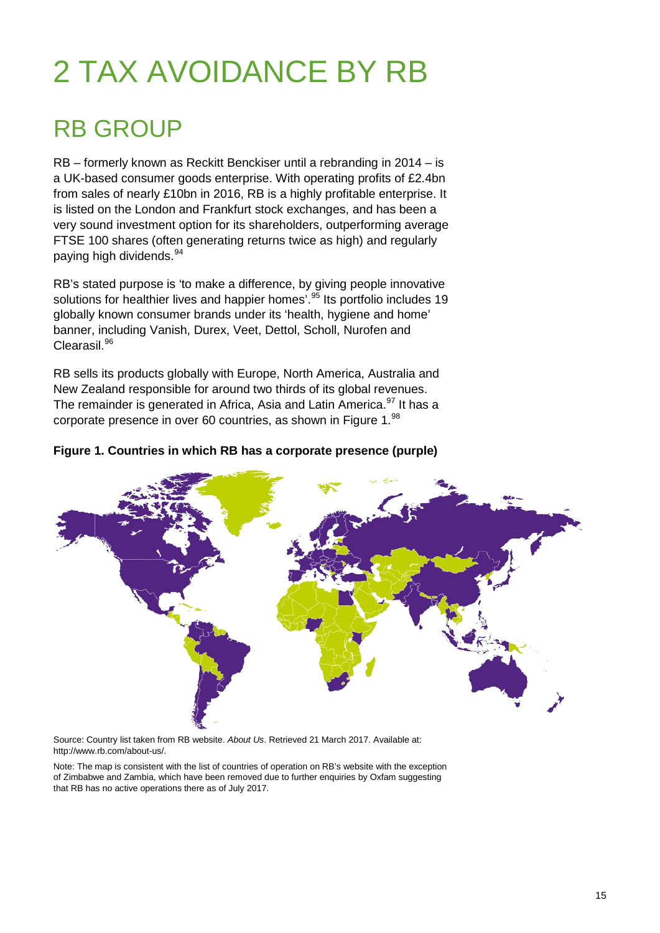# 2 TAX AVOIDANCE BY RB

### RB GROUP

RB – formerly known as Reckitt Benckiser until a rebranding in 2014 – is a UK-based consumer goods enterprise. With operating profits of £2.4bn from sales of nearly £10bn in 2016, RB is a highly profitable enterprise. It is listed on the London and Frankfurt stock exchanges, and has been a very sound investment option for its shareholders, outperforming average FTSE 100 shares (often generating returns twice as high) and regularly paying high dividends.<sup>[94](#page-49-13)</sup>

RB's stated purpose is 'to make a difference, by giving people innovative solutions for healthier lives and happier homes'.<sup>[95](#page-49-14)</sup> Its portfolio includes 19 globally known consumer brands under its 'health, hygiene and home' banner, including Vanish, Durex, Veet, Dettol, Scholl, Nurofen and Clearasil.<sup>[96](#page-49-15)</sup>

RB sells its products globally with Europe, North America, Australia and New Zealand responsible for around two thirds of its global revenues. The remainder is generated in Africa, Asia and Latin America.<sup>[97](#page-49-16)</sup> It has a corporate presence in over 60 countries, as shown in Figure 1.<sup>[98](#page-49-17)</sup>

#### **Figure 1. Countries in which RB has a corporate presence (purple)**



Source: Country list taken from RB website. *About Us*. Retrieved 21 March 2017. Available at: [http://www.rb.com/about-us/.](http://www.rb.com/about-us/)

Note: The map is consistent with the list of countries of operation on RB's website with the exception of Zimbabwe and Zambia, which have been removed due to further enquiries by Oxfam suggesting that RB has no active operations there as of July 2017.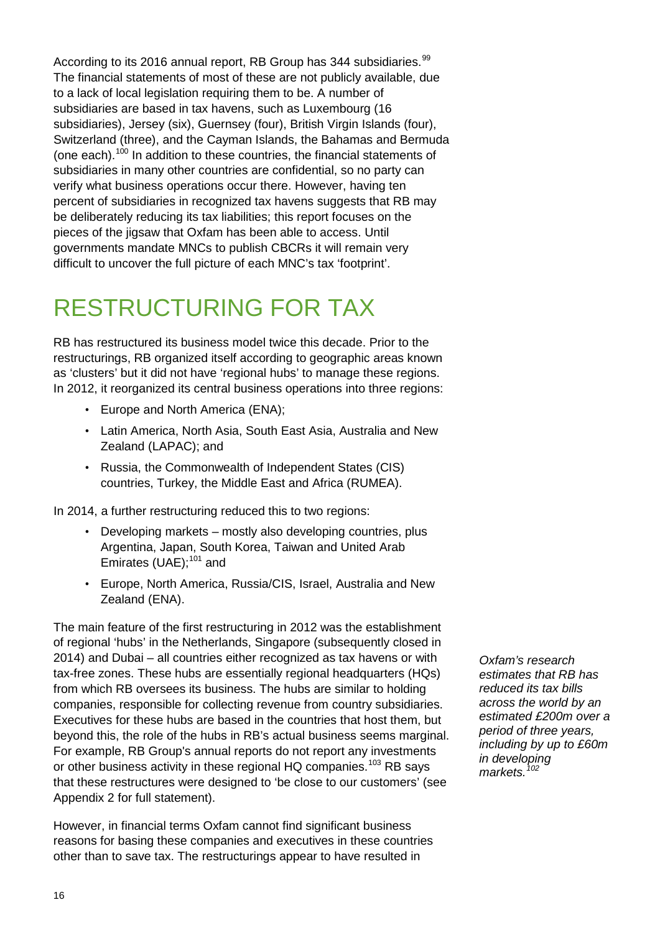According to its 2016 annual report, RB Group has 344 subsidiaries.<sup>[99](#page-49-18)</sup> The financial statements of most of these are not publicly available, due to a lack of local legislation requiring them to be. A number of subsidiaries are based in tax havens, such as Luxembourg (16 subsidiaries), Jersey (six), Guernsey (four), British Virgin Islands (four), Switzerland (three), and the Cayman Islands, the Bahamas and Bermuda (one each).<sup>[100](#page-50-0)</sup> In addition to these countries, the financial statements of subsidiaries in many other countries are confidential, so no party can verify what business operations occur there. However, having ten percent of subsidiaries in recognized tax havens suggests that RB may be deliberately reducing its tax liabilities; this report focuses on the pieces of the jigsaw that Oxfam has been able to access. Until governments mandate MNCs to publish CBCRs it will remain very difficult to uncover the full picture of each MNC's tax 'footprint'.

# RESTRUCTURING FOR TAX

RB has restructured its business model twice this decade. Prior to the restructurings, RB organized itself according to geographic areas known as 'clusters' but it did not have 'regional hubs' to manage these regions. In 2012, it reorganized its central business operations into three regions:

- Europe and North America (ENA);
- Latin America, North Asia, South East Asia, Australia and New Zealand (LAPAC); and
- Russia, the Commonwealth of Independent States (CIS) countries, Turkey, the Middle East and Africa (RUMEA).

In 2014, a further restructuring reduced this to two regions:

- Developing markets mostly also developing countries, plus Argentina, Japan, South Korea, Taiwan and United Arab Emirates (UAE);<sup>[101](#page-50-1)</sup> and
- Europe, North America, Russia/CIS, Israel, Australia and New Zealand (ENA).

The main feature of the first restructuring in 2012 was the establishment of regional 'hubs' in the Netherlands, Singapore (subsequently closed in 2014) and Dubai – all countries either recognized as tax havens or with tax-free zones. These hubs are essentially regional headquarters (HQs) from which RB oversees its business. The hubs are similar to holding companies, responsible for collecting revenue from country subsidiaries. Executives for these hubs are based in the countries that host them, but beyond this, the role of the hubs in RB's actual business seems marginal. For example, RB Group's annual reports do not report any investments or other business activity in these regional HQ companies.<sup>[103](#page-50-2)</sup> RB says that these restructures were designed to 'be close to our customers' (see Appendix 2 for full statement).

However, in financial terms Oxfam cannot find significant business reasons for basing these companies and executives in these countries other than to save tax. The restructurings appear to have resulted in

*Oxfam's research estimates that RB has reduced its tax bills across the world by an estimated £200m over a period of three years, including by up to £60m in developing markets.[102](#page-50-3)*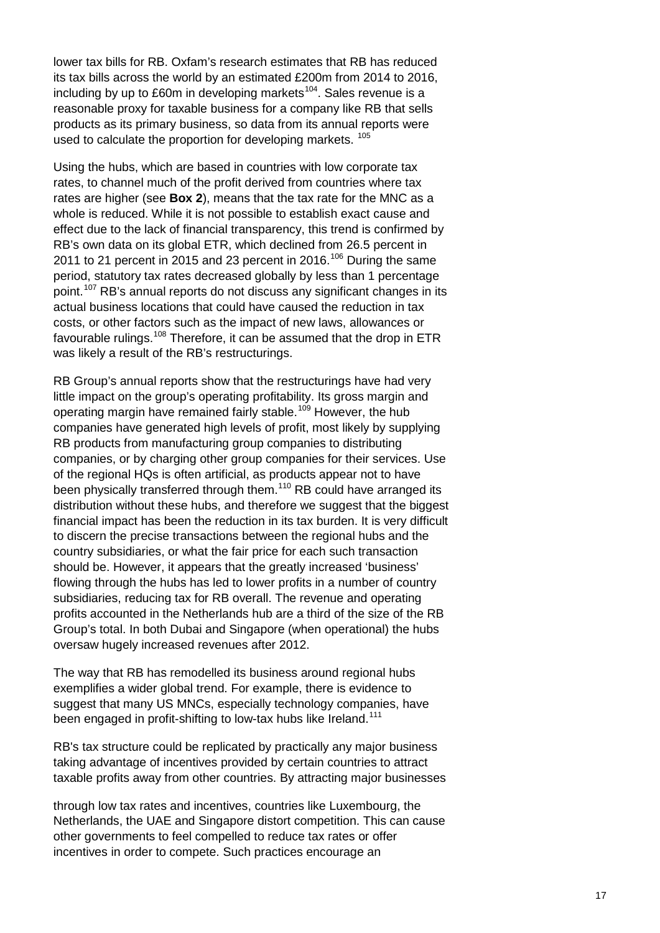lower tax bills for RB. Oxfam's research estimates that RB has reduced its tax bills across the world by an estimated £200m from 2014 to 2016, including by up to £60m in developing markets<sup>104</sup>. Sales revenue is a reasonable proxy for taxable business for a company like RB that sells products as its primary business, so data from its annual reports were used to calculate the proportion for developing markets.<sup>[105](#page-50-5)</sup>

Using the hubs, which are based in countries with low corporate tax rates, to channel much of the profit derived from countries where tax rates are higher (see **Box 2**), means that the tax rate for the MNC as a whole is reduced. While it is not possible to establish exact cause and effect due to the lack of financial transparency, this trend is confirmed by RB's own data on its global ETR, which declined from 26.5 percent in 2011 to 21 percent in 2015 and 23 percent in 2016.<sup>[106](#page-50-6)</sup> During the same period, statutory tax rates decreased globally by less than 1 percentage point.<sup>[107](#page-50-7)</sup> RB's annual reports do not discuss any significant changes in its actual business locations that could have caused the reduction in tax costs, or other factors such as the impact of new laws, allowances or favourable rulings.<sup>[108](#page-50-8)</sup> Therefore, it can be assumed that the drop in ETR was likely a result of the RB's restructurings.

RB Group's annual reports show that the restructurings have had very little impact on the group's operating profitability. Its gross margin and operating margin have remained fairly stable.[109](#page-50-9) However, the hub companies have generated high levels of profit, most likely by supplying RB products from manufacturing group companies to distributing companies, or by charging other group companies for their services. Use of the regional HQs is often artificial, as products appear not to have been physically transferred through them.<sup>[110](#page-50-10)</sup> RB could have arranged its distribution without these hubs, and therefore we suggest that the biggest financial impact has been the reduction in its tax burden. It is very difficult to discern the precise transactions between the regional hubs and the country subsidiaries, or what the fair price for each such transaction should be. However, it appears that the greatly increased 'business' flowing through the hubs has led to lower profits in a number of country subsidiaries, reducing tax for RB overall. The revenue and operating profits accounted in the Netherlands hub are a third of the size of the RB Group's total. In both Dubai and Singapore (when operational) the hubs oversaw hugely increased revenues after 2012.

The way that RB has remodelled its business around regional hubs exemplifies a wider global trend. For example, there is evidence to suggest that many US MNCs, especially technology companies, have been engaged in profit-shifting to low-tax hubs like Ireland.<sup>[111](#page-50-11)</sup>

RB's tax structure could be replicated by practically any major business taking advantage of incentives provided by certain countries to attract taxable profits away from other countries. By attracting major businesses

through low tax rates and incentives, countries like Luxembourg, the Netherlands, the UAE and Singapore distort competition. This can cause other governments to feel compelled to reduce tax rates or offer incentives in order to compete. Such practices encourage an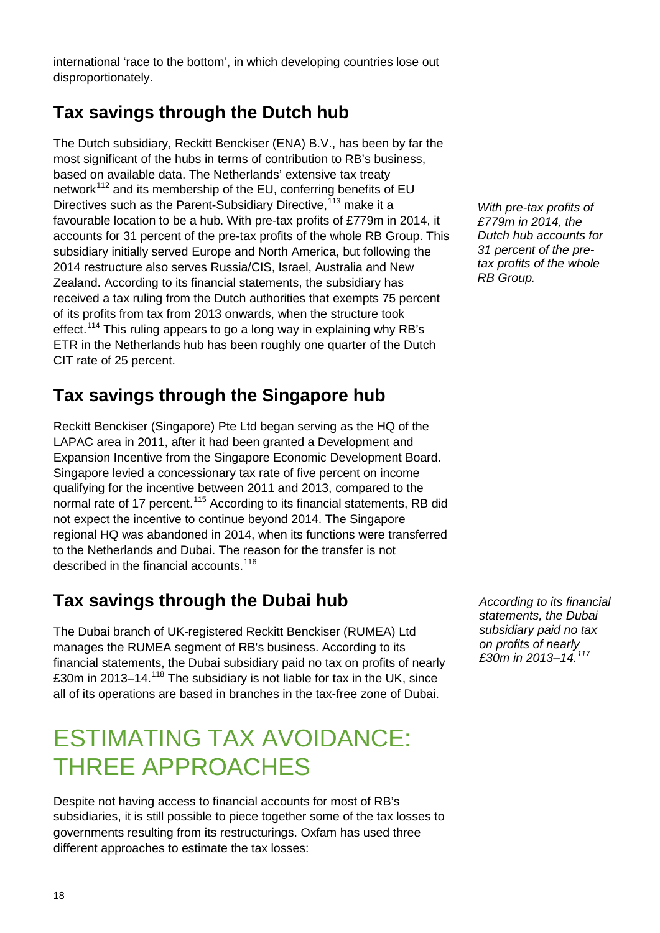international 'race to the bottom', in which developing countries lose out disproportionately.

### **Tax savings through the Dutch hub**

The Dutch subsidiary, Reckitt Benckiser (ENA) B.V., has been by far the most significant of the hubs in terms of contribution to RB's business, based on available data. The Netherlands' extensive tax treaty network<sup>[112](#page-50-12)</sup> and its membership of the EU, conferring benefits of EU Directives such as the Parent-Subsidiary Directive,<sup>[113](#page-50-13)</sup> make it a favourable location to be a hub. With pre-tax profits of £779m in 2014, it accounts for 31 percent of the pre-tax profits of the whole RB Group. This subsidiary initially served Europe and North America, but following the 2014 restructure also serves Russia/CIS, Israel, Australia and New Zealand. According to its financial statements, the subsidiary has received a tax ruling from the Dutch authorities that exempts 75 percent of its profits from tax from 2013 onwards, when the structure took effect.<sup>[114](#page-50-14)</sup> This ruling appears to go a long way in explaining why RB's ETR in the Netherlands hub has been roughly one quarter of the Dutch CIT rate of 25 percent.

### **Tax savings through the Singapore hub**

Reckitt Benckiser (Singapore) Pte Ltd began serving as the HQ of the LAPAC area in 2011, after it had been granted a Development and Expansion Incentive from the Singapore Economic Development Board. Singapore levied a concessionary tax rate of five percent on income qualifying for the incentive between 2011 and 2013, compared to the normal rate of 17 percent.<sup>[115](#page-50-15)</sup> According to its financial statements, RB did not expect the incentive to continue beyond 2014. The Singapore regional HQ was abandoned in 2014, when its functions were transferred to the Netherlands and Dubai. The reason for the transfer is not described in the financial accounts.<sup>[116](#page-50-16)</sup>

### **Tax savings through the Dubai hub**

The Dubai branch of UK-registered Reckitt Benckiser (RUMEA) Ltd manages the RUMEA segment of RB's business. According to its financial statements, the Dubai subsidiary paid no tax on profits of nearly £30m in 2013–14.[118](#page-50-17) The subsidiary is not liable for tax in the UK, since all of its operations are based in branches in the tax-free zone of Dubai.

### ESTIMATING TAX AVOIDANCE: THREE APPROACHES

Despite not having access to financial accounts for most of RB's subsidiaries, it is still possible to piece together some of the tax losses to governments resulting from its restructurings. Oxfam has used three different approaches to estimate the tax losses:

*With pre-tax profits of £779m in 2014, the Dutch hub accounts for 31 percent of the pretax profits of the whole RB Group.*

*According to its financial statements, the Dubai subsidiary paid no tax on profits of nearly £30m in 2013–14.[117](#page-50-18)*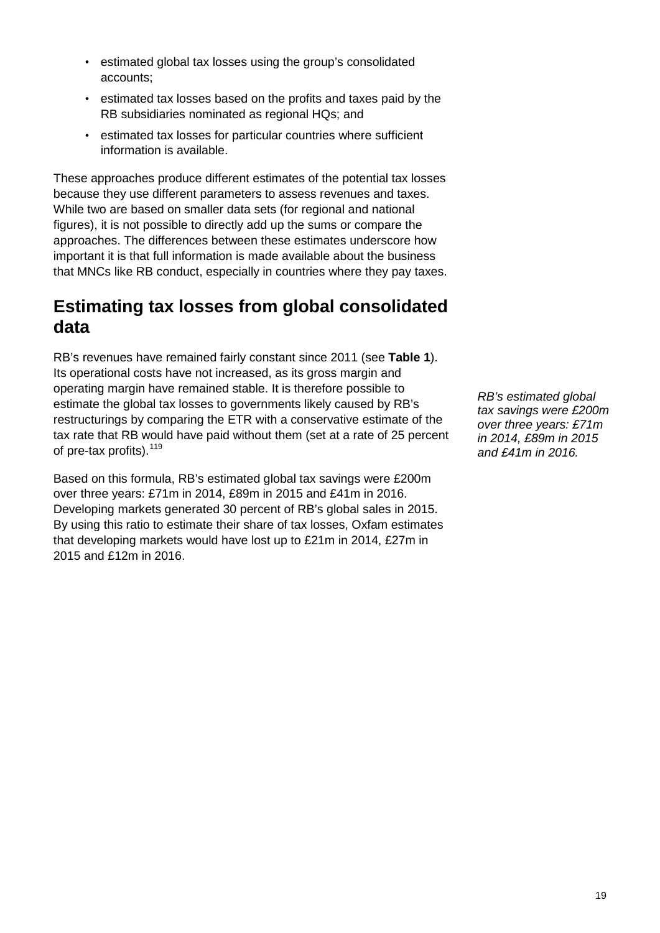- estimated global tax losses using the group's consolidated accounts;
- estimated tax losses based on the profits and taxes paid by the RB subsidiaries nominated as regional HQs; and
- estimated tax losses for particular countries where sufficient information is available.

These approaches produce different estimates of the potential tax losses because they use different parameters to assess revenues and taxes. While two are based on smaller data sets (for regional and national figures), it is not possible to directly add up the sums or compare the approaches. The differences between these estimates underscore how important it is that full information is made available about the business that MNCs like RB conduct, especially in countries where they pay taxes.

### **Estimating tax losses from global consolidated data**

RB's revenues have remained fairly constant since 2011 (see **Table 1**). Its operational costs have not increased, as its gross margin and operating margin have remained stable. It is therefore possible to estimate the global tax losses to governments likely caused by RB's restructurings by comparing the ETR with a conservative estimate of the tax rate that RB would have paid without them (set at a rate of 25 percent of pre-tax profits). <sup>[119](#page-50-19)</sup>

Based on this formula, RB's estimated global tax savings were £200m over three years: £71m in 2014, £89m in 2015 and £41m in 2016. Developing markets generated 30 percent of RB's global sales in 2015. By using this ratio to estimate their share of tax losses, Oxfam estimates that developing markets would have lost up to £21m in 2014, £27m in 2015 and £12m in 2016.

*RB's estimated global tax savings were £200m over three years: £71m in 2014, £89m in 2015 and £41m in 2016.*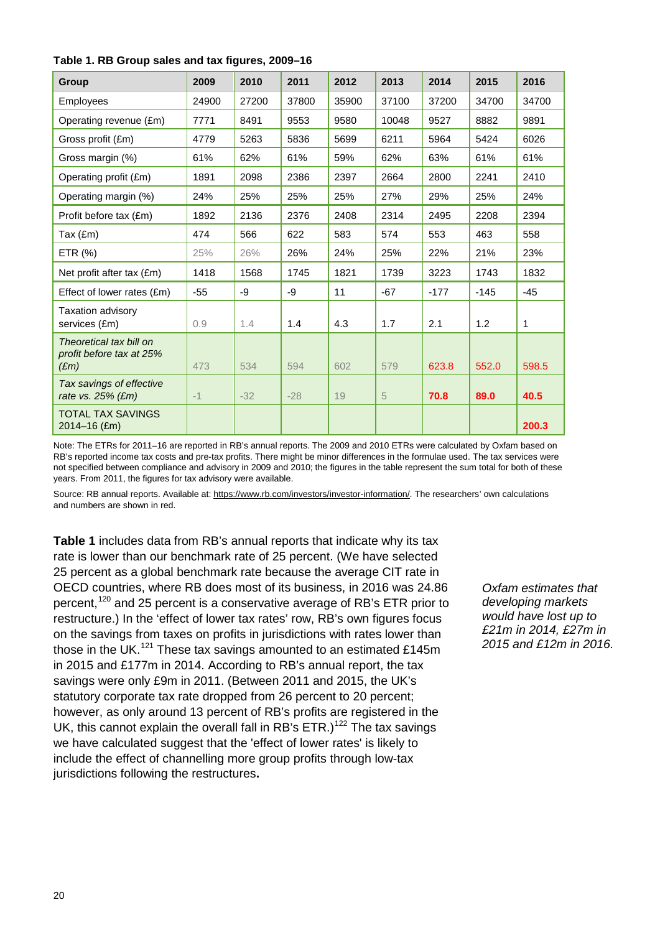| Group                                                       | 2009  | 2010  | 2011  | 2012  | 2013  | 2014   | 2015   | 2016  |
|-------------------------------------------------------------|-------|-------|-------|-------|-------|--------|--------|-------|
| Employees                                                   | 24900 | 27200 | 37800 | 35900 | 37100 | 37200  | 34700  | 34700 |
| Operating revenue (£m)                                      | 7771  | 8491  | 9553  | 9580  | 10048 | 9527   | 8882   | 9891  |
| Gross profit (£m)                                           | 4779  | 5263  | 5836  | 5699  | 6211  | 5964   | 5424   | 6026  |
| Gross margin (%)                                            | 61%   | 62%   | 61%   | 59%   | 62%   | 63%    | 61%    | 61%   |
| Operating profit (£m)                                       | 1891  | 2098  | 2386  | 2397  | 2664  | 2800   | 2241   | 2410  |
| Operating margin (%)                                        | 24%   | 25%   | 25%   | 25%   | 27%   | 29%    | 25%    | 24%   |
| Profit before tax (£m)                                      | 1892  | 2136  | 2376  | 2408  | 2314  | 2495   | 2208   | 2394  |
| Tax $(fm)$                                                  | 474   | 566   | 622   | 583   | 574   | 553    | 463    | 558   |
| ETR (%)                                                     | 25%   | 26%   | 26%   | 24%   | 25%   | 22%    | 21%    | 23%   |
| Net profit after tax (£m)                                   | 1418  | 1568  | 1745  | 1821  | 1739  | 3223   | 1743   | 1832  |
| Effect of lower rates (£m)                                  | $-55$ | -9    | -9    | 11    | $-67$ | $-177$ | $-145$ | $-45$ |
| Taxation advisory<br>services (£m)                          | 0.9   | 1.4   | 1.4   | 4.3   | 1.7   | 2.1    | 1.2    | 1     |
| Theoretical tax bill on<br>profit before tax at 25%<br>E(m) | 473   | 534   | 594   | 602   | 579   | 623.8  | 552.0  | 598.5 |
| Tax savings of effective<br>rate vs. $25%$ (£m)             | $-1$  | $-32$ | $-28$ | 19    | 5     | 70.8   | 89.0   | 40.5  |
| <b>TOTAL TAX SAVINGS</b><br>2014-16 (£m)                    |       |       |       |       |       |        |        | 200.3 |

Note: The ETRs for 2011–16 are reported in RB's annual reports. The 2009 and 2010 ETRs were calculated by Oxfam based on RB's reported income tax costs and pre-tax profits. There might be minor differences in the formulae used. The tax services were not specified between compliance and advisory in 2009 and 2010; the figures in the table represent the sum total for both of these years. From 2011, the figures for tax advisory were available.

Source: RB annual reports. Available at: [https://www.rb.com/investors/investor-information/.](https://www.rb.com/investors/investor-information/) The researchers' own calculations and numbers are shown in red.

**Table 1** includes data from RB's annual reports that indicate why its tax rate is lower than our benchmark rate of 25 percent. (We have selected 25 percent as a global benchmark rate because the average CIT rate in OECD countries, where RB does most of its business, in 2016 was 24.86 percent,<sup>[120](#page-51-0)</sup> and 25 percent is a conservative average of RB's ETR prior to restructure.) In the 'effect of lower tax rates' row, RB's own figures focus on the savings from taxes on profits in jurisdictions with rates lower than those in the UK.<sup>[121](#page-51-1)</sup> These tax savings amounted to an estimated £145m in 2015 and £177m in 2014. According to RB's annual report, the tax savings were only £9m in 2011. (Between 2011 and 2015, the UK's statutory corporate tax rate dropped from 26 percent to 20 percent; however, as only around 13 percent of RB's profits are registered in the UK, this cannot explain the overall fall in RB's  $ETR$ .)<sup>[122](#page-51-2)</sup> The tax savings we have calculated suggest that the 'effect of lower rates' is likely to include the effect of channelling more group profits through low-tax jurisdictions following the restructures**.**

*Oxfam estimates that developing markets would have lost up to £21m in 2014, £27m in 2015 and £12m in 2016.*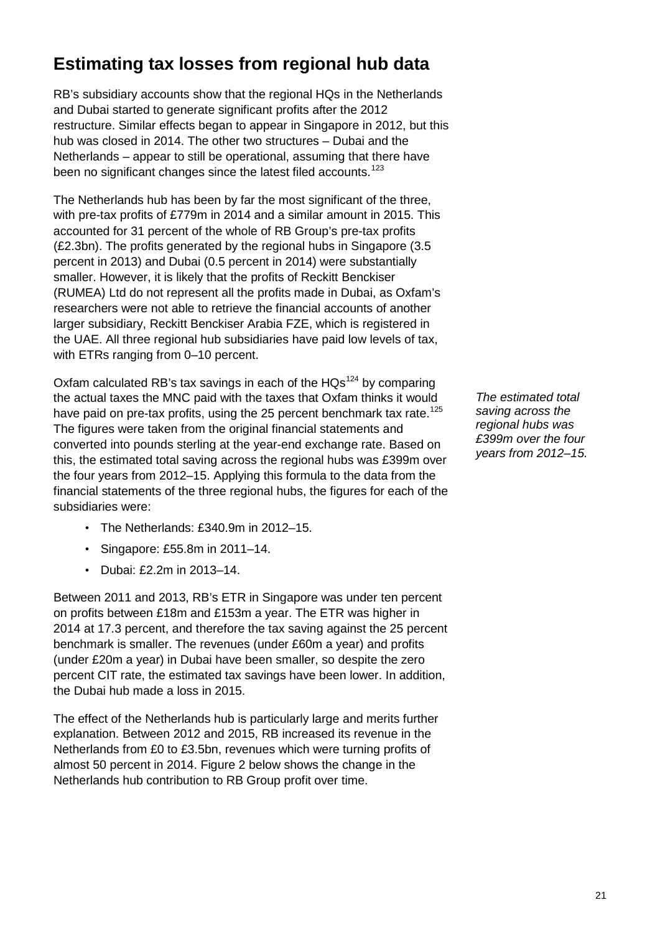### **Estimating tax losses from regional hub data**

RB's subsidiary accounts show that the regional HQs in the Netherlands and Dubai started to generate significant profits after the 2012 restructure. Similar effects began to appear in Singapore in 2012, but this hub was closed in 2014. The other two structures – Dubai and the Netherlands – appear to still be operational, assuming that there have been no significant changes since the latest filed accounts.<sup>[123](#page-51-3)</sup>

The Netherlands hub has been by far the most significant of the three, with pre-tax profits of £779m in 2014 and a similar amount in 2015. This accounted for 31 percent of the whole of RB Group's pre-tax profits (£2.3bn). The profits generated by the regional hubs in Singapore (3.5 percent in 2013) and Dubai (0.5 percent in 2014) were substantially smaller. However, it is likely that the profits of Reckitt Benckiser (RUMEA) Ltd do not represent all the profits made in Dubai, as Oxfam's researchers were not able to retrieve the financial accounts of another larger subsidiary, Reckitt Benckiser Arabia FZE, which is registered in the UAE. All three regional hub subsidiaries have paid low levels of tax, with ETRs ranging from 0–10 percent.

Oxfam calculated RB's tax savings in each of the  $HQs^{124}$  $HQs^{124}$  $HQs^{124}$  by comparing the actual taxes the MNC paid with the taxes that Oxfam thinks it would have paid on pre-tax profits, using the 25 percent benchmark tax rate.<sup>[125](#page-51-5)</sup> The figures were taken from the original financial statements and converted into pounds sterling at the year-end exchange rate. Based on this, the estimated total saving across the regional hubs was £399m over the four years from 2012–15. Applying this formula to the data from the financial statements of the three regional hubs, the figures for each of the subsidiaries were:

- The Netherlands: £340.9m in 2012–15.
- Singapore: £55.8m in 2011–14.
- Dubai: £2.2m in 2013–14.

Between 2011 and 2013, RB's ETR in Singapore was under ten percent on profits between £18m and £153m a year. The ETR was higher in 2014 at 17.3 percent, and therefore the tax saving against the 25 percent benchmark is smaller. The revenues (under £60m a year) and profits (under £20m a year) in Dubai have been smaller, so despite the zero percent CIT rate, the estimated tax savings have been lower. In addition, the Dubai hub made a loss in 2015.

The effect of the Netherlands hub is particularly large and merits further explanation. Between 2012 and 2015, RB increased its revenue in the Netherlands from £0 to £3.5bn, revenues which were turning profits of almost 50 percent in 2014. Figure 2 below shows the change in the Netherlands hub contribution to RB Group profit over time.

*The estimated total saving across the regional hubs was £399m over the four years from 2012–15.*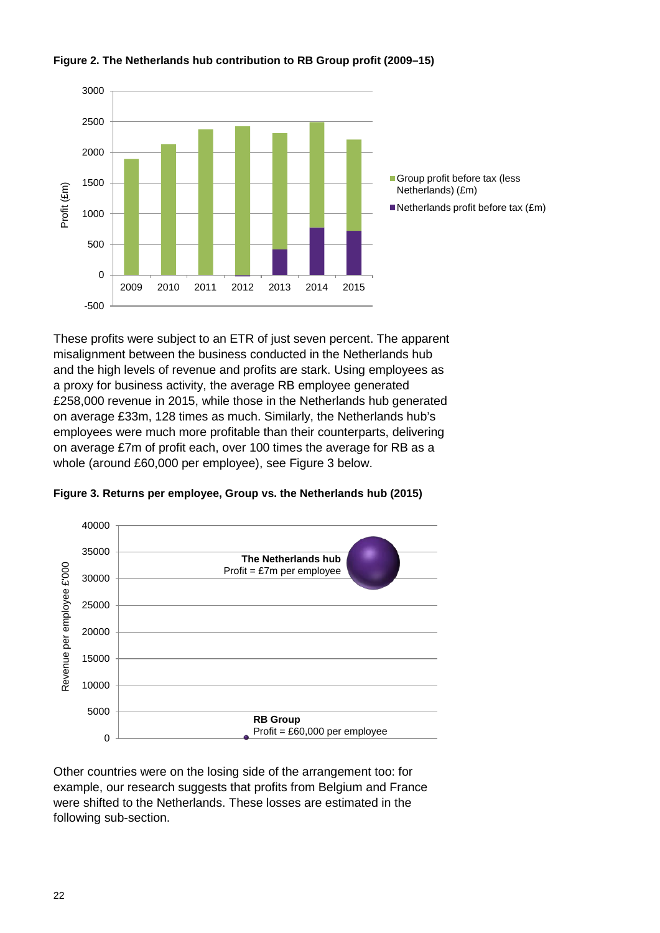

#### **Figure 2. The Netherlands hub contribution to RB Group profit (2009–15)**

These profits were subject to an ETR of just seven percent. The apparent misalignment between the business conducted in the Netherlands hub and the high levels of revenue and profits are stark. Using employees as a proxy for business activity, the average RB employee generated £258,000 revenue in 2015, while those in the Netherlands hub generated on average £33m, 128 times as much. Similarly, the Netherlands hub's employees were much more profitable than their counterparts, delivering on average £7m of profit each, over 100 times the average for RB as a whole (around £60,000 per employee), see Figure 3 below.





Other countries were on the losing side of the arrangement too: for example, our research suggests that profits from Belgium and France were shifted to the Netherlands. These losses are estimated in the following sub-section.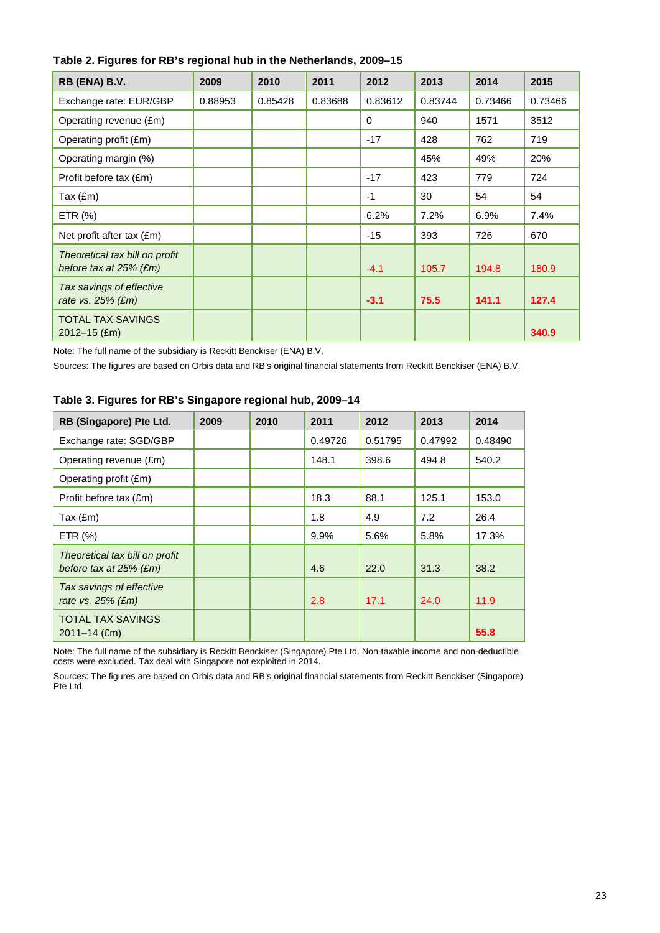| RB (ENA) B.V.                                               | 2009    | 2010    | 2011    | 2012     | 2013    | 2014    | 2015    |
|-------------------------------------------------------------|---------|---------|---------|----------|---------|---------|---------|
| Exchange rate: EUR/GBP                                      | 0.88953 | 0.85428 | 0.83688 | 0.83612  | 0.83744 | 0.73466 | 0.73466 |
| Operating revenue (£m)                                      |         |         |         | $\Omega$ | 940     | 1571    | 3512    |
| Operating profit (£m)                                       |         |         |         | $-17$    | 428     | 762     | 719     |
| Operating margin (%)                                        |         |         |         |          | 45%     | 49%     | 20%     |
| Profit before tax (£m)                                      |         |         |         | $-17$    | 423     | 779     | 724     |
| Tax $(fm)$                                                  |         |         |         | $-1$     | 30      | 54      | 54      |
| ETR $(%)$                                                   |         |         |         | 6.2%     | 7.2%    | 6.9%    | 7.4%    |
| Net profit after tax (£m)                                   |         |         |         | $-15$    | 393     | 726     | 670     |
| Theoretical tax bill on profit<br>before tax at $25\%$ (£m) |         |         |         | $-4.1$   | 105.7   | 194.8   | 180.9   |
| Tax savings of effective<br>rate vs. $25%$ (£m)             |         |         |         | $-3.1$   | 75.5    | 141.1   | 127.4   |
| <b>TOTAL TAX SAVINGS</b><br>$2012 - 15$ (£m)                |         |         |         |          |         |         | 340.9   |

Note: The full name of the subsidiary is Reckitt Benckiser (ENA) B.V.

Sources: The figures are based on Orbis data and RB's original financial statements from Reckitt Benckiser (ENA) B.V.

| RB (Singapore) Pte Ltd.                                     | 2009 | 2010 | 2011    | 2012    | 2013    | 2014    |
|-------------------------------------------------------------|------|------|---------|---------|---------|---------|
| Exchange rate: SGD/GBP                                      |      |      | 0.49726 | 0.51795 | 0.47992 | 0.48490 |
| Operating revenue (£m)                                      |      |      | 148.1   | 398.6   | 494.8   | 540.2   |
| Operating profit (£m)                                       |      |      |         |         |         |         |
| Profit before tax (£m)                                      |      |      | 18.3    | 88.1    | 125.1   | 153.0   |
| Tax $(\text{Em})$                                           |      |      | 1.8     | 4.9     | 7.2     | 26.4    |
| ETR $(%)$                                                   |      |      | 9.9%    | 5.6%    | 5.8%    | 17.3%   |
| Theoretical tax bill on profit<br>before tax at $25\%$ (£m) |      |      | 4.6     | 22.0    | 31.3    | 38.2    |
| Tax savings of effective<br>rate vs. 25% (£m)               |      |      | 2.8     | 17.1    | 24.0    | 11.9    |
| <b>TOTAL TAX SAVINGS</b><br>$2011 - 14$ (£m)                |      |      |         |         |         | 55.8    |

#### **Table 3. Figures for RB's Singapore regional hub, 2009–14**

Note: The full name of the subsidiary is Reckitt Benckiser (Singapore) Pte Ltd. Non-taxable income and non-deductible costs were excluded. Tax deal with Singapore not exploited in 2014.

Sources: The figures are based on Orbis data and RB's original financial statements from Reckitt Benckiser (Singapore) Pte Ltd.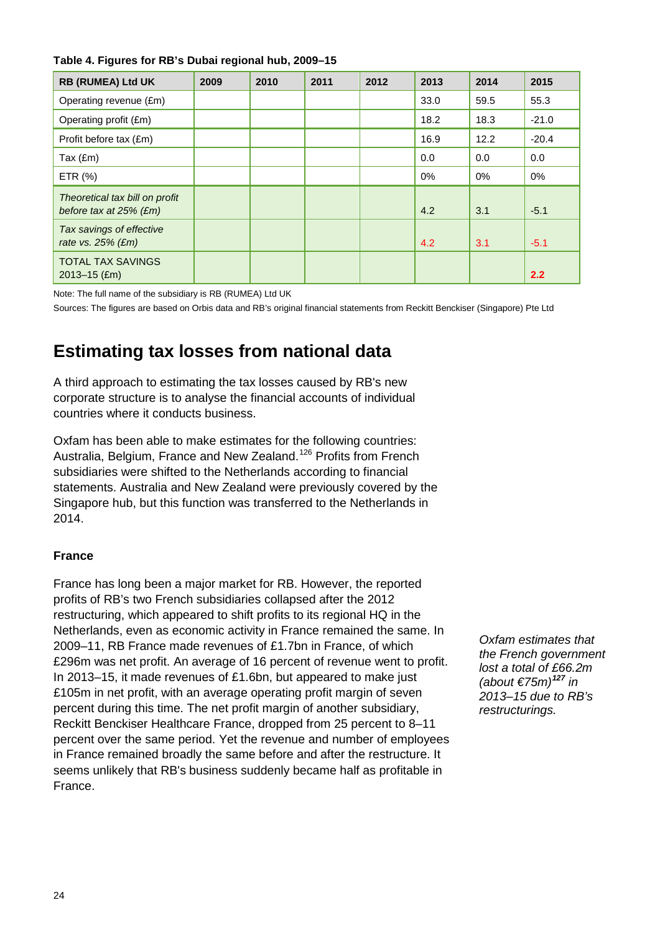#### **Table 4. Figures for RB's Dubai regional hub, 2009–15**

| <b>RB (RUMEA) Ltd UK</b>                                    | 2009 | 2010 | 2011 | 2012 | 2013 | 2014  | 2015    |
|-------------------------------------------------------------|------|------|------|------|------|-------|---------|
| Operating revenue (£m)                                      |      |      |      |      | 33.0 | 59.5  | 55.3    |
| Operating profit (£m)                                       |      |      |      |      | 18.2 | 18.3  | $-21.0$ |
| Profit before tax (£m)                                      |      |      |      |      | 16.9 | 12.2  | $-20.4$ |
| Tax (£m)                                                    |      |      |      |      | 0.0  | 0.0   | 0.0     |
| ETR (%)                                                     |      |      |      |      | 0%   | $0\%$ | $0\%$   |
| Theoretical tax bill on profit<br>before tax at $25\%$ (£m) |      |      |      |      | 4.2  | 3.1   | $-5.1$  |
| Tax savings of effective<br>rate vs. $25%$ (£m)             |      |      |      |      | 4.2  | 3.1   | $-5.1$  |
| <b>TOTAL TAX SAVINGS</b><br>$2013 - 15$ (£m)                |      |      |      |      |      |       | 2.2     |

Note: The full name of the subsidiary is RB (RUMEA) Ltd UK

Sources: The figures are based on Orbis data and RB's original financial statements from Reckitt Benckiser (Singapore) Pte Ltd

### **Estimating tax losses from national data**

A third approach to estimating the tax losses caused by RB's new corporate structure is to analyse the financial accounts of individual countries where it conducts business.

Oxfam has been able to make estimates for the following countries: Australia, Belgium, France and New Zealand.<sup>[126](#page-51-6)</sup> Profits from French subsidiaries were shifted to the Netherlands according to financial statements. Australia and New Zealand were previously covered by the Singapore hub, but this function was transferred to the Netherlands in 2014.

#### **France**

France has long been a major market for RB. However, the reported profits of RB's two French subsidiaries collapsed after the 2012 restructuring, which appeared to shift profits to its regional HQ in the Netherlands, even as economic activity in France remained the same. In 2009–11, RB France made revenues of £1.7bn in France, of which £296m was net profit. An average of 16 percent of revenue went to profit. In 2013–15, it made revenues of £1.6bn, but appeared to make just £105m in net profit, with an average operating profit margin of seven percent during this time. The net profit margin of another subsidiary, Reckitt Benckiser Healthcare France, dropped from 25 percent to 8–11 percent over the same period. Yet the revenue and number of employees in France remained broadly the same before and after the restructure. It seems unlikely that RB's business suddenly became half as profitable in France.

*Oxfam estimates that the French government lost a total of £66.2m (about €75m)[127](#page-51-7) in 2013–15 due to RB's restructurings.*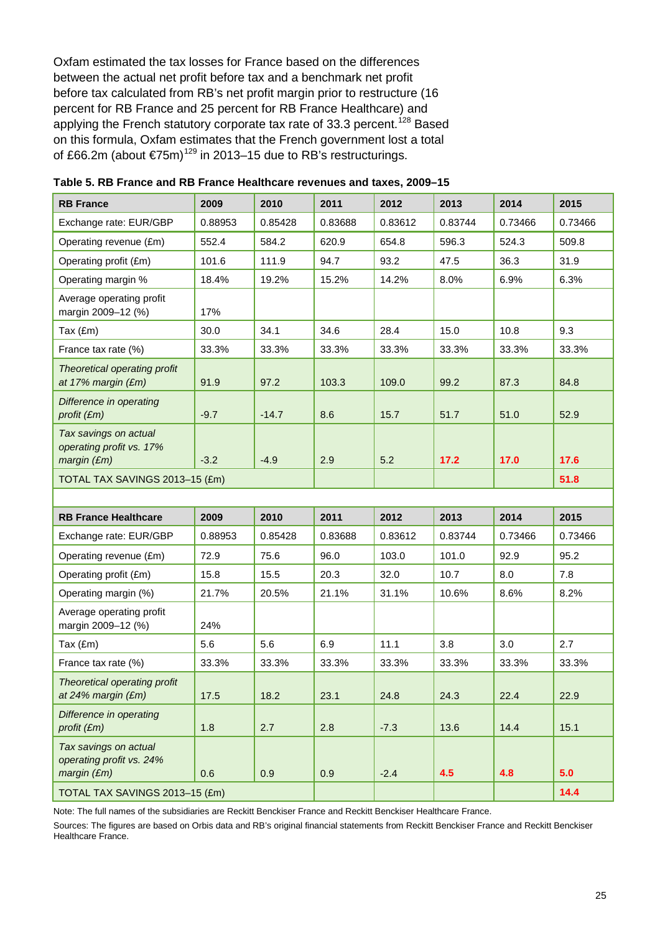Oxfam estimated the tax losses for France based on the differences between the actual net profit before tax and a benchmark net profit before tax calculated from RB's net profit margin prior to restructure (16 percent for RB France and 25 percent for RB France Healthcare) and applying the French statutory corporate tax rate of 33.3 percent.<sup>[128](#page-51-8)</sup> Based on this formula, Oxfam estimates that the French government lost a total of £66.2m (about €75m)<sup>[129](#page-51-9)</sup> in 2013–15 due to RB's restructurings.

| <b>RB France</b>                                                 | 2009    | 2010    | 2011    | 2012    | 2013    | 2014    | 2015    |
|------------------------------------------------------------------|---------|---------|---------|---------|---------|---------|---------|
| Exchange rate: EUR/GBP                                           | 0.88953 | 0.85428 | 0.83688 | 0.83612 | 0.83744 | 0.73466 | 0.73466 |
| Operating revenue (£m)                                           | 552.4   | 584.2   | 620.9   | 654.8   | 596.3   | 524.3   | 509.8   |
| Operating profit (£m)                                            | 101.6   | 111.9   | 94.7    | 93.2    | 47.5    | 36.3    | 31.9    |
| Operating margin %                                               | 18.4%   | 19.2%   | 15.2%   | 14.2%   | 8.0%    | 6.9%    | 6.3%    |
| Average operating profit<br>margin 2009-12 (%)                   | 17%     |         |         |         |         |         |         |
| Tax $(\text{Em})$                                                | 30.0    | 34.1    | 34.6    | 28.4    | 15.0    | 10.8    | 9.3     |
| France tax rate (%)                                              | 33.3%   | 33.3%   | 33.3%   | 33.3%   | 33.3%   | 33.3%   | 33.3%   |
| Theoretical operating profit<br>at 17% margin (£m)               | 91.9    | 97.2    | 103.3   | 109.0   | 99.2    | 87.3    | 84.8    |
| Difference in operating<br>profit (£m)                           | $-9.7$  | $-14.7$ | 8.6     | 15.7    | 51.7    | 51.0    | 52.9    |
| Tax savings on actual<br>operating profit vs. 17%<br>margin (Em) | $-3.2$  | $-4.9$  | 2.9     | 5.2     | 17.2    | 17.0    | 17.6    |
| TOTAL TAX SAVINGS 2013-15 (£m)                                   |         |         |         |         |         |         | 51.8    |
|                                                                  |         |         |         |         |         |         |         |
| <b>RB France Healthcare</b>                                      | 2009    | 2010    | 2011    | 2012    | 2013    | 2014    | 2015    |
| Exchange rate: EUR/GBP                                           | 0.88953 | 0.85428 | 0.83688 | 0.83612 | 0.83744 | 0.73466 | 0.73466 |
| Operating revenue (£m)                                           | 72.9    | 75.6    | 96.0    | 103.0   | 101.0   | 92.9    | 95.2    |
| Operating profit (£m)                                            | 15.8    | 15.5    | 20.3    | 32.0    | 10.7    | 8.0     | 7.8     |
| Operating margin (%)                                             | 21.7%   | 20.5%   | 21.1%   | 31.1%   | 10.6%   | 8.6%    | 8.2%    |
| Average operating profit<br>margin 2009-12 (%)                   | 24%     |         |         |         |         |         |         |
| Tax $(\text{Em})$                                                | 5.6     | 5.6     | 6.9     | 11.1    | 3.8     | 3.0     | 2.7     |
| France tax rate (%)                                              | 33.3%   | 33.3%   | 33.3%   | 33.3%   | 33.3%   | 33.3%   | 33.3%   |
| Theoretical operating profit<br>at 24% margin (£m)               | 17.5    | 18.2    | 23.1    | 24.8    | 24.3    | 22.4    | 22.9    |
| Difference in operating<br>profit (£m)                           | 1.8     | 2.7     | 2.8     | $-7.3$  | 13.6    | 14.4    | 15.1    |
| Tax savings on actual<br>operating profit vs. 24%<br>margin (Em) | 0.6     | 0.9     | 0.9     | $-2.4$  | 4.5     | 4.8     | 5.0     |
| TOTAL TAX SAVINGS 2013-15 (£m)                                   |         |         |         |         |         |         | 14.4    |

|  |  | Table 5. RB France and RB France Healthcare revenues and taxes, 2009–15 |  |  |
|--|--|-------------------------------------------------------------------------|--|--|
|--|--|-------------------------------------------------------------------------|--|--|

Note: The full names of the subsidiaries are Reckitt Benckiser France and Reckitt Benckiser Healthcare France.

Sources: The figures are based on Orbis data and RB's original financial statements from Reckitt Benckiser France and Reckitt Benckiser Healthcare France.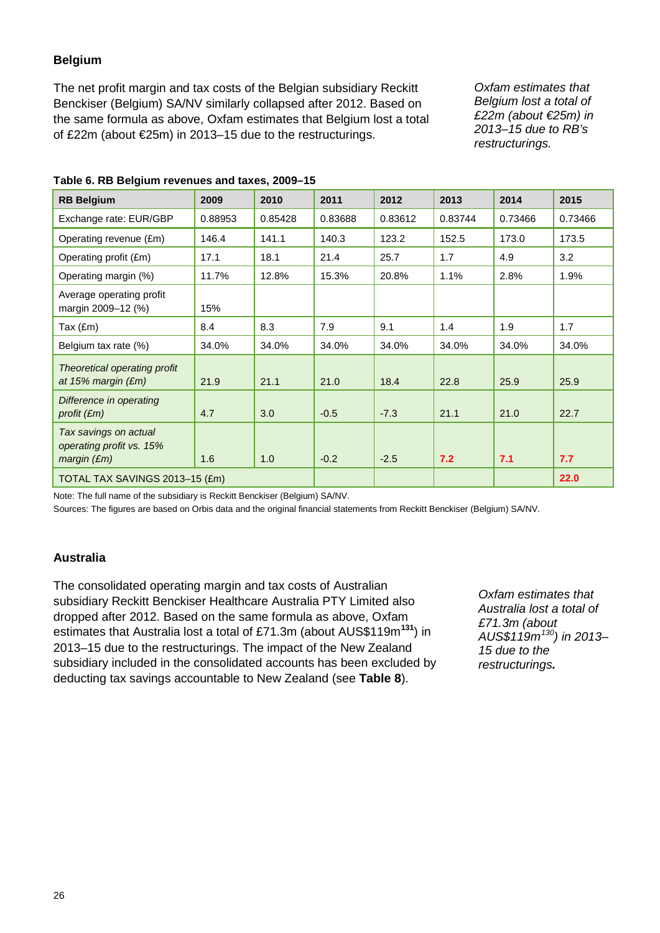#### **Belgium**

The net profit margin and tax costs of the Belgian subsidiary Reckitt Benckiser (Belgium) SA/NV similarly collapsed after 2012. Based on the same formula as above, Oxfam estimates that Belgium lost a total of £22m (about €25m) in 2013–15 due to the restructurings.

*Oxfam estimates that Belgium lost a total of £22m (about €25m) in 2013–15 due to RB's restructurings.*

| <b>RB Belgium</b>                                                | 2009    | 2010    | 2011    | 2012    | 2013    | 2014    | 2015    |
|------------------------------------------------------------------|---------|---------|---------|---------|---------|---------|---------|
| Exchange rate: EUR/GBP                                           | 0.88953 | 0.85428 | 0.83688 | 0.83612 | 0.83744 | 0.73466 | 0.73466 |
| Operating revenue (£m)                                           | 146.4   | 141.1   | 140.3   | 123.2   | 152.5   | 173.0   | 173.5   |
| Operating profit (£m)                                            | 17.1    | 18.1    | 21.4    | 25.7    | 1.7     | 4.9     | 3.2     |
| Operating margin (%)                                             | 11.7%   | 12.8%   | 15.3%   | 20.8%   | 1.1%    | 2.8%    | 1.9%    |
| Average operating profit<br>margin 2009-12 (%)                   | 15%     |         |         |         |         |         |         |
| Tax (£m)                                                         | 8.4     | 8.3     | 7.9     | 9.1     | 1.4     | 1.9     | 1.7     |
| Belgium tax rate (%)                                             | 34.0%   | 34.0%   | 34.0%   | 34.0%   | 34.0%   | 34.0%   | 34.0%   |
| Theoretical operating profit<br>at 15% margin $(Em)$             | 21.9    | 21.1    | 21.0    | 18.4    | 22.8    | 25.9    | 25.9    |
| Difference in operating<br>profit $(\mathfrak{m})$               | 4.7     | 3.0     | $-0.5$  | $-7.3$  | 21.1    | 21.0    | 22.7    |
| Tax savings on actual<br>operating profit vs. 15%<br>margin (Em) | 1.6     | 1.0     | $-0.2$  | $-2.5$  | 7.2     | 7.1     | 7.7     |
| TOTAL TAX SAVINGS 2013-15 (£m)                                   |         |         |         |         |         |         | 22.0    |

#### **Table 6. RB Belgium revenues and taxes, 2009–15**

Note: The full name of the subsidiary is Reckitt Benckiser (Belgium) SA/NV.

Sources: The figures are based on Orbis data and the original financial statements from Reckitt Benckiser (Belgium) SA/NV.

#### **Australia**

The consolidated operating margin and tax costs of Australian subsidiary Reckitt Benckiser Healthcare Australia PTY Limited also dropped after 2012. Based on the same formula as above, Oxfam estimates that Australia lost a total of £71.3m (about AUS\$119m**[131](#page-51-10)**) in 2013–15 due to the restructurings. The impact of the New Zealand subsidiary included in the consolidated accounts has been excluded by deducting tax savings accountable to New Zealand (see **Table 8**).

*Oxfam estimates that Australia lost a total of £71.3m (about AUS\$119m[130\)](#page-51-11) in 2013– 15 due to the restructurings.*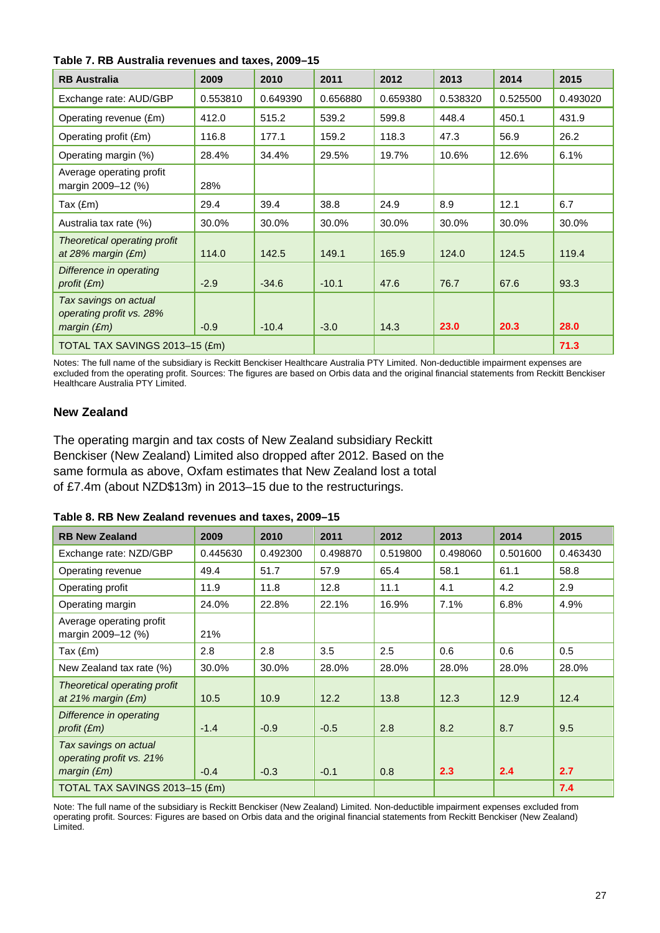| Table 7. RB Australia revenues and taxes, 2009-15 |  |  |  |  |  |  |
|---------------------------------------------------|--|--|--|--|--|--|
|---------------------------------------------------|--|--|--|--|--|--|

| <b>RB Australia</b>                                              | 2009     | 2010     | 2011     | 2012     | 2013     | 2014     | 2015     |
|------------------------------------------------------------------|----------|----------|----------|----------|----------|----------|----------|
| Exchange rate: AUD/GBP                                           | 0.553810 | 0.649390 | 0.656880 | 0.659380 | 0.538320 | 0.525500 | 0.493020 |
| Operating revenue (£m)                                           | 412.0    | 515.2    | 539.2    | 599.8    | 448.4    | 450.1    | 431.9    |
| Operating profit (£m)                                            | 116.8    | 177.1    | 159.2    | 118.3    | 47.3     | 56.9     | 26.2     |
| Operating margin (%)                                             | 28.4%    | 34.4%    | 29.5%    | 19.7%    | 10.6%    | 12.6%    | 6.1%     |
| Average operating profit<br>margin 2009-12 (%)                   | 28%      |          |          |          |          |          |          |
| Tax $(\text{Em})$                                                | 29.4     | 39.4     | 38.8     | 24.9     | 8.9      | 12.1     | 6.7      |
| Australia tax rate (%)                                           | 30.0%    | 30.0%    | 30.0%    | 30.0%    | 30.0%    | 30.0%    | 30.0%    |
| Theoretical operating profit<br>at 28% margin $(Em)$             | 114.0    | 142.5    | 149.1    | 165.9    | 124.0    | 124.5    | 119.4    |
| Difference in operating<br>profit $(\mathfrak{m})$               | $-2.9$   | $-34.6$  | $-10.1$  | 47.6     | 76.7     | 67.6     | 93.3     |
| Tax savings on actual<br>operating profit vs. 28%<br>margin (Em) | $-0.9$   | $-10.4$  | $-3.0$   | 14.3     | 23.0     | 20.3     | 28.0     |
| TOTAL TAX SAVINGS 2013-15 (£m)                                   |          |          |          |          |          |          | 71.3     |

Notes: The full name of the subsidiary is Reckitt Benckiser Healthcare Australia PTY Limited. Non-deductible impairment expenses are excluded from the operating profit. Sources: The figures are based on Orbis data and the original financial statements from Reckitt Benckiser Healthcare Australia PTY Limited.

#### **New Zealand**

The operating margin and tax costs of New Zealand subsidiary Reckitt Benckiser (New Zealand) Limited also dropped after 2012. Based on the same formula as above, Oxfam estimates that New Zealand lost a total of £7.4m (about NZD\$13m) in 2013–15 due to the restructurings.

|  | Table 8. RB New Zealand revenues and taxes, 2009-15 |  |  |
|--|-----------------------------------------------------|--|--|
|  |                                                     |  |  |

| <b>RB New Zealand</b>                                            | 2009     | 2010     | 2011     | 2012     | 2013     | 2014     | 2015     |
|------------------------------------------------------------------|----------|----------|----------|----------|----------|----------|----------|
| Exchange rate: NZD/GBP                                           | 0.445630 | 0.492300 | 0.498870 | 0.519800 | 0.498060 | 0.501600 | 0.463430 |
| Operating revenue                                                | 49.4     | 51.7     | 57.9     | 65.4     | 58.1     | 61.1     | 58.8     |
| Operating profit                                                 | 11.9     | 11.8     | 12.8     | 11.1     | 4.1      | 4.2      | 2.9      |
| Operating margin                                                 | 24.0%    | 22.8%    | 22.1%    | 16.9%    | 7.1%     | 6.8%     | 4.9%     |
| Average operating profit<br>margin 2009-12 (%)                   | 21%      |          |          |          |          |          |          |
| Tax (£m)                                                         | 2.8      | 2.8      | 3.5      | 2.5      | 0.6      | 0.6      | 0.5      |
| New Zealand tax rate (%)                                         | 30.0%    | 30.0%    | 28.0%    | 28.0%    | 28.0%    | 28.0%    | 28.0%    |
| Theoretical operating profit<br>at 21% margin $(Em)$             | 10.5     | 10.9     | 12.2     | 13.8     | 12.3     | 12.9     | 12.4     |
| Difference in operating<br>profit $(\mathfrak{m})$               | $-1.4$   | $-0.9$   | $-0.5$   | 2.8      | 8.2      | 8.7      | 9.5      |
| Tax savings on actual<br>operating profit vs. 21%<br>margin (Em) | $-0.4$   | $-0.3$   | $-0.1$   | 0.8      | 2.3      | 2.4      | 2.7      |
| TOTAL TAX SAVINGS 2013-15 (£m)                                   |          |          |          |          |          |          | 7.4      |

Note: The full name of the subsidiary is Reckitt Benckiser (New Zealand) Limited. Non-deductible impairment expenses excluded from operating profit. Sources: Figures are based on Orbis data and the original financial statements from Reckitt Benckiser (New Zealand) Limited.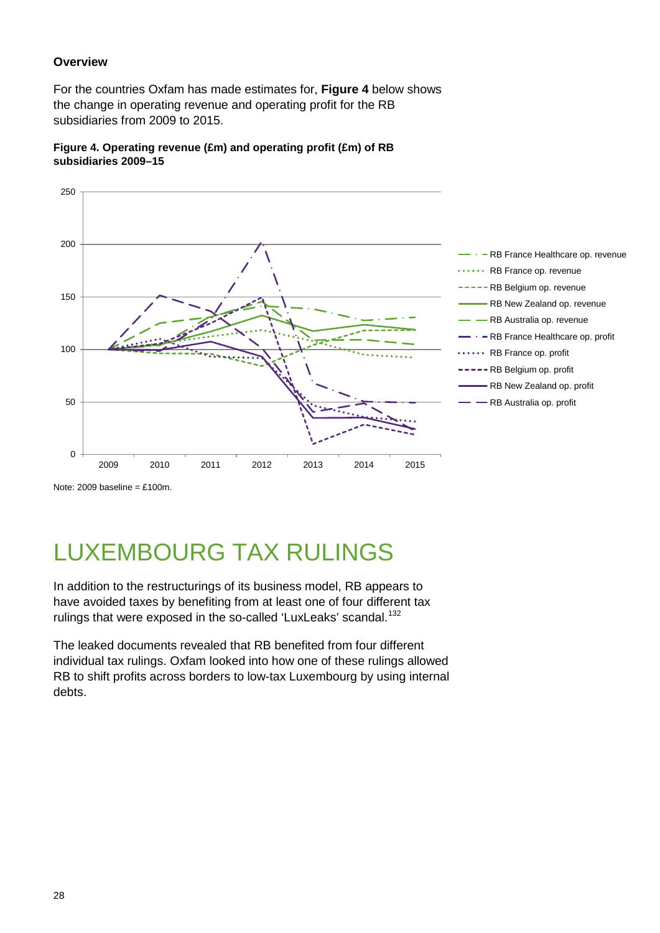#### **Overview**

For the countries Oxfam has made estimates for, **Figure 4** below shows the change in operating revenue and operating profit for the RB subsidiaries from 2009 to 2015.





Note: 2009 baseline =  $£100m$ .

## LUXEMBOURG TAX RULINGS

In addition to the restructurings of its business model, RB appears to have avoided taxes by benefiting from at least one of four different tax rulings that were exposed in the so-called 'LuxLeaks' scandal.<sup>[132](#page-51-12)</sup>

The leaked documents revealed that RB benefited from four different individual tax rulings. Oxfam looked into how one of these rulings allowed RB to shift profits across borders to low-tax Luxembourg by using internal debts.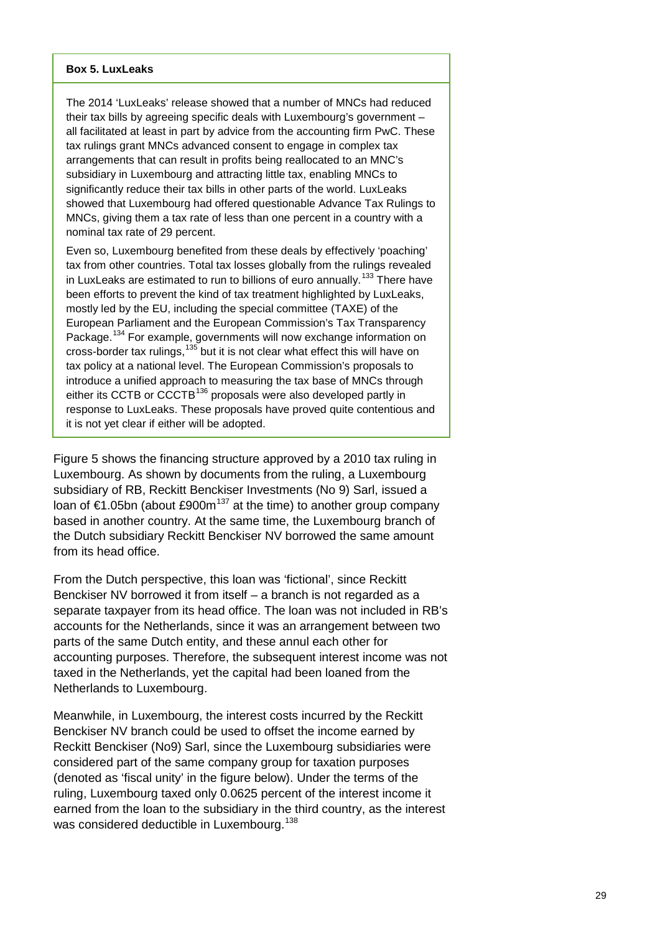#### **Box 5. LuxLeaks**

The 2014 'LuxLeaks' release showed that a number of MNCs had reduced their tax bills by agreeing specific deals with Luxembourg's government – all facilitated at least in part by advice from the accounting firm PwC. These tax rulings grant MNCs advanced consent to engage in complex tax arrangements that can result in profits being reallocated to an MNC's subsidiary in Luxembourg and attracting little tax, enabling MNCs to significantly reduce their tax bills in other parts of the world. LuxLeaks showed that Luxembourg had offered questionable Advance Tax Rulings to MNCs, giving them a tax rate of less than one percent in a country with a nominal tax rate of 29 percent.

Even so, Luxembourg benefited from these deals by effectively 'poaching' tax from other countries. Total tax losses globally from the rulings revealed in LuxLeaks are estimated to run to billions of euro annually.<sup>[133](#page-51-13)</sup> There have been efforts to prevent the kind of tax treatment highlighted by LuxLeaks, mostly led by the EU, including the special committee (TAXE) of the European Parliament and the European Commission's Tax Transparency Package.<sup>[134](#page-51-14)</sup> For example, governments will now exchange information on cross-border tax rulings, <sup>[135](#page-51-15)</sup> but it is not clear what effect this will have on tax policy at a national level. The European Commission's proposals to introduce a unified approach to measuring the tax base of MNCs through either its CCTB or CCCTB<sup>[136](#page-52-0)</sup> proposals were also developed partly in response to LuxLeaks. These proposals have proved quite contentious and it is not yet clear if either will be adopted.

Figure 5 shows the financing structure approved by a 2010 tax ruling in Luxembourg. As shown by documents from the ruling, a Luxembourg subsidiary of RB, Reckitt Benckiser Investments (No 9) Sarl, issued a loan of  $\epsilon$ 1.05bn (about £900m<sup>[137](#page-52-1)</sup> at the time) to another group company based in another country. At the same time, the Luxembourg branch of the Dutch subsidiary Reckitt Benckiser NV borrowed the same amount from its head office.

From the Dutch perspective, this loan was 'fictional', since Reckitt Benckiser NV borrowed it from itself – a branch is not regarded as a separate taxpayer from its head office. The loan was not included in RB's accounts for the Netherlands, since it was an arrangement between two parts of the same Dutch entity, and these annul each other for accounting purposes. Therefore, the subsequent interest income was not taxed in the Netherlands, yet the capital had been loaned from the Netherlands to Luxembourg.

Meanwhile, in Luxembourg, the interest costs incurred by the Reckitt Benckiser NV branch could be used to offset the income earned by Reckitt Benckiser (No9) Sarl, since the Luxembourg subsidiaries were considered part of the same company group for taxation purposes (denoted as 'fiscal unity' in the figure below). Under the terms of the ruling, Luxembourg taxed only 0.0625 percent of the interest income it earned from the loan to the subsidiary in the third country, as the interest was considered deductible in Luxembourg.<sup>[138](#page-52-2)</sup>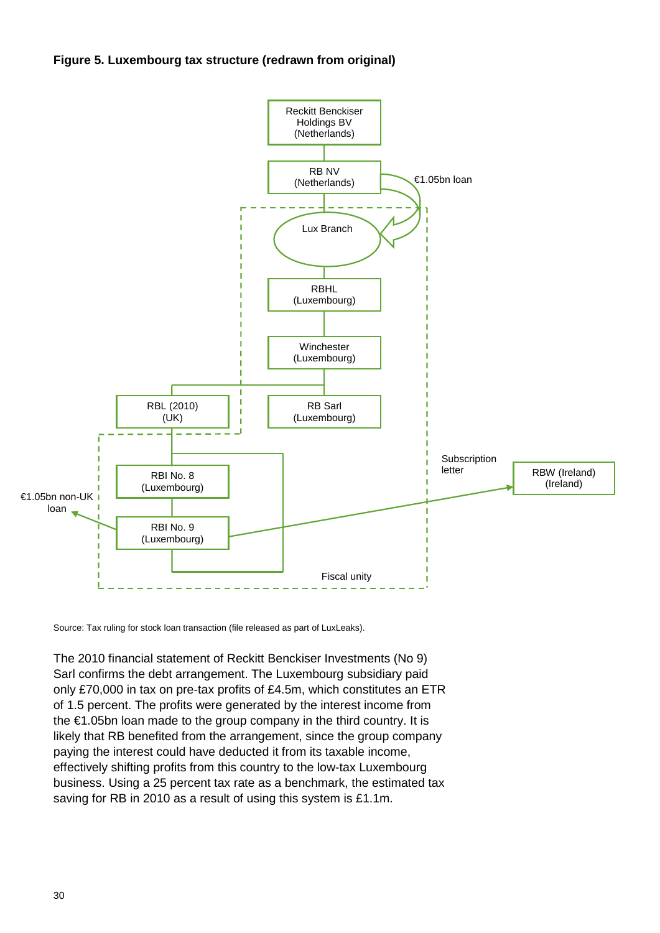



Source: Tax ruling for stock loan transaction (file released as part of LuxLeaks).

The 2010 financial statement of Reckitt Benckiser Investments (No 9) Sarl confirms the debt arrangement. The Luxembourg subsidiary paid only £70,000 in tax on pre-tax profits of £4.5m, which constitutes an ETR of 1.5 percent. The profits were generated by the interest income from the €1.05bn loan made to the group company in the third country. It is likely that RB benefited from the arrangement, since the group company paying the interest could have deducted it from its taxable income, effectively shifting profits from this country to the low-tax Luxembourg business. Using a 25 percent tax rate as a benchmark, the estimated tax saving for RB in 2010 as a result of using this system is £1.1m.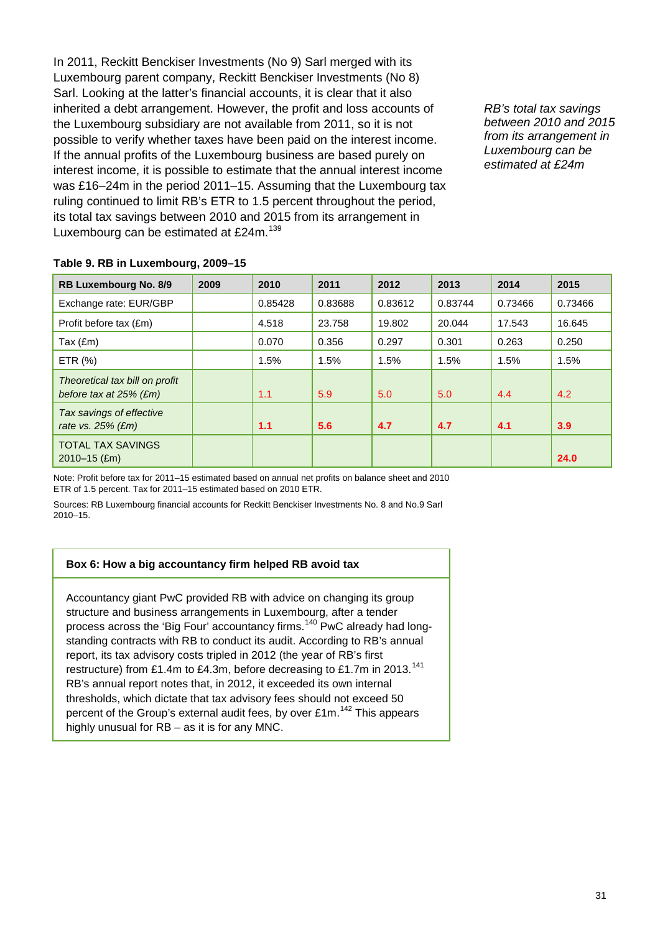In 2011, Reckitt Benckiser Investments (No 9) Sarl merged with its Luxembourg parent company, Reckitt Benckiser Investments (No 8) Sarl. Looking at the latter's financial accounts, it is clear that it also inherited a debt arrangement. However, the profit and loss accounts of the Luxembourg subsidiary are not available from 2011, so it is not possible to verify whether taxes have been paid on the interest income. If the annual profits of the Luxembourg business are based purely on interest income, it is possible to estimate that the annual interest income was £16–24m in the period 2011–15. Assuming that the Luxembourg tax ruling continued to limit RB's ETR to 1.5 percent throughout the period, its total tax savings between 2010 and 2015 from its arrangement in Luxembourg can be estimated at £24m.<sup>[139](#page-52-3)</sup>

*RB's total tax savings between 2010 and 2015 from its arrangement in Luxembourg can be estimated at £24m*

| Table 9. RB in Luxembourg, 2009-15 |  |
|------------------------------------|--|
|------------------------------------|--|

| RB Luxembourg No. 8/9                                       | 2009 | 2010    | 2011    | 2012    | 2013    | 2014    | 2015    |
|-------------------------------------------------------------|------|---------|---------|---------|---------|---------|---------|
| Exchange rate: EUR/GBP                                      |      | 0.85428 | 0.83688 | 0.83612 | 0.83744 | 0.73466 | 0.73466 |
| Profit before tax (£m)                                      |      | 4.518   | 23.758  | 19.802  | 20.044  | 17.543  | 16.645  |
| Tax (£m)                                                    |      | 0.070   | 0.356   | 0.297   | 0.301   | 0.263   | 0.250   |
| ETR $(%)$                                                   |      | 1.5%    | 1.5%    | 1.5%    | 1.5%    | 1.5%    | 1.5%    |
| Theoretical tax bill on profit<br>before tax at $25\%$ (£m) |      | 1.1     | 5.9     | 5.0     | 5.0     | 4.4     | 4.2     |
| Tax savings of effective<br>rate vs. $25%$ (£m)             |      | 1.1     | 5.6     | 4.7     | 4.7     | 4.1     | 3.9     |
| <b>TOTAL TAX SAVINGS</b><br>$2010 - 15$ (£m)                |      |         |         |         |         |         | 24.0    |

Note: Profit before tax for 2011–15 estimated based on annual net profits on balance sheet and 2010 ETR of 1.5 percent. Tax for 2011–15 estimated based on 2010 ETR.

Sources: RB Luxembourg financial accounts for Reckitt Benckiser Investments No. 8 and No.9 Sarl 2010–15.

#### **Box 6: How a big accountancy firm helped RB avoid tax**

Accountancy giant PwC provided RB with advice on changing its group structure and business arrangements in Luxembourg, after a tender process across the 'Big Four' accountancy firms.<sup>[140](#page-52-4)</sup> PwC already had longstanding contracts with RB to conduct its audit. According to RB's annual report, its tax advisory costs tripled in 2012 (the year of RB's first restructure) from £1.4m to £4.3m, before decreasing to £1.7m in 2013.<sup>[141](#page-52-5)</sup> RB's annual report notes that, in 2012, it exceeded its own internal thresholds, which dictate that tax advisory fees should not exceed 50 percent of the Group's external audit fees, by over £1m.<sup>[142](#page-52-6)</sup> This appears highly unusual for RB – as it is for any MNC.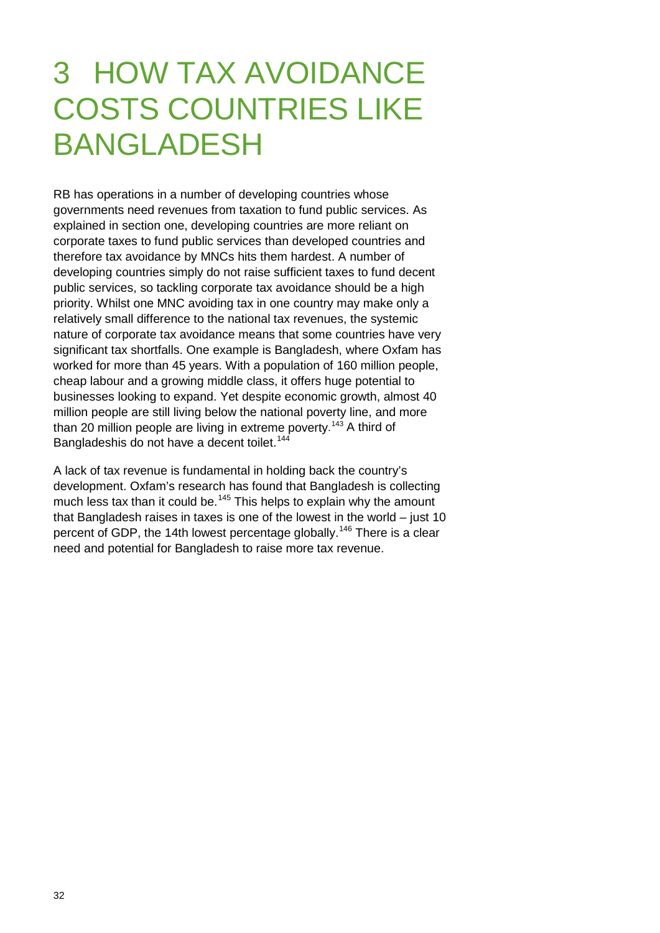# 3 HOW TAX AVOIDANCE COSTS COUNTRIES LIKE BANGLADESH

RB has operations in a number of developing countries whose governments need revenues from taxation to fund public services. As explained in section one, developing countries are more reliant on corporate taxes to fund public services than developed countries and therefore tax avoidance by MNCs hits them hardest. A number of developing countries simply do not raise sufficient taxes to fund decent public services, so tackling corporate tax avoidance should be a high priority. Whilst one MNC avoiding tax in one country may make only a relatively small difference to the national tax revenues, the systemic nature of corporate tax avoidance means that some countries have very significant tax shortfalls. One example is Bangladesh, where Oxfam has worked for more than 45 years. With a population of 160 million people, cheap labour and a growing middle class, it offers huge potential to businesses looking to expand. Yet despite economic growth, almost 40 million people are still living below the national poverty line, and more than 20 million people are living in extreme poverty.<sup>[143](#page-52-7)</sup> A third of Bangladeshis do not have a decent toilet.<sup>[144](#page-52-8)</sup>

A lack of tax revenue is fundamental in holding back the country's development. Oxfam's research has found that Bangladesh is collecting much less tax than it could be.<sup>[145](#page-52-9)</sup> This helps to explain why the amount that Bangladesh raises in taxes is one of the lowest in the world – just 10 percent of GDP, the 14th lowest percentage globally.<sup>[146](#page-52-10)</sup> There is a clear need and potential for Bangladesh to raise more tax revenue.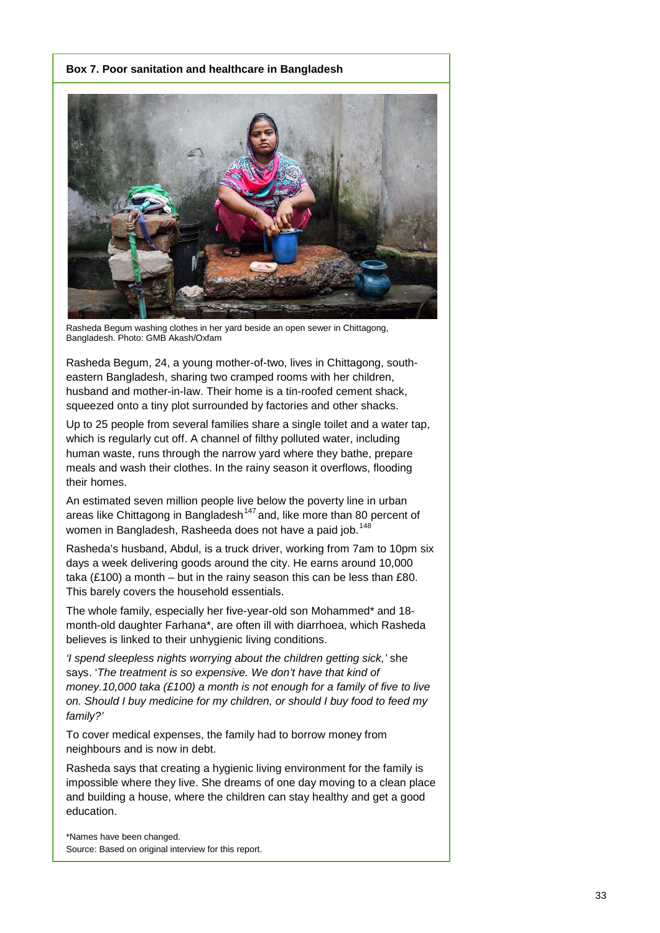#### **Box 7. Poor sanitation and healthcare in Bangladesh**



Rasheda Begum washing clothes in her yard beside an open sewer in Chittagong, Bangladesh. Photo: GMB Akash/Oxfam

Rasheda Begum, 24, a young mother-of-two, lives in Chittagong, southeastern Bangladesh, sharing two cramped rooms with her children, husband and mother-in-law. Their home is a tin-roofed cement shack, squeezed onto a tiny plot surrounded by factories and other shacks.

Up to 25 people from several families share a single toilet and a water tap, which is regularly cut off. A channel of filthy polluted water, including human waste, runs through the narrow yard where they bathe, prepare meals and wash their clothes. In the rainy season it overflows, flooding their homes.

An estimated seven million people live below the poverty line in urban areas like Chittagong in Bangladesh<sup>[147](#page-52-11)</sup> and, like more than 80 percent of women in Bangladesh, Rasheeda does not have a paid job.<sup>[148](#page-52-12)</sup>

Rasheda's husband, Abdul, is a truck driver, working from 7am to 10pm six days a week delivering goods around the city. He earns around 10,000 taka (£100) a month – but in the rainy season this can be less than  $£80$ . This barely covers the household essentials.

The whole family, especially her five-year-old son Mohammed\* and 18 month-old daughter Farhana\*, are often ill with diarrhoea, which Rasheda believes is linked to their unhygienic living conditions.

*'I spend sleepless nights worrying about the children getting sick,'* she says. '*The treatment is so expensive. We don't have that kind of money.10,000 taka (£100) a month is not enough for a family of five to live on. Should I buy medicine for my children, or should I buy food to feed my family?'*

To cover medical expenses, the family had to borrow money from neighbours and is now in debt.

Rasheda says that creating a hygienic living environment for the family is impossible where they live. She dreams of one day moving to a clean place and building a house, where the children can stay healthy and get a good education.

\*Names have been changed. Source: Based on original interview for this report.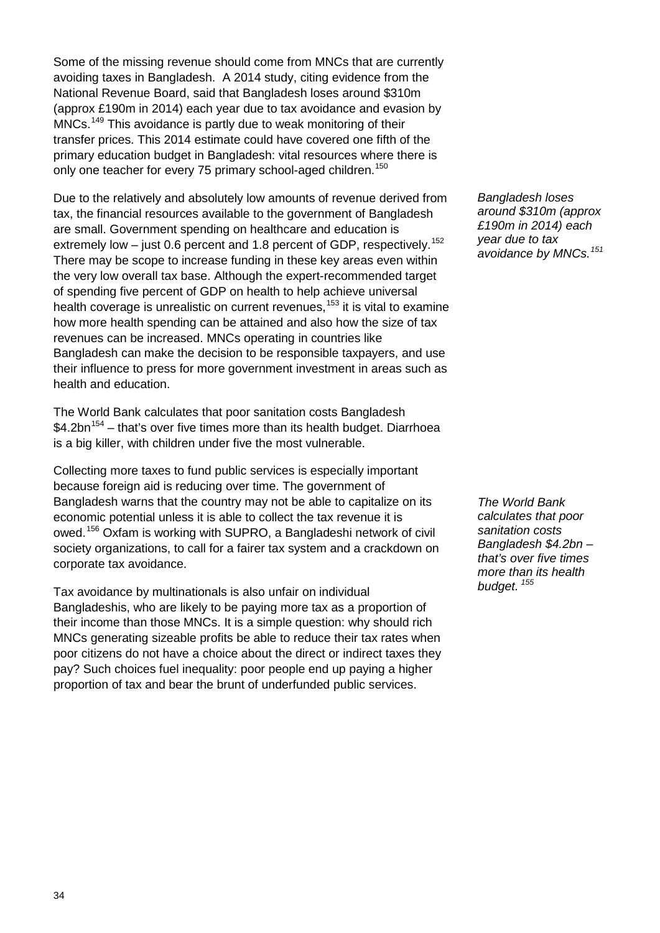Some of the missing revenue should come from MNCs that are currently avoiding taxes in Bangladesh. A 2014 study, citing evidence from the National Revenue Board, said that Bangladesh loses around \$310m (approx £190m in 2014) each year due to tax avoidance and evasion by MNCs.<sup>[149](#page-52-13)</sup> This avoidance is partly due to weak monitoring of their transfer prices. This 2014 estimate could have covered one fifth of the primary education budget in Bangladesh: vital resources where there is only one teacher for every 75 primary school-aged children.<sup>[150](#page-52-14)</sup>

Due to the relatively and absolutely low amounts of revenue derived from tax, the financial resources available to the government of Bangladesh are small. Government spending on healthcare and education is extremely low – just 0.6 percent and 1.8 percent of GDP, respectively.<sup>[152](#page-52-15)</sup> There may be scope to increase funding in these key areas even within the very low overall tax base. Although the expert-recommended target of spending five percent of GDP on health to help achieve universal health coverage is unrealistic on current revenues,  $153$  it is vital to examine how more health spending can be attained and also how the size of tax revenues can be increased. MNCs operating in countries like Bangladesh can make the decision to be responsible taxpayers, and use their influence to press for more government investment in areas such as health and education.

The World Bank calculates that poor sanitation costs Bangladesh  $$4.2$ bn<sup>[154](#page-53-0)</sup> – that's over five times more than its health budget. Diarrhoea is a big killer, with children under five the most vulnerable.

Collecting more taxes to fund public services is especially important because foreign aid is reducing over time. The government of Bangladesh warns that the country may not be able to capitalize on its economic potential unless it is able to collect the tax revenue it is owed.[156](#page-53-1) Oxfam is working with SUPRO, a Bangladeshi network of civil society organizations, to call for a fairer tax system and a crackdown on corporate tax avoidance.

Tax avoidance by multinationals is also unfair on individual Bangladeshis, who are likely to be paying more tax as a proportion of their income than those MNCs. It is a simple question: why should rich MNCs generating sizeable profits be able to reduce their tax rates when poor citizens do not have a choice about the direct or indirect taxes they pay? Such choices fuel inequality: poor people end up paying a higher proportion of tax and bear the brunt of underfunded public services.

*Bangladesh loses around \$310m (approx £190m in 2014) each year due to tax avoidance by MNCs. [151](#page-52-17)*

*The World Bank calculates that poor sanitation costs Bangladesh \$4.2bn – that's over five times more than its health budget. [155](#page-53-2)*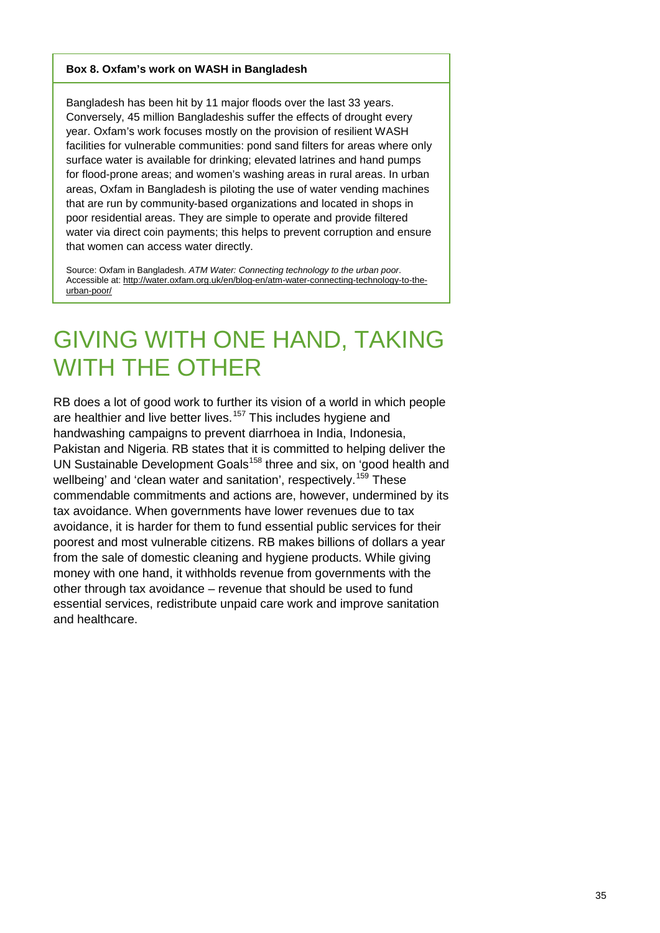#### **Box 8. Oxfam's work on WASH in Bangladesh**

Bangladesh has been hit by 11 major floods over the last 33 years. Conversely, 45 million Bangladeshis suffer the effects of drought every year. Oxfam's work focuses mostly on the provision of resilient WASH facilities for vulnerable communities: pond sand filters for areas where only surface water is available for drinking; elevated latrines and hand pumps for flood-prone areas; and women's washing areas in rural areas. In urban areas, Oxfam in Bangladesh is piloting the use of water vending machines that are run by community-based organizations and located in shops in poor residential areas. They are simple to operate and provide filtered water via direct coin payments; this helps to prevent corruption and ensure that women can access water directly.

Source: Oxfam in Bangladesh. *ATM Water: Connecting technology to the urban poor*. Accessible at: [http://water.oxfam.org.uk/en/blog-en/atm-water-connecting-technology-to-the](http://water.oxfam.org.uk/en/blog-en/atm-water-connecting-technology-to-the-urban-poor/)[urban-poor/](http://water.oxfam.org.uk/en/blog-en/atm-water-connecting-technology-to-the-urban-poor/)

### GIVING WITH ONE HAND, TAKING WITH THE OTHER

RB does a lot of good work to further its vision of a world in which people are healthier and live better lives.<sup>[157](#page-53-3)</sup> This includes hygiene and handwashing campaigns to prevent diarrhoea in India, Indonesia, Pakistan and Nigeria. RB states that it is committed to helping deliver the UN Sustainable Development Goals<sup>[158](#page-53-4)</sup> three and six, on 'good health and wellbeing' and 'clean water and sanitation', respectively.<sup>[159](#page-53-5)</sup> These commendable commitments and actions are, however, undermined by its tax avoidance. When governments have lower revenues due to tax avoidance, it is harder for them to fund essential public services for their poorest and most vulnerable citizens. RB makes billions of dollars a year from the sale of domestic cleaning and hygiene products. While giving money with one hand, it withholds revenue from governments with the other through tax avoidance – revenue that should be used to fund essential services, redistribute unpaid care work and improve sanitation and healthcare.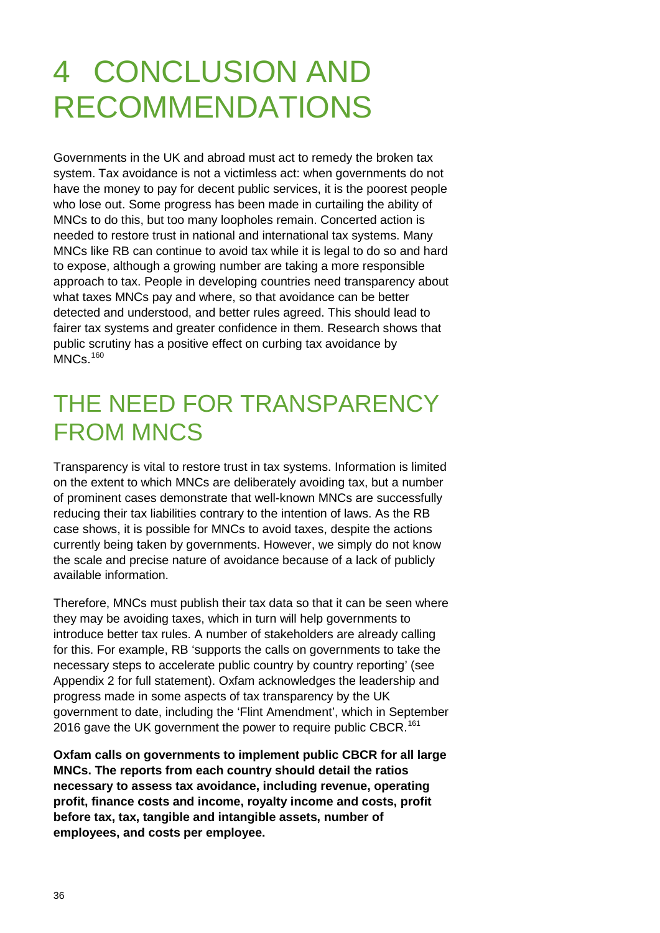# 4 CONCLUSION AND RECOMMENDATIONS

Governments in the UK and abroad must act to remedy the broken tax system. Tax avoidance is not a victimless act: when governments do not have the money to pay for decent public services, it is the poorest people who lose out. Some progress has been made in curtailing the ability of MNCs to do this, but too many loopholes remain. Concerted action is needed to restore trust in national and international tax systems. Many MNCs like RB can continue to avoid tax while it is legal to do so and hard to expose, although a growing number are taking a more responsible approach to tax. People in developing countries need transparency about what taxes MNCs pay and where, so that avoidance can be better detected and understood, and better rules agreed. This should lead to fairer tax systems and greater confidence in them. Research shows that public scrutiny has a positive effect on curbing tax avoidance by MNCs.<sup>[160](#page-53-6)</sup>

### THE NEED FOR TRANSPARENCY FROM MNCS

Transparency is vital to restore trust in tax systems. Information is limited on the extent to which MNCs are deliberately avoiding tax, but a number of prominent cases demonstrate that well-known MNCs are successfully reducing their tax liabilities contrary to the intention of laws. As the RB case shows, it is possible for MNCs to avoid taxes, despite the actions currently being taken by governments. However, we simply do not know the scale and precise nature of avoidance because of a lack of publicly available information.

Therefore, MNCs must publish their tax data so that it can be seen where they may be avoiding taxes, which in turn will help governments to introduce better tax rules. A number of stakeholders are already calling for this. For example, RB 'supports the calls on governments to take the necessary steps to accelerate public country by country reporting' (see Appendix 2 for full statement). Oxfam acknowledges the leadership and progress made in some aspects of tax transparency by the UK government to date, including the 'Flint Amendment', which in September 2016 gave the UK government the power to require public CBCR.<sup>[161](#page-53-7)</sup>

**Oxfam calls on governments to implement public CBCR for all large MNCs. The reports from each country should detail the ratios necessary to assess tax avoidance, including revenue, operating profit, finance costs and income, royalty income and costs, profit before tax, tax, tangible and intangible assets, number of employees, and costs per employee.**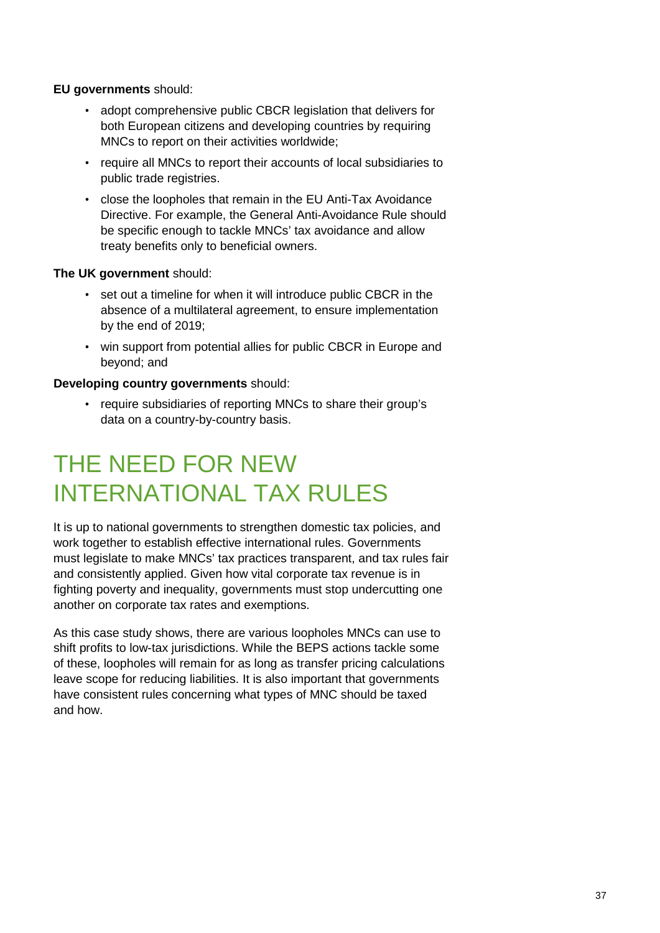#### **EU governments** should:

- adopt comprehensive public CBCR legislation that delivers for both European citizens and developing countries by requiring MNCs to report on their activities worldwide;
- require all MNCs to report their accounts of local subsidiaries to public trade registries.
- close the loopholes that remain in the EU Anti-Tax Avoidance Directive. For example, the General Anti-Avoidance Rule should be specific enough to tackle MNCs' tax avoidance and allow treaty benefits only to beneficial owners.

#### **The UK government** should:

- set out a timeline for when it will introduce public CBCR in the absence of a multilateral agreement, to ensure implementation by the end of 2019;
- win support from potential allies for public CBCR in Europe and beyond; and

#### **Developing country governments** should:

• require subsidiaries of reporting MNCs to share their group's data on a country-by-country basis.

### THE NEED FOR NEW INTERNATIONAL TAX RULES

It is up to national governments to strengthen domestic tax policies, and work together to establish effective international rules. Governments must legislate to make MNCs' tax practices transparent, and tax rules fair and consistently applied. Given how vital corporate tax revenue is in fighting poverty and inequality, governments must stop undercutting one another on corporate tax rates and exemptions.

As this case study shows, there are various loopholes MNCs can use to shift profits to low-tax jurisdictions. While the BEPS actions tackle some of these, loopholes will remain for as long as transfer pricing calculations leave scope for reducing liabilities. It is also important that governments have consistent rules concerning what types of MNC should be taxed and how.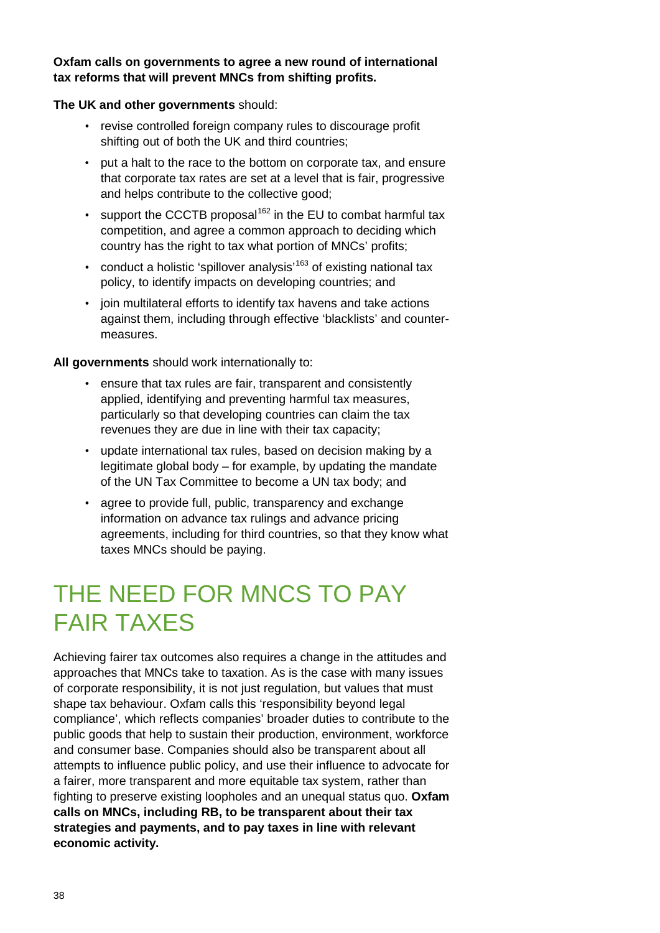#### **Oxfam calls on governments to agree a new round of international tax reforms that will prevent MNCs from shifting profits.**

#### **The UK and other governments** should:

- revise controlled foreign company rules to discourage profit shifting out of both the UK and third countries;
- put a halt to the race to the bottom on corporate tax, and ensure that corporate tax rates are set at a level that is fair, progressive and helps contribute to the collective good;
- support the CCCTB proposal<sup>[162](#page-53-8)</sup> in the EU to combat harmful tax competition, and agree a common approach to deciding which country has the right to tax what portion of MNCs' profits;
- conduct a holistic 'spillover analysis'<sup>[163](#page-53-9)</sup> of existing national tax policy, to identify impacts on developing countries; and
- join multilateral efforts to identify tax havens and take actions against them, including through effective 'blacklists' and countermeasures.

**All governments** should work internationally to:

- ensure that tax rules are fair, transparent and consistently applied, identifying and preventing harmful tax measures, particularly so that developing countries can claim the tax revenues they are due in line with their tax capacity;
- update international tax rules, based on decision making by a legitimate global body – for example, by updating the mandate of the UN Tax Committee to become a UN tax body; and
- agree to provide full, public, transparency and exchange information on advance tax rulings and advance pricing agreements, including for third countries, so that they know what taxes MNCs should be paying.

### THE NEED FOR MNCS TO PAY FAIR TAXES

Achieving fairer tax outcomes also requires a change in the attitudes and approaches that MNCs take to taxation. As is the case with many issues of corporate responsibility, it is not just regulation, but values that must shape tax behaviour. Oxfam calls this 'responsibility beyond legal compliance', which reflects companies' broader duties to contribute to the public goods that help to sustain their production, environment, workforce and consumer base. Companies should also be transparent about all attempts to influence public policy, and use their influence to advocate for a fairer, more transparent and more equitable tax system, rather than fighting to preserve existing loopholes and an unequal status quo. **Oxfam calls on MNCs, including RB, to be transparent about their tax strategies and payments, and to pay taxes in line with relevant economic activity.**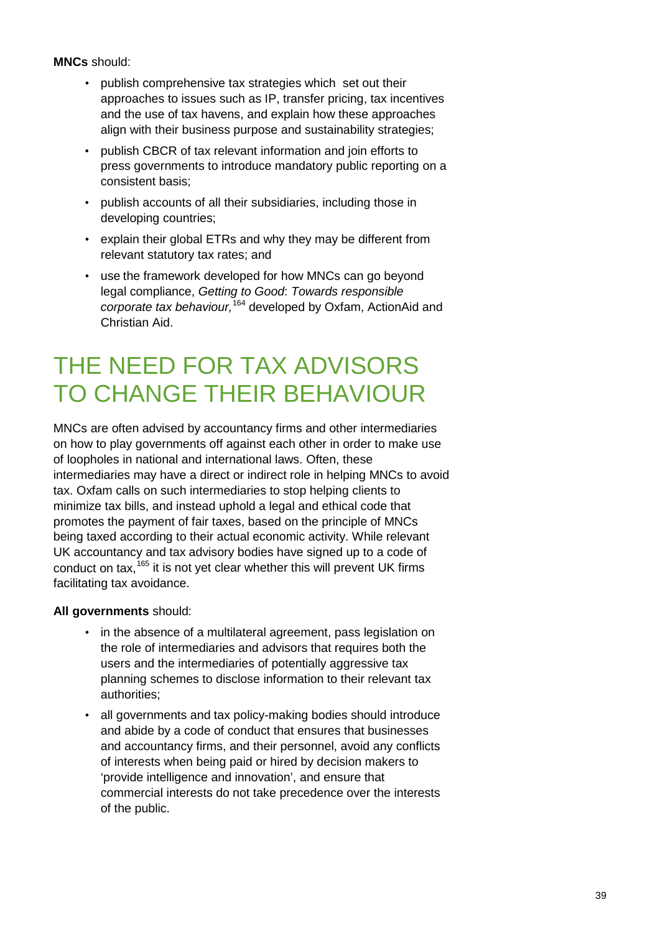**MNCs** should:

- publish comprehensive tax strategies which set out their approaches to issues such as IP, transfer pricing, tax incentives and the use of tax havens, and explain how these approaches align with their business purpose and sustainability strategies;
- publish CBCR of tax relevant information and join efforts to press governments to introduce mandatory public reporting on a consistent basis;
- publish accounts of all their subsidiaries, including those in developing countries;
- explain their global ETRs and why they may be different from relevant statutory tax rates; and
- use the framework developed for how MNCs can go beyond legal compliance, *Getting to Good*: *Towards responsible corporate tax behaviour,* [164](#page-53-10) developed by Oxfam, ActionAid and Christian Aid.

### THE NEED FOR TAX ADVISORS TO CHANGE THEIR BEHAVIOUR

MNCs are often advised by accountancy firms and other intermediaries on how to play governments off against each other in order to make use of loopholes in national and international laws. Often, these intermediaries may have a direct or indirect role in helping MNCs to avoid tax. Oxfam calls on such intermediaries to stop helping clients to minimize tax bills, and instead uphold a legal and ethical code that promotes the payment of fair taxes, based on the principle of MNCs being taxed according to their actual economic activity. While relevant UK accountancy and tax advisory bodies have signed up to a code of conduct on tax,  $165$  it is not yet clear whether this will prevent UK firms facilitating tax avoidance.

#### **All governments** should:

- in the absence of a multilateral agreement, pass legislation on the role of intermediaries and advisors that requires both the users and the intermediaries of potentially aggressive tax planning schemes to disclose information to their relevant tax authorities;
- all governments and tax policy-making bodies should introduce and abide by a code of conduct that ensures that businesses and accountancy firms, and their personnel, avoid any conflicts of interests when being paid or hired by decision makers to 'provide intelligence and innovation', and ensure that commercial interests do not take precedence over the interests of the public.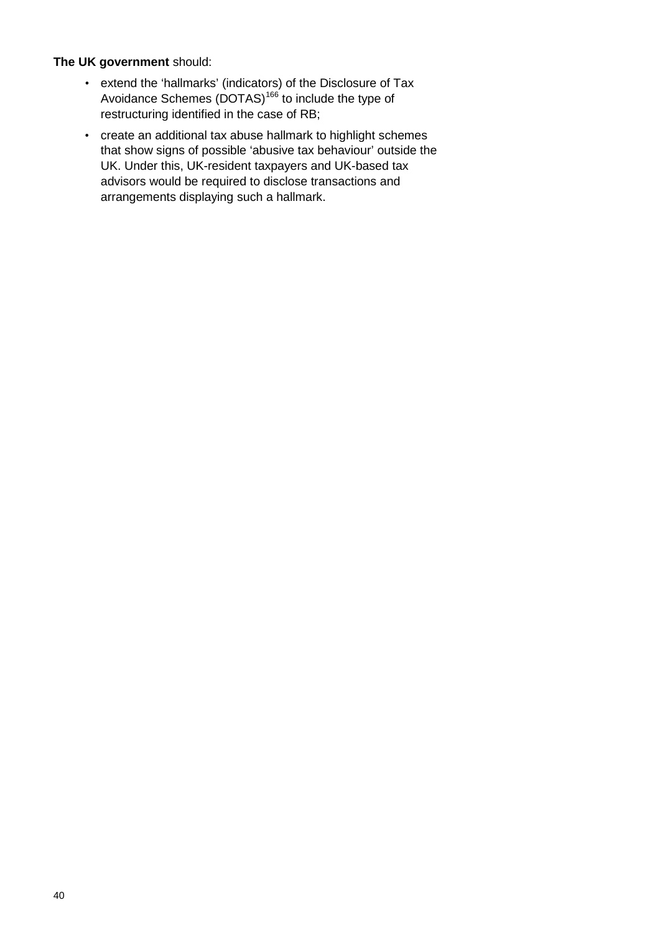#### **The UK government** should:

- extend the 'hallmarks' (indicators) of the Disclosure of Tax Avoidance Schemes (DOTAS)<sup>[166](#page-53-12)</sup> to include the type of restructuring identified in the case of RB;
- create an additional tax abuse hallmark to highlight schemes that show signs of possible 'abusive tax behaviour' outside the UK. Under this, UK-resident taxpayers and UK-based tax advisors would be required to disclose transactions and arrangements displaying such a hallmark.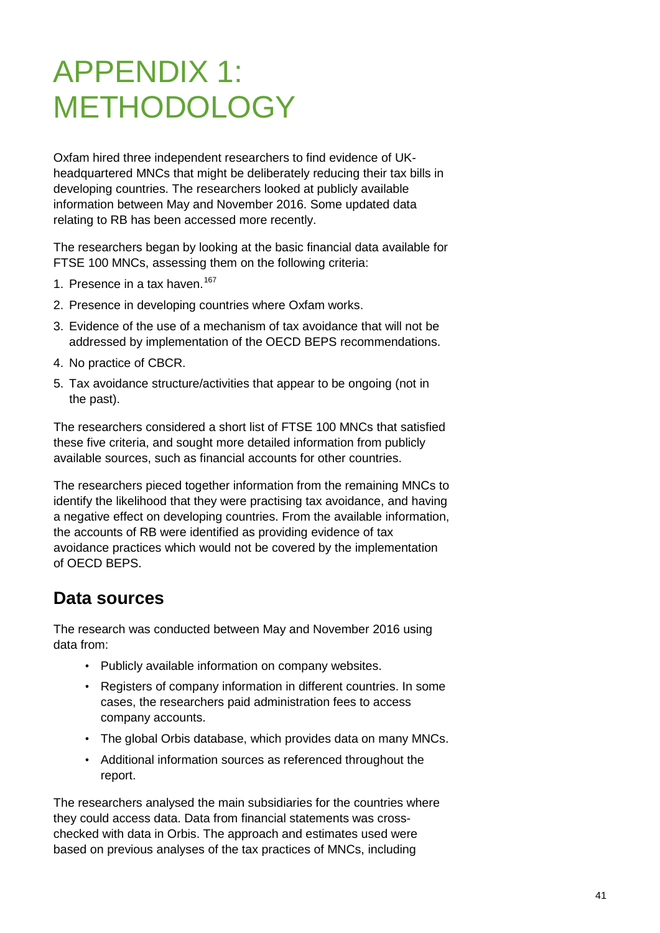# APPENDIX 1: **METHODOLOGY**

Oxfam hired three independent researchers to find evidence of UKheadquartered MNCs that might be deliberately reducing their tax bills in developing countries. The researchers looked at publicly available information between May and November 2016. Some updated data relating to RB has been accessed more recently.

The researchers began by looking at the basic financial data available for FTSE 100 MNCs, assessing them on the following criteria:

- 1. Presence in a tax haven. [167](#page-53-13)
- 2. Presence in developing countries where Oxfam works.
- 3. Evidence of the use of a mechanism of tax avoidance that will not be addressed by implementation of the OECD BEPS recommendations.
- 4. No practice of CBCR.
- 5. Tax avoidance structure/activities that appear to be ongoing (not in the past).

The researchers considered a short list of FTSE 100 MNCs that satisfied these five criteria, and sought more detailed information from publicly available sources, such as financial accounts for other countries.

The researchers pieced together information from the remaining MNCs to identify the likelihood that they were practising tax avoidance, and having a negative effect on developing countries. From the available information, the accounts of RB were identified as providing evidence of tax avoidance practices which would not be covered by the implementation of OECD BEPS.

### **Data sources**

The research was conducted between May and November 2016 using data from:

- Publicly available information on company websites.
- Registers of company information in different countries. In some cases, the researchers paid administration fees to access company accounts.
- The global Orbis database, which provides data on many MNCs.
- Additional information sources as referenced throughout the report.

The researchers analysed the main subsidiaries for the countries where they could access data. Data from financial statements was crosschecked with data in Orbis. The approach and estimates used were based on previous analyses of the tax practices of MNCs, including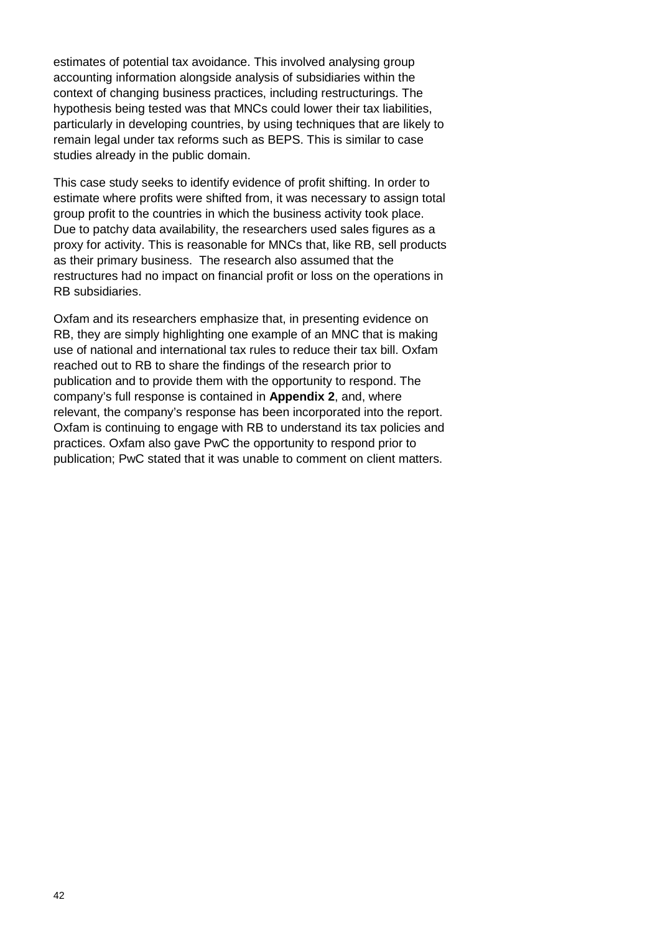estimates of potential tax avoidance. This involved analysing group accounting information alongside analysis of subsidiaries within the context of changing business practices, including restructurings. The hypothesis being tested was that MNCs could lower their tax liabilities, particularly in developing countries, by using techniques that are likely to remain legal under tax reforms such as BEPS. This is similar to case studies already in the public domain.

This case study seeks to identify evidence of profit shifting. In order to estimate where profits were shifted from, it was necessary to assign total group profit to the countries in which the business activity took place. Due to patchy data availability, the researchers used sales figures as a proxy for activity. This is reasonable for MNCs that, like RB, sell products as their primary business. The research also assumed that the restructures had no impact on financial profit or loss on the operations in RB subsidiaries.

Oxfam and its researchers emphasize that, in presenting evidence on RB, they are simply highlighting one example of an MNC that is making use of national and international tax rules to reduce their tax bill. Oxfam reached out to RB to share the findings of the research prior to publication and to provide them with the opportunity to respond. The company's full response is contained in **Appendix 2**, and, where relevant, the company's response has been incorporated into the report. Oxfam is continuing to engage with RB to understand its tax policies and practices. Oxfam also gave PwC the opportunity to respond prior to publication; PwC stated that it was unable to comment on client matters.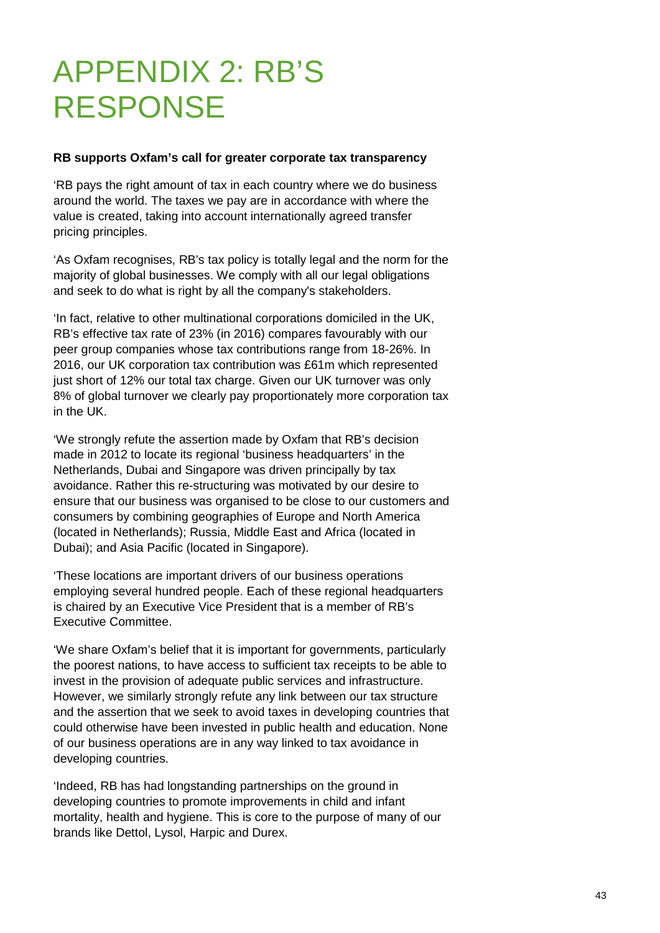# APPENDIX 2: RB'S RESPONSE

#### **RB supports Oxfam's call for greater corporate tax transparency**

'RB pays the right amount of tax in each country where we do business around the world. The taxes we pay are in accordance with where the value is created, taking into account internationally agreed transfer pricing principles.

'As Oxfam recognises, RB's tax policy is totally legal and the norm for the majority of global businesses. We comply with all our legal obligations and seek to do what is right by all the company's stakeholders.

'In fact, relative to other multinational corporations domiciled in the UK, RB's effective tax rate of 23% (in 2016) compares favourably with our peer group companies whose tax contributions range from 18-26%. In 2016, our UK corporation tax contribution was £61m which represented just short of 12% our total tax charge. Given our UK turnover was only 8% of global turnover we clearly pay proportionately more corporation tax in the UK.

'We strongly refute the assertion made by Oxfam that RB's decision made in 2012 to locate its regional 'business headquarters' in the Netherlands, Dubai and Singapore was driven principally by tax avoidance. Rather this re-structuring was motivated by our desire to ensure that our business was organised to be close to our customers and consumers by combining geographies of Europe and North America (located in Netherlands); Russia, Middle East and Africa (located in Dubai); and Asia Pacific (located in Singapore).

'These locations are important drivers of our business operations employing several hundred people. Each of these regional headquarters is chaired by an Executive Vice President that is a member of RB's Executive Committee.

'We share Oxfam's belief that it is important for governments, particularly the poorest nations, to have access to sufficient tax receipts to be able to invest in the provision of adequate public services and infrastructure. However, we similarly strongly refute any link between our tax structure and the assertion that we seek to avoid taxes in developing countries that could otherwise have been invested in public health and education. None of our business operations are in any way linked to tax avoidance in developing countries.

'Indeed, RB has had longstanding partnerships on the ground in developing countries to promote improvements in child and infant mortality, health and hygiene. This is core to the purpose of many of our brands like Dettol, Lysol, Harpic and Durex.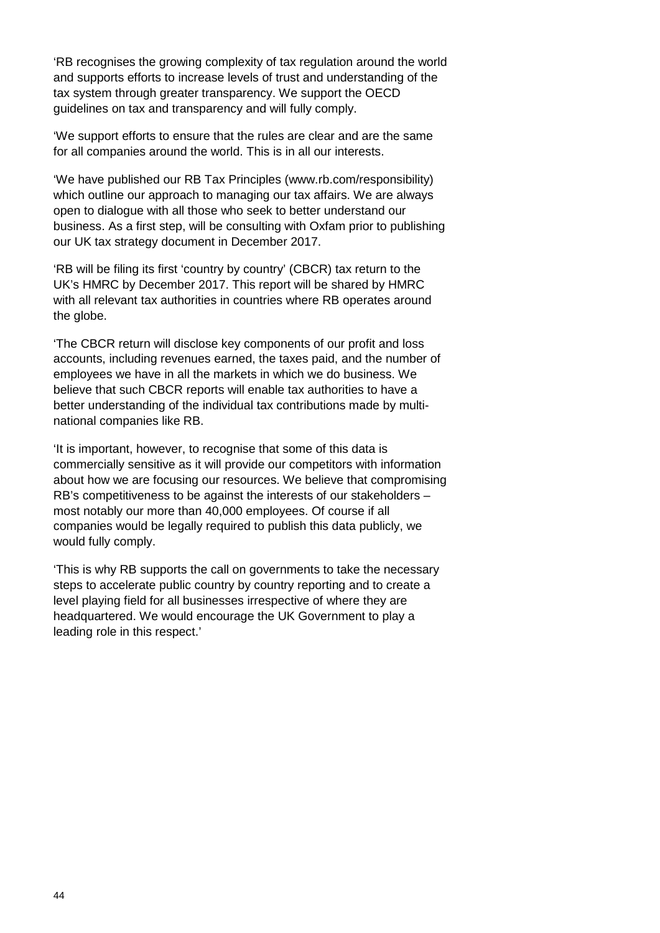'RB recognises the growing complexity of tax regulation around the world and supports efforts to increase levels of trust and understanding of the tax system through greater transparency. We support the OECD guidelines on tax and transparency and will fully comply.

'We support efforts to ensure that the rules are clear and are the same for all companies around the world. This is in all our interests.

'We have published our RB Tax Principles (www.rb.com/responsibility) which outline our approach to managing our tax affairs. We are always open to dialogue with all those who seek to better understand our business. As a first step, will be consulting with Oxfam prior to publishing our UK tax strategy document in December 2017.

'RB will be filing its first 'country by country' (CBCR) tax return to the UK's HMRC by December 2017. This report will be shared by HMRC with all relevant tax authorities in countries where RB operates around the globe.

'The CBCR return will disclose key components of our profit and loss accounts, including revenues earned, the taxes paid, and the number of employees we have in all the markets in which we do business. We believe that such CBCR reports will enable tax authorities to have a better understanding of the individual tax contributions made by multinational companies like RB.

'It is important, however, to recognise that some of this data is commercially sensitive as it will provide our competitors with information about how we are focusing our resources. We believe that compromising RB's competitiveness to be against the interests of our stakeholders – most notably our more than 40,000 employees. Of course if all companies would be legally required to publish this data publicly, we would fully comply.

'This is why RB supports the call on governments to take the necessary steps to accelerate public country by country reporting and to create a level playing field for all businesses irrespective of where they are headquartered. We would encourage the UK Government to play a leading role in this respect.'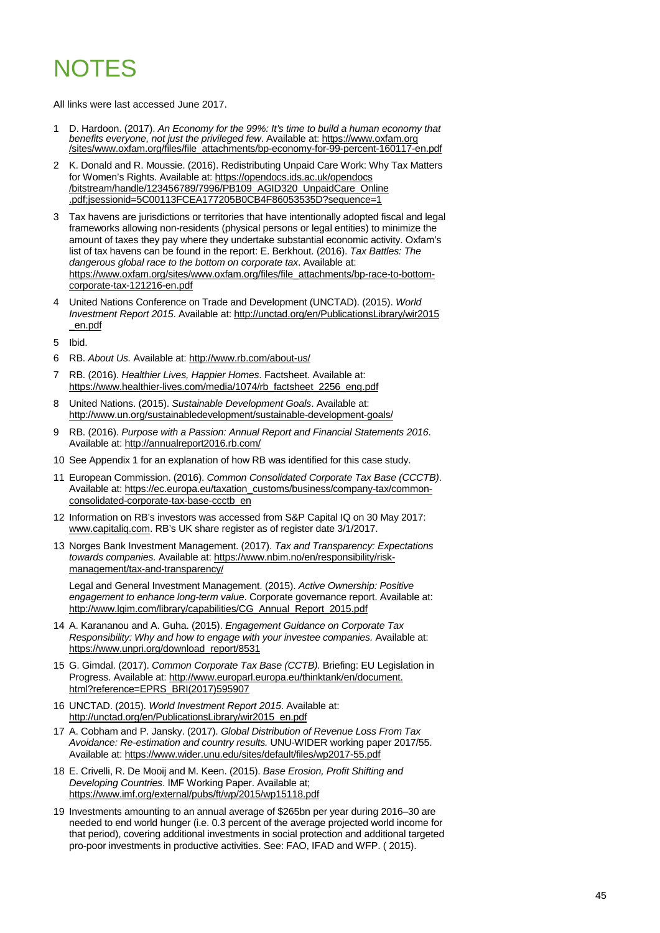### NOTES

All links were last accessed June 2017.

- <span id="page-44-0"></span>1 D. Hardoon. (2017). *An Economy for the 99%: It's time to build a human economy that benefits everyone, not just the privileged few*. Available at[: https://www.oxfam.org](https://www.oxfam.org/sites/www.oxfam.org/files/file_attachments/bp-economy-for-99-percent-160117-en.pdf) [/sites/www.oxfam.org/files/file\\_attachments/bp-economy-for-99-percent-160117-en.pdf](https://www.oxfam.org/sites/www.oxfam.org/files/file_attachments/bp-economy-for-99-percent-160117-en.pdf)
- <span id="page-44-1"></span>2 K. Donald and R. Moussie. (2016). Redistributing Unpaid Care Work: Why Tax Matters for Women's Rights. Available at: [https://opendocs.ids.ac.uk/opendocs](https://opendocs.ids.ac.uk/opendocs/bitstream/handle/123456789/7996/PB109_AGID320_UnpaidCare_Online.pdf;jsessionid=5C00113FCEA177205B0CB4F86053535D?sequence=1) [/bitstream/handle/123456789/7996/PB109\\_AGID320\\_UnpaidCare\\_Online](https://opendocs.ids.ac.uk/opendocs/bitstream/handle/123456789/7996/PB109_AGID320_UnpaidCare_Online.pdf;jsessionid=5C00113FCEA177205B0CB4F86053535D?sequence=1) [.pdf;jsessionid=5C00113FCEA177205B0CB4F86053535D?sequence=1](https://opendocs.ids.ac.uk/opendocs/bitstream/handle/123456789/7996/PB109_AGID320_UnpaidCare_Online.pdf;jsessionid=5C00113FCEA177205B0CB4F86053535D?sequence=1)
- <span id="page-44-2"></span>3 Tax havens are jurisdictions or territories that have intentionally adopted fiscal and legal frameworks allowing non-residents (physical persons or legal entities) to minimize the amount of taxes they pay where they undertake substantial economic activity. Oxfam's list of tax havens can be found in the report: E. Berkhout. (2016). *Tax Battles: The dangerous global race to the bottom on corporate tax*. Available at: [https://www.oxfam.org/sites/www.oxfam.org/files/file\\_attachments/bp-race-to-bottom](https://www.oxfam.org/sites/www.oxfam.org/files/file_attachments/bp-race-to-bottom-corporate-tax-121216-en.pdf)[corporate-tax-121216-en.pdf](https://www.oxfam.org/sites/www.oxfam.org/files/file_attachments/bp-race-to-bottom-corporate-tax-121216-en.pdf)
- <span id="page-44-3"></span>4 United Nations Conference on Trade and Development (UNCTAD). (2015). *World Investment Report 2015*. Available at: [http://unctad.org/en/PublicationsLibrary/wir2015](http://unctad.org/en/PublicationsLibrary/wir2015_en.pdf) [\\_en.pdf](http://unctad.org/en/PublicationsLibrary/wir2015_en.pdf)
- 5 Ibid.
- <span id="page-44-4"></span>6 RB. *About Us.* Available at: <http://www.rb.com/about-us/>
- <span id="page-44-5"></span>7 RB. (2016). *Healthier Lives, Happier Homes*. Factsheet. Available at: [https://www.healthier-lives.com/media/1074/rb\\_factsheet\\_2256\\_eng.pdf](https://www.healthier-lives.com/media/1074/rb_factsheet_2256_eng.pdf)
- <span id="page-44-6"></span>8 United Nations. (2015). *Sustainable Development Goals*. Available at: <http://www.un.org/sustainabledevelopment/sustainable-development-goals/>
- <span id="page-44-7"></span>9 RB. (2016). *Purpose with a Passion: Annual Report and Financial Statements 2016*. Available at[: http://annualreport2016.rb.com/](http://annualreport2016.rb.com/)
- <span id="page-44-8"></span>10 See Appendix 1 for an explanation of how RB was identified for this case study.
- <span id="page-44-9"></span>11 European Commission. (2016). *Common Consolidated Corporate Tax Base (CCCTB)*. Available at[: https://ec.europa.eu/taxation\\_customs/business/company-tax/common](https://ec.europa.eu/taxation_customs/business/company-tax/common-consolidated-corporate-tax-base-ccctb_en)[consolidated-corporate-tax-base-ccctb\\_en](https://ec.europa.eu/taxation_customs/business/company-tax/common-consolidated-corporate-tax-base-ccctb_en)
- <span id="page-44-10"></span>12 Information on RB's investors was accessed from S&P Capital IQ on 30 May 2017: www.capitaliq.com. RB's UK share register as of register date 3/1/2017.
- <span id="page-44-11"></span>13 Norges Bank Investment Management. (2017). *Tax and Transparency: Expectations towards companies.* Available at: [https://www.nbim.no/en/responsibility/risk](https://www.nbim.no/en/responsibility/risk-management/tax-and-transparency/)[management/tax-and-transparency/](https://www.nbim.no/en/responsibility/risk-management/tax-and-transparency/)

Legal and General Investment Management. (2015). *Active Ownership: Positive engagement to enhance long-term value*. Corporate governance report. Available at: [http://www.lgim.com/library/capabilities/CG\\_Annual\\_Report\\_2015.pdf](http://www.lgim.com/library/capabilities/CG_Annual_Report_2015.pdf)

- <span id="page-44-12"></span>14 A. Karananou and A. Guha. (2015). *Engagement Guidance on Corporate Tax Responsibility: Why and how to engage with your investee companies.* Available at: [https://www.unpri.org/download\\_report/8531](https://www.unpri.org/download_report/8531)
- <span id="page-44-13"></span>15 G. Gimdal. (2017). *Common Corporate Tax Base (CCTB).* Briefing: EU Legislation in Progress. Available at[: http://www.europarl.europa.eu/thinktank/en/document.](http://www.europarl.europa.eu/thinktank/en/document.html?reference=EPRS_BRI(2017)595907) [html?reference=EPRS\\_BRI\(2017\)595907](http://www.europarl.europa.eu/thinktank/en/document.html?reference=EPRS_BRI(2017)595907)
- <span id="page-44-17"></span>16 UNCTAD. (2015). *World Investment Report 2015*. Available at: [http://unctad.org/en/PublicationsLibrary/wir2015\\_en.pdf](http://unctad.org/en/PublicationsLibrary/wir2015_en.pdf)
- <span id="page-44-14"></span>17 A. Cobham and P. Jansky. (2017). *Global Distribution of Revenue Loss From Tax Avoidance: Re-estimation and country results.* UNU-WIDER working paper 2017/55. Available at[: https://www.wider.unu.edu/sites/default/files/wp2017-55.pdf](https://www.wider.unu.edu/sites/default/files/wp2017-55.pdf)
- <span id="page-44-15"></span>18 E. Crivelli, R. De Mooij and M. Keen. (2015). *Base Erosion, Profit Shifting and Developing Countries*. IMF Working Paper. Available at; <https://www.imf.org/external/pubs/ft/wp/2015/wp15118.pdf>
- <span id="page-44-16"></span>19 Investments amounting to an annual average of \$265bn per year during 2016–30 are needed to end world hunger (i.e. 0.3 percent of the average projected world income for that period), covering additional investments in social protection and additional targeted pro-poor investments in productive activities. See: FAO, IFAD and WFP. ( 2015).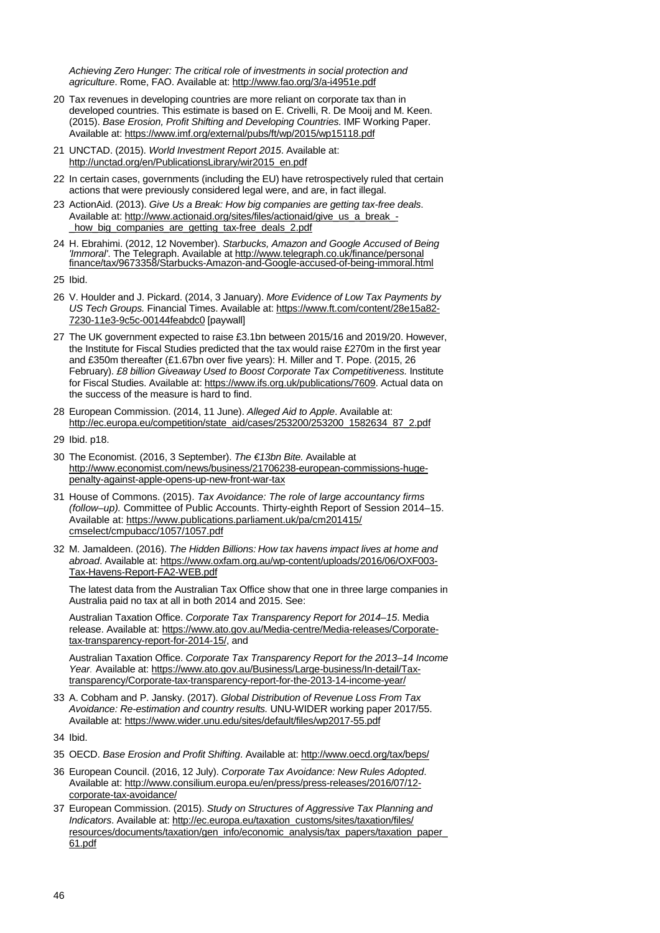*Achieving Zero Hunger: The critical role of investments in social protection and agriculture*. Rome, FAO. Available at[: http://www.fao.org/3/a-i4951e.pdf](http://www.fao.org/3/a-i4951e.pdf)

- <span id="page-45-0"></span>20 Tax revenues in developing countries are more reliant on corporate tax than in developed countries. This estimate is based on E. Crivelli, R. De Mooij and M. Keen. (2015). *Base Erosion, Profit Shifting and Developing Countries*. IMF Working Paper. Available at[: https://www.imf.org/external/pubs/ft/wp/2015/wp15118.pdf](https://www.imf.org/external/pubs/ft/wp/2015/wp15118.pdf)
- <span id="page-45-1"></span>21 UNCTAD. (2015). *World Investment Report 2015*. Available at: [http://unctad.org/en/PublicationsLibrary/wir2015\\_en.pdf](http://unctad.org/en/PublicationsLibrary/wir2015_en.pdf)
- <span id="page-45-2"></span>22 In certain cases, governments (including the EU) have retrospectively ruled that certain actions that were previously considered legal were, and are, in fact illegal.
- <span id="page-45-3"></span>23 ActionAid. (2013). *Give Us a Break: How big companies are getting tax-free deals*. Available at[: http://www.actionaid.org/sites/files/actionaid/give\\_us\\_a\\_break\\_](http://www.actionaid.org/sites/files/actionaid/give_us_a_break_-_how_big_companies_are_getting_tax-free_deals_2.pdf) how big companies are getting tax-free deals 2.pdf
- <span id="page-45-4"></span>24 H. Ebrahimi. (2012, 12 November). *Starbucks, Amazon and Google Accused of Being 'Immoral'*. The Telegraph. Available at [http://www.telegraph.co.uk/finance/personal](http://www.telegraph.co.uk/finance/personalfinance/tax/9673358/Starbucks-Amazon-and-Google-accused-of-being-immoral.html) [finance/tax/9673358/Starbucks-Amazon-and-Google-accused-of-being-immoral.html](http://www.telegraph.co.uk/finance/personalfinance/tax/9673358/Starbucks-Amazon-and-Google-accused-of-being-immoral.html)
- <span id="page-45-5"></span>25 Ibid.
- <span id="page-45-6"></span>26 V. Houlder and J. Pickard. (2014, 3 January). *More Evidence of Low Tax Payments by US Tech Groups.* Financial Times. Available at[: https://www.ft.com/content/28e15a82-](https://www.ft.com/content/28e15a82-7230-11e3-9c5c-00144feabdc0) [7230-11e3-9c5c-00144feabdc0](https://www.ft.com/content/28e15a82-7230-11e3-9c5c-00144feabdc0) [paywall]
- <span id="page-45-7"></span>27 The UK government expected to raise £3.1bn between 2015/16 and 2019/20. However, the Institute for Fiscal Studies predicted that the tax would raise £270m in the first year and £350m thereafter (£1.67bn over five years): H. Miller and T. Pope. (2015, 26 February). *£8 billion Giveaway Used to Boost Corporate Tax Competitiveness.* Institute for Fiscal Studies. Available at[: https://www.ifs.org.uk/publications/7609.](https://www.ifs.org.uk/publications/7609) Actual data on the success of the measure is hard to find.
- <span id="page-45-8"></span>28 European Commission. (2014, 11 June). *Alleged Aid to Apple*. Available at: [http://ec.europa.eu/competition/state\\_aid/cases/253200/253200\\_1582634\\_87\\_2.pdf](http://ec.europa.eu/competition/state_aid/cases/253200/253200_1582634_87_2.pdf)
- <span id="page-45-9"></span>29 Ibid. p18.
- <span id="page-45-10"></span>30 The Economist. (2016, 3 September). *The €13bn Bite.* Available at [http://www.economist.com/news/business/21706238-european-commissions-huge](http://www.economist.com/news/business/21706238-european-commissions-huge-penalty-against-apple-opens-up-new-front-war-tax)[penalty-against-apple-opens-up-new-front-war-tax](http://www.economist.com/news/business/21706238-european-commissions-huge-penalty-against-apple-opens-up-new-front-war-tax)
- <span id="page-45-11"></span>31 House of Commons. (2015). *Tax Avoidance: The role of large accountancy firms (follow–up).* Committee of Public Accounts. Thirty-eighth Report of Session 2014–15. Available at: [https://www.publications.parliament.uk/pa/cm201415/](https://www.publications.parliament.uk/pa/cm201415/cmselect/cmpubacc/1057/1057.pdf) [cmselect/cmpubacc/1057/1057.pdf](https://www.publications.parliament.uk/pa/cm201415/cmselect/cmpubacc/1057/1057.pdf)
- <span id="page-45-12"></span>32 M. Jamaldeen. (2016). *The Hidden Billions: How tax havens impact lives at home and abroad*. Available at: [https://www.oxfam.org.au/wp-content/uploads/2016/06/OXF003-](https://www.oxfam.org.au/wp-content/uploads/2016/06/OXF003-Tax-Havens-Report-FA2-WEB.pdf) [Tax-Havens-Report-FA2-WEB.pdf](https://www.oxfam.org.au/wp-content/uploads/2016/06/OXF003-Tax-Havens-Report-FA2-WEB.pdf)

The latest data from the Australian Tax Office show that one in three large companies in Australia paid no tax at all in both 2014 and 2015. See:

Australian Taxation Office. *Corporate Tax Transparency Report for 2014–15*. Media release. Available at[: https://www.ato.gov.au/Media-centre/Media-releases/Corporate](https://www.ato.gov.au/Media-centre/Media-releases/Corporate-tax-transparency-report-for-2014-15/)[tax-transparency-report-for-2014-15/,](https://www.ato.gov.au/Media-centre/Media-releases/Corporate-tax-transparency-report-for-2014-15/) and

Australian Taxation Office. *Corporate Tax Transparency Report for the 2013–14 Income Year*. Available at[: https://www.ato.gov.au/Business/Large-business/In-detail/Tax](https://www.ato.gov.au/Business/Large-business/In-detail/Tax-transparency/Corporate-tax-transparency-report-for-the-2013-14-income-year/)[transparency/Corporate-tax-transparency-report-for-the-2013-14-income-year/](https://www.ato.gov.au/Business/Large-business/In-detail/Tax-transparency/Corporate-tax-transparency-report-for-the-2013-14-income-year/)

- <span id="page-45-14"></span>33 A. Cobham and P. Jansky. (2017). *Global Distribution of Revenue Loss From Tax Avoidance: Re-estimation and country results.* UNU-WIDER working paper 2017/55. Available at[: https://www.wider.unu.edu/sites/default/files/wp2017-55.pdf](https://www.wider.unu.edu/sites/default/files/wp2017-55.pdf)
- <span id="page-45-13"></span>34 Ibid.
- <span id="page-45-15"></span>35 OECD. *Base Erosion and Profit Shifting*. Available at[: http://www.oecd.org/tax/beps/](http://www.oecd.org/tax/beps/)
- <span id="page-45-16"></span>36 European Council. (2016, 12 July). *Corporate Tax Avoidance: New Rules Adopted*. Available at[: http://www.consilium.europa.eu/en/press/press-releases/2016/07/12](http://www.consilium.europa.eu/en/press/press-releases/2016/07/12-corporate-tax-avoidance/) [corporate-tax-avoidance/](http://www.consilium.europa.eu/en/press/press-releases/2016/07/12-corporate-tax-avoidance/)
- <span id="page-45-17"></span>37 European Commission. (2015). *Study on Structures of Aggressive Tax Planning and Indicators*. Available at[: http://ec.europa.eu/taxation\\_customs/sites/taxation/files/](http://ec.europa.eu/taxation_customs/sites/taxation/files/resources/documents/taxation/gen_info/economic_analysis/tax_papers/taxation_paper_61.pdf) [resources/documents/taxation/gen\\_info/economic\\_analysis/tax\\_papers/taxation\\_paper\\_](http://ec.europa.eu/taxation_customs/sites/taxation/files/resources/documents/taxation/gen_info/economic_analysis/tax_papers/taxation_paper_61.pdf) [61.pdf](http://ec.europa.eu/taxation_customs/sites/taxation/files/resources/documents/taxation/gen_info/economic_analysis/tax_papers/taxation_paper_61.pdf)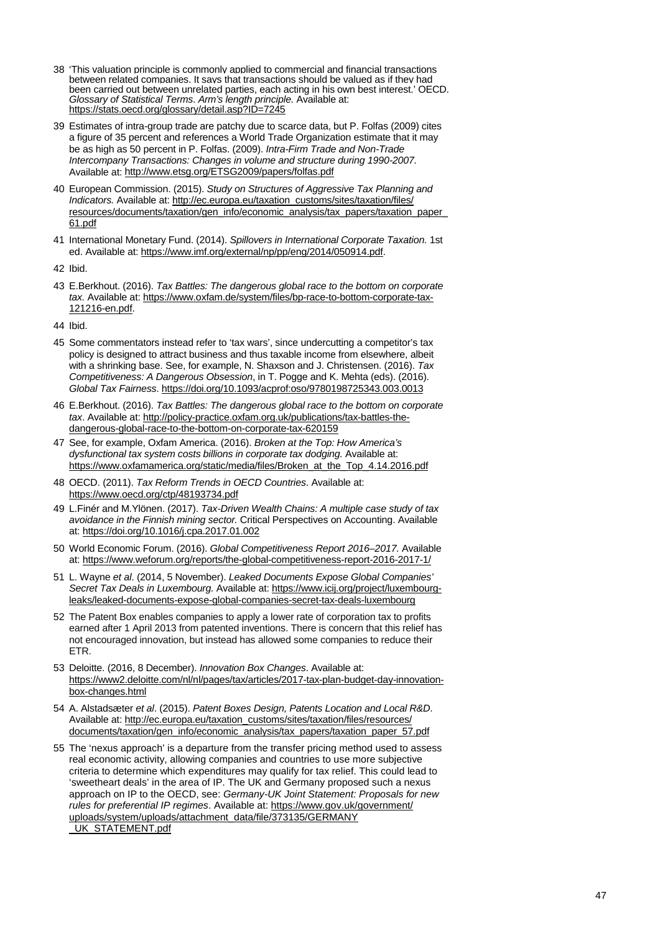- <span id="page-46-0"></span>38 'This valuation principle is commonly applied to commercial and financial transactions between related companies. It says that transactions should be valued as if they had been carried out between unrelated parties, each acting in his own best interest.' OECD. *Glossary of Statistical Terms*. *Arm's length principle.* Available at: <https://stats.oecd.org/glossary/detail.asp?ID=7245>
- <span id="page-46-1"></span>39 Estimates of intra-group trade are patchy due to scarce data, but P. Folfas (2009) cites a figure of 35 percent and references a World Trade Organization estimate that it may be as high as 50 percent in P. Folfas. (2009). *Intra-Firm Trade and Non-Trade Intercompany Transactions: Changes in volume and structure during 1990-2007.*  Available at[: http://www.etsg.org/ETSG2009/papers/folfas.pdf](http://www.etsg.org/ETSG2009/papers/folfas.pdf)
- <span id="page-46-2"></span>40 European Commission. (2015). *Study on Structures of Aggressive Tax Planning and Indicators.* Available at[: http://ec.europa.eu/taxation\\_customs/sites/taxation/files/](http://ec.europa.eu/taxation_customs/sites/taxation/files/resources/documents/taxation/gen_info/economic_analysis/tax_papers/taxation_paper_61.pdf) resources/documents/taxation/gen\_info/economic\_analysis/tax\_papers/taxation\_pape [61.pdf](http://ec.europa.eu/taxation_customs/sites/taxation/files/resources/documents/taxation/gen_info/economic_analysis/tax_papers/taxation_paper_61.pdf)
- <span id="page-46-3"></span>41 International Monetary Fund. (2014). *Spillovers in International Corporate Taxation.* 1st ed. Available at: [https://www.imf.org/external/np/pp/eng/2014/050914.pdf.](https://www.imf.org/external/np/pp/eng/2014/050914.pdf)
- <span id="page-46-4"></span>42 Ibid.
- <span id="page-46-5"></span>43 E.Berkhout. (2016). *Tax Battles: The dangerous global race to the bottom on corporate tax.* Available at: [https://www.oxfam.de/system/files/bp-race-to-bottom-corporate-tax-](https://www.oxfam.de/system/files/bp-race-to-bottom-corporate-tax-121216-en.pdf)[121216-en.pdf.](https://www.oxfam.de/system/files/bp-race-to-bottom-corporate-tax-121216-en.pdf)
- <span id="page-46-6"></span>44 Ibid.
- <span id="page-46-7"></span>45 Some commentators instead refer to 'tax wars', since undercutting a competitor's tax policy is designed to attract business and thus taxable income from elsewhere, albeit with a shrinking base. See, for example, N. Shaxson and J. Christensen. (2016). *Tax Competitiveness: A Dangerous Obsession*, in T. Pogge and K. Mehta (eds). (2016). *Global Tax Fairness*.<https://doi.org/10.1093/acprof:oso/9780198725343.003.0013>
- <span id="page-46-8"></span>46 E.Berkhout. (2016). *Tax Battles: The dangerous global race to the bottom on corporate tax*. Available at: [http://policy-practice.oxfam.org.uk/publications/tax-battles-the](http://policy-practice.oxfam.org.uk/publications/tax-battles-the-dangerous-global-race-to-the-bottom-on-corporate-tax-620159)[dangerous-global-race-to-the-bottom-on-corporate-tax-620159](http://policy-practice.oxfam.org.uk/publications/tax-battles-the-dangerous-global-race-to-the-bottom-on-corporate-tax-620159)
- <span id="page-46-9"></span>47 See, for example, Oxfam America. (2016). *Broken at the Top: How America's dysfunctional tax system costs billions in corporate tax dodging.* Available at: [https://www.oxfamamerica.org/static/media/files/Broken\\_at\\_the\\_Top\\_4.14.2016.pdf](https://www.oxfamamerica.org/static/media/files/Broken_at_the_Top_4.14.2016.pdf)
- <span id="page-46-10"></span>48 OECD. (2011). *Tax Reform Trends in OECD Countries*. Available at: <https://www.oecd.org/ctp/48193734.pdf>
- <span id="page-46-11"></span>49 L.Finér and M.Ylönen. (2017). *Tax-Driven Wealth Chains: A multiple case study of tax avoidance in the Finnish mining sector.* Critical Perspectives on Accounting. Available at[: https://doi.org/10.1016/j.cpa.2017.01.002](https://doi.org/10.1016/j.cpa.2017.01.002)
- <span id="page-46-12"></span>50 World Economic Forum. (2016). *Global Competitiveness Report 2016–2017.* Available at[: https://www.weforum.org/reports/the-global-competitiveness-report-2016-2017-1/](https://www.weforum.org/reports/the-global-competitiveness-report-2016-2017-1/)
- <span id="page-46-13"></span>51 L. Wayne *et al*. (2014, 5 November). *Leaked Documents Expose Global Companies' Secret Tax Deals in Luxembourg.* Available at[: https://www.icij.org/project/luxembourg](https://www.icij.org/project/luxembourg-leaks/leaked-documents-expose-global-companies-secret-tax-deals-luxembourg)[leaks/leaked-documents-expose-global-companies-secret-tax-deals-luxembourg](https://www.icij.org/project/luxembourg-leaks/leaked-documents-expose-global-companies-secret-tax-deals-luxembourg)
- <span id="page-46-14"></span>52 The Patent Box enables companies to apply a lower rate of corporation tax to profits earned after 1 April 2013 from patented inventions. There is concern that this relief has not encouraged innovation, but instead has allowed some companies to reduce their ETR.
- <span id="page-46-15"></span>53 Deloitte. (2016, 8 December). *Innovation Box Changes*. Available at: [https://www2.deloitte.com/nl/nl/pages/tax/articles/2017-tax-plan-budget-day-innovation](https://www2.deloitte.com/nl/nl/pages/tax/articles/2017-tax-plan-budget-day-innovation-box-changes.html)[box-changes.html](https://www2.deloitte.com/nl/nl/pages/tax/articles/2017-tax-plan-budget-day-innovation-box-changes.html)
- <span id="page-46-16"></span>54 A. Alstadsæter *et al*. (2015). *Patent Boxes Design, Patents Location and Local R&D*. Available at: [http://ec.europa.eu/taxation\\_customs/sites/taxation/files/resources/](http://ec.europa.eu/taxation_customs/sites/taxation/files/resources/documents/taxation/gen_info/economic_analysis/tax_papers/taxation_paper_57.pdf) [documents/taxation/gen\\_info/economic\\_analysis/tax\\_papers/taxation\\_paper\\_57.pdf](http://ec.europa.eu/taxation_customs/sites/taxation/files/resources/documents/taxation/gen_info/economic_analysis/tax_papers/taxation_paper_57.pdf)
- <span id="page-46-17"></span>55 The 'nexus approach' is a departure from the transfer pricing method used to assess real economic activity, allowing companies and countries to use more subjective criteria to determine which expenditures may qualify for tax relief. This could lead to 'sweetheart deals' in the area of IP. The UK and Germany proposed such a nexus approach on IP to the OECD, see: *Germany-UK Joint Statement: Proposals for new rules for preferential IP regimes*. Available at[: https://www.gov.uk/government/](https://www.gov.uk/government/uploads/system/uploads/attachment_data/file/373135/GERMANY_UK_STATEMENT.pdf) [uploads/system/uploads/attachment\\_data/file/373135/GERMANY](https://www.gov.uk/government/uploads/system/uploads/attachment_data/file/373135/GERMANY_UK_STATEMENT.pdf) UK\_STATEMENT.pdf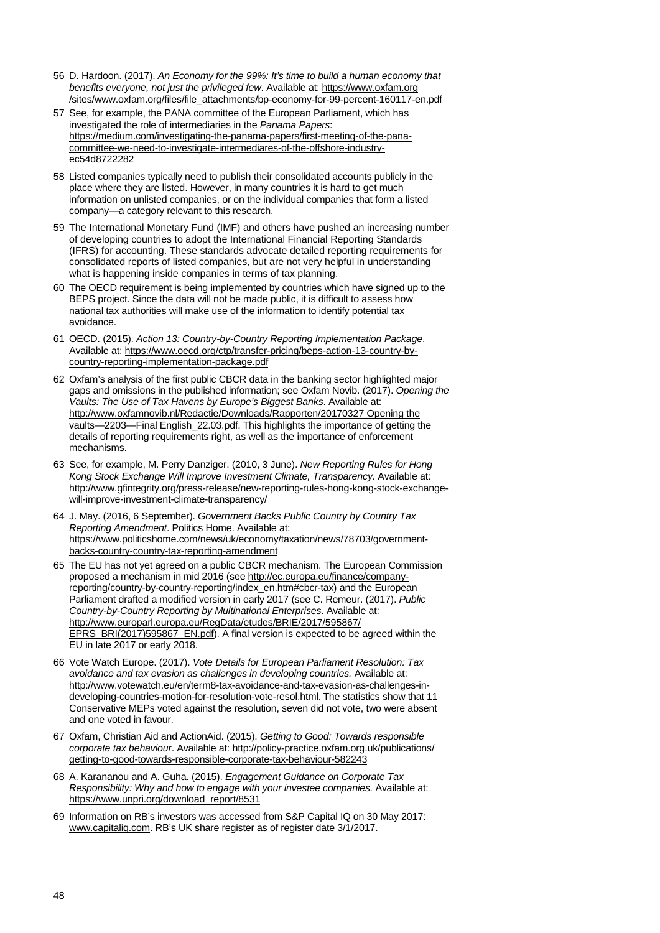- <span id="page-47-0"></span>56 D. Hardoon. (2017). *An Economy for the 99%: It's time to build a human economy that benefits everyone, not just the privileged few*. Available at[: https://www.oxfam.org](https://www.oxfam.org/sites/www.oxfam.org/files/file_attachments/bp-economy-for-99-percent-160117-en.pdf) [/sites/www.oxfam.org/files/file\\_attachments/bp-economy-for-99-percent-160117-en.pdf](https://www.oxfam.org/sites/www.oxfam.org/files/file_attachments/bp-economy-for-99-percent-160117-en.pdf)
- <span id="page-47-1"></span>57 See, for example, the PANA committee of the European Parliament, which has investigated the role of intermediaries in the *Panama Papers*: [https://medium.com/investigating-the-panama-papers/first-meeting-of-the-pana](https://medium.com/investigating-the-panama-papers/first-meeting-of-the-pana-committee-we-need-to-investigate-intermediares-of-the-offshore-industry-ec54d8722282)[committee-we-need-to-investigate-intermediares-of-the-offshore-industry](https://medium.com/investigating-the-panama-papers/first-meeting-of-the-pana-committee-we-need-to-investigate-intermediares-of-the-offshore-industry-ec54d8722282)[ec54d8722282](https://medium.com/investigating-the-panama-papers/first-meeting-of-the-pana-committee-we-need-to-investigate-intermediares-of-the-offshore-industry-ec54d8722282)
- <span id="page-47-2"></span>58 Listed companies typically need to publish their consolidated accounts publicly in the place where they are listed. However, in many countries it is hard to get much information on unlisted companies, or on the individual companies that form a listed company—a category relevant to this research.
- <span id="page-47-3"></span>59 The International Monetary Fund (IMF) and others have pushed an increasing number of developing countries to adopt the International Financial Reporting Standards (IFRS) for accounting. These standards advocate detailed reporting requirements for consolidated reports of listed companies, but are not very helpful in understanding what is happening inside companies in terms of tax planning.
- <span id="page-47-4"></span>60 The OECD requirement is being implemented by countries which have signed up to the BEPS project. Since the data will not be made public, it is difficult to assess how national tax authorities will make use of the information to identify potential tax avoidance.
- <span id="page-47-5"></span>61 OECD. (2015). *Action 13: Country-by-Country Reporting Implementation Package*. Available at[: https://www.oecd.org/ctp/transfer-pricing/beps-action-13-country-by](https://www.oecd.org/ctp/transfer-pricing/beps-action-13-country-by-country-reporting-implementation-package.pdf)[country-reporting-implementation-package.pdf](https://www.oecd.org/ctp/transfer-pricing/beps-action-13-country-by-country-reporting-implementation-package.pdf)
- <span id="page-47-6"></span>62 Oxfam's analysis of the first public CBCR data in the banking sector highlighted major gaps and omissions in the published information; see Oxfam Novib. (2017). *Opening the Vaults: The Use of Tax Havens by Europe's Biggest Banks*. Available at: [http://www.oxfamnovib.nl/Redactie/Downloads/Rapporten/20170327 Opening the](http://www.oxfamnovib.nl/Redactie/Downloads/Rapporten/20170327%20Opening%20the%20vaults%20-%202203%20-%20Final%20English_22.03.pdf)  [vaults—2203—Final English\\_22.03.pdf.](http://www.oxfamnovib.nl/Redactie/Downloads/Rapporten/20170327%20Opening%20the%20vaults%20-%202203%20-%20Final%20English_22.03.pdf) This highlights the importance of getting the details of reporting requirements right, as well as the importance of enforcement mechanisms.
- <span id="page-47-7"></span>63 See, for example, M. Perry Danziger. (2010, 3 June). *New Reporting Rules for Hong Kong Stock Exchange Will Improve Investment Climate, Transparency.* Available at: [http://www.gfintegrity.org/press-release/new-reporting-rules-hong-kong-stock-exchange](http://www.gfintegrity.org/press-release/new-reporting-rules-hong-kong-stock-exchange-will-improve-investment-climate-transparency/)[will-improve-investment-climate-transparency/](http://www.gfintegrity.org/press-release/new-reporting-rules-hong-kong-stock-exchange-will-improve-investment-climate-transparency/)
- <span id="page-47-8"></span>64 J. May. (2016, 6 September). *Government Backs Public Country by Country Tax Reporting Amendment*. Politics Home. Available at: [https://www.politicshome.com/news/uk/economy/taxation/news/78703/government](https://www.politicshome.com/news/uk/economy/taxation/news/78703/government-backs-country-country-tax-reporting-amendment)[backs-country-country-tax-reporting-amendment](https://www.politicshome.com/news/uk/economy/taxation/news/78703/government-backs-country-country-tax-reporting-amendment)
- <span id="page-47-9"></span>65 The EU has not yet agreed on a public CBCR mechanism. The European Commission proposed a mechanism in mid 2016 (se[e http://ec.europa.eu/finance/company](http://ec.europa.eu/finance/company-reporting/country-by-country-reporting/index_en.htm#cbcr-tax)[reporting/country-by-country-reporting/index\\_en.htm#cbcr-tax\)](http://ec.europa.eu/finance/company-reporting/country-by-country-reporting/index_en.htm#cbcr-tax) and the European Parliament drafted a modified version in early 2017 (see C. Remeur. (2017). *Public Country-by-Country Reporting by Multinational Enterprises*. Available at: [http://www.europarl.europa.eu/RegData/etudes/BRIE/2017/595867/](http://www.europarl.europa.eu/RegData/etudes/BRIE/2017/595867/EPRS_BRI(2017)595867_EN.pdf) [EPRS\\_BRI\(2017\)595867\\_EN.pdf\)](http://www.europarl.europa.eu/RegData/etudes/BRIE/2017/595867/EPRS_BRI(2017)595867_EN.pdf). A final version is expected to be agreed within the EU in late 2017 or early 2018.
- <span id="page-47-10"></span>66 Vote Watch Europe. (2017). *Vote Details for European Parliament Resolution: Tax avoidance and tax evasion as challenges in developing countries.* Available at: [http://www.votewatch.eu/en/term8-tax-avoidance-and-tax-evasion-as-challenges-in](http://www.votewatch.eu/en/term8-tax-avoidance-and-tax-evasion-as-challenges-in-developing-countries-motion-for-resolution-vote-resol.html#/)[developing-countries-motion-for-resolution-vote-resol.html.](http://www.votewatch.eu/en/term8-tax-avoidance-and-tax-evasion-as-challenges-in-developing-countries-motion-for-resolution-vote-resol.html#/) The statistics show that 11 Conservative MEPs voted against the resolution, seven did not vote, two were absent and one voted in favour.
- <span id="page-47-11"></span>67 Oxfam, Christian Aid and ActionAid. (2015). *Getting to Good: Towards responsible corporate tax behaviour*. Available at[: http://policy-practice.oxfam.org.uk/publications/](http://policy-practice.oxfam.org.uk/publications/getting-to-good-towards-responsible-corporate-tax-behaviour-582243) [getting-to-good-towards-responsible-corporate-tax-behaviour-582243](http://policy-practice.oxfam.org.uk/publications/getting-to-good-towards-responsible-corporate-tax-behaviour-582243)
- <span id="page-47-12"></span>68 A. Karananou and A. Guha. (2015). *Engagement Guidance on Corporate Tax Responsibility: Why and how to engage with your investee companies.* Available at: [https://www.unpri.org/download\\_report/8531](https://www.unpri.org/download_report/8531)
- <span id="page-47-13"></span>69 Information on RB's investors was accessed from S&P Capital IQ on 30 May 2017: www.capitaliq.com. RB's UK share register as of register date 3/1/2017.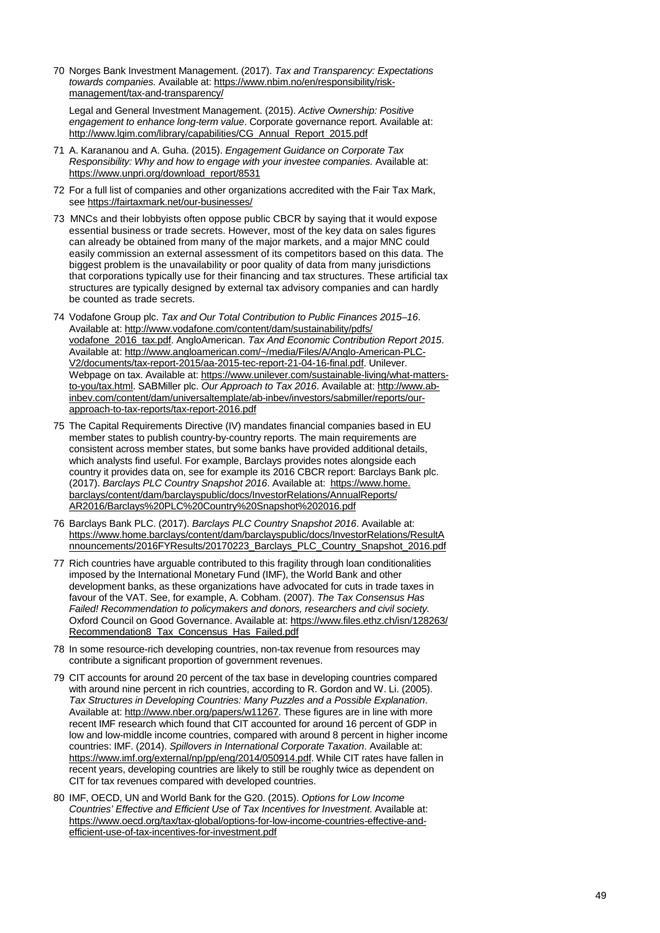<span id="page-48-0"></span>70 Norges Bank Investment Management. (2017). *Tax and Transparency: Expectations towards companies.* Available at: [https://www.nbim.no/en/responsibility/risk](https://www.nbim.no/en/responsibility/risk-management/tax-and-transparency/)[management/tax-and-transparency/](https://www.nbim.no/en/responsibility/risk-management/tax-and-transparency/)

Legal and General Investment Management. (2015). *Active Ownership: Positive engagement to enhance long-term value*. Corporate governance report. Available at: [http://www.lgim.com/library/capabilities/CG\\_Annual\\_Report\\_2015.pdf](http://www.lgim.com/library/capabilities/CG_Annual_Report_2015.pdf)

- <span id="page-48-1"></span>71 A. Karananou and A. Guha. (2015). *Engagement Guidance on Corporate Tax Responsibility: Why and how to engage with your investee companies.* Available at: [https://www.unpri.org/download\\_report/8531](https://www.unpri.org/download_report/8531)
- <span id="page-48-2"></span>72 For a full list of companies and other organizations accredited with the Fair Tax Mark, see<https://fairtaxmark.net/our-businesses/>
- <span id="page-48-3"></span>73 MNCs and their lobbyists often oppose public CBCR by saying that it would expose essential business or trade secrets. However, most of the key data on sales figures can already be obtained from many of the major markets, and a major MNC could easily commission an external assessment of its competitors based on this data. The biggest problem is the unavailability or poor quality of data from many jurisdictions that corporations typically use for their financing and tax structures. These artificial tax structures are typically designed by external tax advisory companies and can hardly be counted as trade secrets.
- <span id="page-48-4"></span>74 Vodafone Group plc. *Tax and Our Total Contribution to Public Finances 2015–16*. Available at[: http://www.vodafone.com/content/dam/sustainability/pdfs/](http://www.vodafone.com/content/dam/sustainability/pdfs/vodafone_2016_tax.pdf) [vodafone\\_2016\\_tax.pdf.](http://www.vodafone.com/content/dam/sustainability/pdfs/vodafone_2016_tax.pdf) AngloAmerican. *Tax And Economic Contribution Report 2015*. Available at[: http://www.angloamerican.com/~/media/Files/A/Anglo-American-PLC-](http://www.angloamerican.com/%7E/media/Files/A/Anglo-American-PLC-V2/documents/tax-report-2015/aa-2015-tec-report-21-04-16-final.pdf)[V2/documents/tax-report-2015/aa-2015-tec-report-21-04-16-final.pdf.](http://www.angloamerican.com/%7E/media/Files/A/Anglo-American-PLC-V2/documents/tax-report-2015/aa-2015-tec-report-21-04-16-final.pdf) Unilever. Webpage on tax. Available at[: https://www.unilever.com/sustainable-living/what-matters](https://www.unilever.com/sustainable-living/what-matters-to-you/tax.html)[to-you/tax.html.](https://www.unilever.com/sustainable-living/what-matters-to-you/tax.html) SABMiller plc. *Our Approach to Tax 2016*. Available at[: http://www.ab](http://www.ab-inbev.com/content/dam/universaltemplate/ab-inbev/investors/sabmiller/reports/our-approach-to-tax-reports/tax-report-2016.pdf)[inbev.com/content/dam/universaltemplate/ab-inbev/investors/sabmiller/reports/our](http://www.ab-inbev.com/content/dam/universaltemplate/ab-inbev/investors/sabmiller/reports/our-approach-to-tax-reports/tax-report-2016.pdf)[approach-to-tax-reports/tax-report-2016.pdf](http://www.ab-inbev.com/content/dam/universaltemplate/ab-inbev/investors/sabmiller/reports/our-approach-to-tax-reports/tax-report-2016.pdf)
- <span id="page-48-5"></span>75 The Capital Requirements Directive (IV) mandates financial companies based in EU member states to publish country-by-country reports. The main requirements are consistent across member states, but some banks have provided additional details, which analysts find useful. For example, Barclays provides notes alongside each country it provides data on, see for example its 2016 CBCR report: Barclays Bank plc. (2017). *Barclays PLC Country Snapshot 2016*. Available at: [https://www.home.](https://www.home.barclays/content/dam/barclayspublic/docs/InvestorRelations/AnnualReports/AR2016/Barclays%20PLC%20Country%20Snapshot%202016.pdf) [barclays/content/dam/barclayspublic/docs/InvestorRelations/AnnualReports/](https://www.home.barclays/content/dam/barclayspublic/docs/InvestorRelations/AnnualReports/AR2016/Barclays%20PLC%20Country%20Snapshot%202016.pdf) [AR2016/Barclays%20PLC%20Country%20Snapshot%202016.pdf](https://www.home.barclays/content/dam/barclayspublic/docs/InvestorRelations/AnnualReports/AR2016/Barclays%20PLC%20Country%20Snapshot%202016.pdf)
- <span id="page-48-6"></span>76 Barclays Bank PLC. (2017). *Barclays PLC Country Snapshot 2016*. Available at: [https://www.home.barclays/content/dam/barclayspublic/docs/InvestorRelations/ResultA](https://www.home.barclays/content/dam/barclayspublic/docs/InvestorRelations/ResultAnnouncements/2016FYResults/20170223_Barclays_PLC_Country_Snapshot_2016.pdf) [nnouncements/2016FYResults/20170223\\_Barclays\\_PLC\\_Country\\_Snapshot\\_2016.pdf](https://www.home.barclays/content/dam/barclayspublic/docs/InvestorRelations/ResultAnnouncements/2016FYResults/20170223_Barclays_PLC_Country_Snapshot_2016.pdf)
- <span id="page-48-7"></span>77 Rich countries have arguable contributed to this fragility through loan conditionalities imposed by the International Monetary Fund (IMF), the World Bank and other development banks, as these organizations have advocated for cuts in trade taxes in favour of the VAT. See, for example, A. Cobham. (2007). *The Tax Consensus Has Failed! Recommendation to policymakers and donors, researchers and civil society.*  Oxford Council on Good Governance. Available at: [https://www.files.ethz.ch/isn/128263/](https://www.files.ethz.ch/isn/128263/Recommendation8_Tax_Concensus_Has_Failed.pdf) [Recommendation8\\_Tax\\_Concensus\\_Has\\_Failed.pdf](https://www.files.ethz.ch/isn/128263/Recommendation8_Tax_Concensus_Has_Failed.pdf)
- <span id="page-48-8"></span>78 In some resource-rich developing countries, non-tax revenue from resources may contribute a significant proportion of government revenues.
- <span id="page-48-9"></span>79 CIT accounts for around 20 percent of the tax base in developing countries compared with around nine percent in rich countries, according to R. Gordon and W. Li. (2005). *Tax Structures in Developing Countries: Many Puzzles and a Possible Explanation*. Available at[: http://www.nber.org/papers/w11267.](http://www.nber.org/papers/w11267) These figures are in line with more recent IMF research which found that CIT accounted for around 16 percent of GDP in low and low-middle income countries, compared with around 8 percent in higher income countries: IMF. (2014). *Spillovers in International Corporate Taxation*. Available at: [https://www.imf.org/external/np/pp/eng/2014/050914.pdf.](https://www.imf.org/external/np/pp/eng/2014/050914.pdf) While CIT rates have fallen in recent years, developing countries are likely to still be roughly twice as dependent on CIT for tax revenues compared with developed countries.
- <span id="page-48-10"></span>80 IMF, OECD, UN and World Bank for the G20. (2015). *Options for Low Income Countries' Effective and Efficient Use of Tax Incentives for Investment*. Available at: [https://www.oecd.org/tax/tax-global/options-for-low-income-countries-effective-and](https://www.oecd.org/tax/tax-global/options-for-low-income-countries-effective-and-efficient-use-of-tax-incentives-for-investment.pdf)[efficient-use-of-tax-incentives-for-investment.pdf](https://www.oecd.org/tax/tax-global/options-for-low-income-countries-effective-and-efficient-use-of-tax-incentives-for-investment.pdf)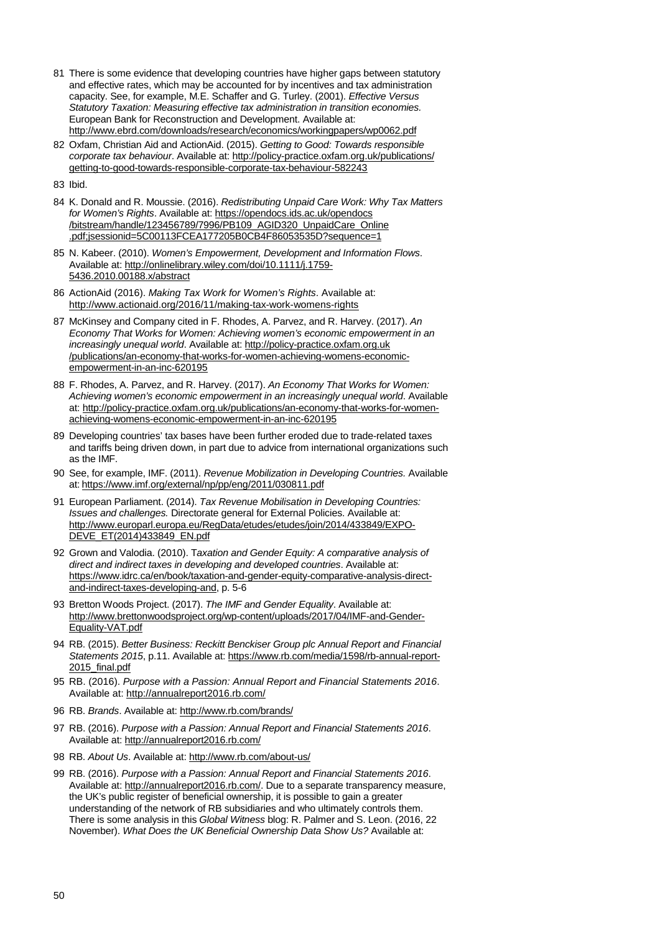- <span id="page-49-0"></span>81 There is some evidence that developing countries have higher gaps between statutory and effective rates, which may be accounted for by incentives and tax administration capacity. See, for example, M.E. Schaffer and G. Turley. (2001). *Effective Versus Statutory Taxation: Measuring effective tax administration in transition economies.*  European Bank for Reconstruction and Development. Available at: <http://www.ebrd.com/downloads/research/economics/workingpapers/wp0062.pdf>
- <span id="page-49-1"></span>82 Oxfam, Christian Aid and ActionAid. (2015). *Getting to Good: Towards responsible corporate tax behaviour*. Available at[: http://policy-practice.oxfam.org.uk/publications/](http://policy-practice.oxfam.org.uk/publications/getting-to-good-towards-responsible-corporate-tax-behaviour-582243) [getting-to-good-towards-responsible-corporate-tax-behaviour-582243](http://policy-practice.oxfam.org.uk/publications/getting-to-good-towards-responsible-corporate-tax-behaviour-582243)
- <span id="page-49-2"></span>83 Ibid.
- <span id="page-49-3"></span>84 K. Donald and R. Moussie. (2016). *Redistributing Unpaid Care Work: Why Tax Matters for Women's Rights*. Available at: [https://opendocs.ids.ac.uk/opendocs](https://opendocs.ids.ac.uk/opendocs/bitstream/handle/123456789/7996/PB109_AGID320_UnpaidCare_Online.pdf;jsessionid=5C00113FCEA177205B0CB4F86053535D?sequence=1) [/bitstream/handle/123456789/7996/PB109\\_AGID320\\_UnpaidCare\\_Online](https://opendocs.ids.ac.uk/opendocs/bitstream/handle/123456789/7996/PB109_AGID320_UnpaidCare_Online.pdf;jsessionid=5C00113FCEA177205B0CB4F86053535D?sequence=1) [.pdf;jsessionid=5C00113FCEA177205B0CB4F86053535D?sequence=1](https://opendocs.ids.ac.uk/opendocs/bitstream/handle/123456789/7996/PB109_AGID320_UnpaidCare_Online.pdf;jsessionid=5C00113FCEA177205B0CB4F86053535D?sequence=1)
- <span id="page-49-4"></span>85 N. Kabeer. (2010). *Women's Empowerment, Development and Information Flows*. Available at[: http://onlinelibrary.wiley.com/doi/10.1111/j.1759-](http://onlinelibrary.wiley.com/doi/10.1111/j.1759-5436.2010.00188.x/abstract) [5436.2010.00188.x/abstract](http://onlinelibrary.wiley.com/doi/10.1111/j.1759-5436.2010.00188.x/abstract)
- <span id="page-49-5"></span>86 ActionAid (2016). *Making Tax Work for Women's Rights*. Available at: <http://www.actionaid.org/2016/11/making-tax-work-womens-rights>
- <span id="page-49-6"></span>87 McKinsey and Company cited in F. Rhodes, A. Parvez, and R. Harvey. (2017). *An Economy That Works for Women: Achieving women's economic empowerment in an increasingly unequal world*. Available at: [http://policy-practice.oxfam.org.uk](http://policy-practice.oxfam.org.uk/publications/an-economy-that-works-for-women-achieving-womens-economic-empowerment-in-an-inc-620195) [/publications/an-economy-that-works-for-women-achieving-womens-economic](http://policy-practice.oxfam.org.uk/publications/an-economy-that-works-for-women-achieving-womens-economic-empowerment-in-an-inc-620195)[empowerment-in-an-inc-620195](http://policy-practice.oxfam.org.uk/publications/an-economy-that-works-for-women-achieving-womens-economic-empowerment-in-an-inc-620195)
- <span id="page-49-7"></span>88 F. Rhodes, A. Parvez, and R. Harvey. (2017). *An Economy That Works for Women: Achieving women's economic empowerment in an increasingly unequal world*. Available at[: http://policy-practice.oxfam.org.uk/publications/an-economy-that-works-for-women](http://policy-practice.oxfam.org.uk/publications/an-economy-that-works-for-women-achieving-womens-economic-empowerment-in-an-inc-620195)[achieving-womens-economic-empowerment-in-an-inc-620195](http://policy-practice.oxfam.org.uk/publications/an-economy-that-works-for-women-achieving-womens-economic-empowerment-in-an-inc-620195)
- <span id="page-49-8"></span>89 Developing countries' tax bases have been further eroded due to trade-related taxes and tariffs being driven down, in part due to advice from international organizations such as the IMF.
- <span id="page-49-9"></span>90 See, for example, IMF. (2011). *Revenue Mobilization in Developing Countries.* Available at: <https://www.imf.org/external/np/pp/eng/2011/030811.pdf>
- <span id="page-49-10"></span>91 European Parliament. (2014). *Tax Revenue Mobilisation in Developing Countries: Issues and challenges.* Directorate general for External Policies. Available at: [http://www.europarl.europa.eu/RegData/etudes/etudes/join/2014/433849/EXPO-](http://www.europarl.europa.eu/RegData/etudes/etudes/join/2014/433849/EXPO-DEVE_ET(2014)433849_EN.pdf)[DEVE\\_ET\(2014\)433849\\_EN.pdf](http://www.europarl.europa.eu/RegData/etudes/etudes/join/2014/433849/EXPO-DEVE_ET(2014)433849_EN.pdf)
- <span id="page-49-11"></span>92 Grown and Valodia. (2010). T*axation and Gender Equity: A comparative analysis of direct and indirect taxes in developing and developed countries*. Available at: [https://www.idrc.ca/en/book/taxation-and-gender-equity-comparative-analysis-direct](https://www.idrc.ca/en/book/taxation-and-gender-equity-comparative-analysis-direct-and-indirect-taxes-developing-and)[and-indirect-taxes-developing-and,](https://www.idrc.ca/en/book/taxation-and-gender-equity-comparative-analysis-direct-and-indirect-taxes-developing-and) p. 5-6
- <span id="page-49-12"></span>93 Bretton Woods Project. (2017). *The IMF and Gender Equality*. Available at: [http://www.brettonwoodsproject.org/wp-content/uploads/2017/04/IMF-and-Gender-](http://www.brettonwoodsproject.org/wp-content/uploads/2017/04/IMF-and-Gender-Equality-VAT.pdfParticularly)[Equality-VAT.pdf](http://www.brettonwoodsproject.org/wp-content/uploads/2017/04/IMF-and-Gender-Equality-VAT.pdfParticularly)
- <span id="page-49-13"></span>94 RB. (2015). *Better Business: Reckitt Benckiser Group plc Annual Report and Financial Statements 2015*, p.11. Available at: [https://www.rb.com/media/1598/rb-annual-report-](https://www.rb.com/media/1598/rb-annual-report-2015_final.pdf)[2015\\_final.pdf](https://www.rb.com/media/1598/rb-annual-report-2015_final.pdf)
- <span id="page-49-14"></span>95 RB. (2016). *Purpose with a Passion: Annual Report and Financial Statements 2016*. Available at:<http://annualreport2016.rb.com/>
- <span id="page-49-15"></span>96 RB. *Brands*. Available at[: http://www.rb.com/brands/](http://www.rb.com/brands/)
- <span id="page-49-16"></span>97 RB. (2016). *Purpose with a Passion: Annual Report and Financial Statements 2016*. Available at[: http://annualreport2016.rb.com/](http://annualreport2016.rb.com/)
- <span id="page-49-17"></span>98 RB. *About Us*. Available at[: http://www.rb.com/about-us/](http://www.rb.com/about-us/)
- <span id="page-49-18"></span>99 RB. (2016). *Purpose with a Passion: Annual Report and Financial Statements 2016*. Available at[: http://annualreport2016.rb.com/.](http://annualreport2016.rb.com/) Due to a separate transparency measure, the UK's public register of beneficial ownership, it is possible to gain a greater understanding of the network of RB subsidiaries and who ultimately controls them. There is some analysis in this *Global Witness* blog: R. Palmer and S. Leon. (2016, 22 November). *What Does the UK Beneficial Ownership Data Show Us?* Available at: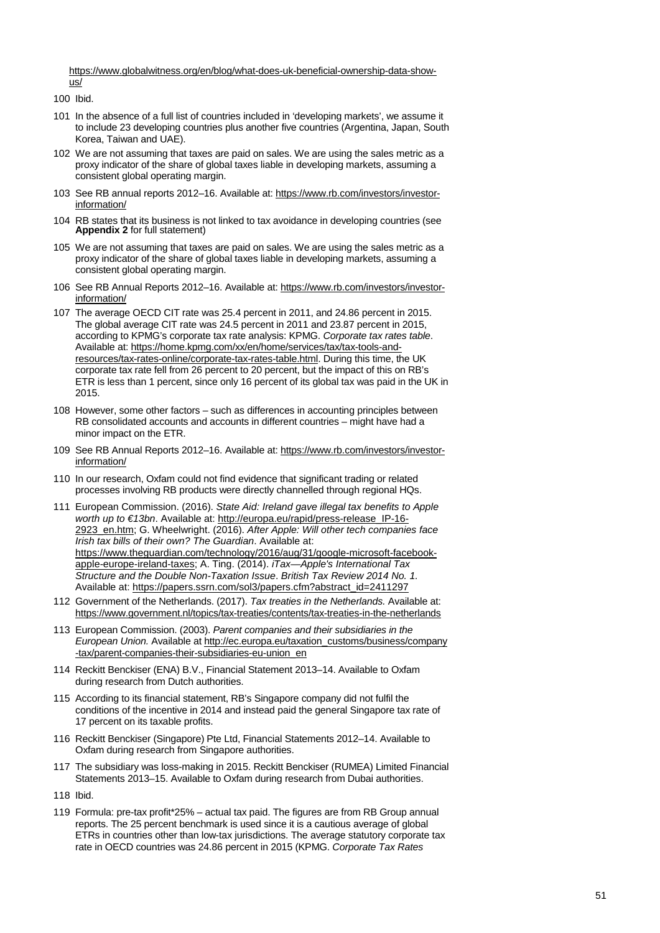[https://www.globalwitness.org/en/blog/what-does-uk-beneficial-ownership-data-show](https://www.globalwitness.org/en/blog/what-does-uk-beneficial-ownership-data-show-us/)[us/](https://www.globalwitness.org/en/blog/what-does-uk-beneficial-ownership-data-show-us/)

- <span id="page-50-0"></span>100 Ibid.
- <span id="page-50-1"></span>101 In the absence of a full list of countries included in 'developing markets', we assume it to include 23 developing countries plus another five countries (Argentina, Japan, South Korea, Taiwan and UAE).
- <span id="page-50-3"></span>102 We are not assuming that taxes are paid on sales. We are using the sales metric as a proxy indicator of the share of global taxes liable in developing markets, assuming a consistent global operating margin.
- <span id="page-50-2"></span>103 See RB annual reports 2012–16. Available at[: https://www.rb.com/investors/investor](https://www.rb.com/investors/investor-information/)[information/](https://www.rb.com/investors/investor-information/)
- <span id="page-50-4"></span>104 RB states that its business is not linked to tax avoidance in developing countries (see **Appendix 2** for full statement)
- <span id="page-50-5"></span>105 We are not assuming that taxes are paid on sales. We are using the sales metric as a proxy indicator of the share of global taxes liable in developing markets, assuming a consistent global operating margin.
- <span id="page-50-6"></span>106 See RB Annual Reports 2012–16. Available at: [https://www.rb.com/investors/investor](https://www.rb.com/investors/investor-information/)[information/](https://www.rb.com/investors/investor-information/)
- <span id="page-50-7"></span>107 The average OECD CIT rate was 25.4 percent in 2011, and 24.86 percent in 2015. The global average CIT rate was 24.5 percent in 2011 and 23.87 percent in 2015, according to KPMG's corporate tax rate analysis: KPMG. *Corporate tax rates table*. Available at: [https://home.kpmg.com/xx/en/home/services/tax/tax-tools-and](https://home.kpmg.com/xx/en/home/services/tax/tax-tools-and-resources/tax-rates-online/corporate-tax-rates-table.html)[resources/tax-rates-online/corporate-tax-rates-table.html.](https://home.kpmg.com/xx/en/home/services/tax/tax-tools-and-resources/tax-rates-online/corporate-tax-rates-table.html) During this time, the UK corporate tax rate fell from 26 percent to 20 percent, but the impact of this on RB's ETR is less than 1 percent, since only 16 percent of its global tax was paid in the UK in 2015.
- <span id="page-50-8"></span>108 However, some other factors – such as differences in accounting principles between RB consolidated accounts and accounts in different countries – might have had a minor impact on the ETR.
- <span id="page-50-9"></span>109 See RB Annual Reports 2012–16. Available at: [https://www.rb.com/investors/investor](https://www.rb.com/investors/investor-information/)[information/](https://www.rb.com/investors/investor-information/)
- <span id="page-50-10"></span>110 In our research, Oxfam could not find evidence that significant trading or related processes involving RB products were directly channelled through regional HQs.
- <span id="page-50-11"></span>111 European Commission. (2016). *State Aid: Ireland gave illegal tax benefits to Apple worth up to €13bn*. Available at[: http://europa.eu/rapid/press-release\\_IP-16-](http://europa.eu/rapid/press-release_IP-16-2923_en.htm) [2923\\_en.htm;](http://europa.eu/rapid/press-release_IP-16-2923_en.htm) G. Wheelwright. (2016). *After Apple: Will other tech companies face Irish tax bills of their own? The Guardian*. Available at: [https://www.theguardian.com/technology/2016/aug/31/google-microsoft-facebook](https://www.theguardian.com/technology/2016/aug/31/google-microsoft-facebook-apple-europe-ireland-taxes)[apple-europe-ireland-taxes;](https://www.theguardian.com/technology/2016/aug/31/google-microsoft-facebook-apple-europe-ireland-taxes) A. Ting. (2014). *iTax—Apple's International Tax Structure and the Double Non-Taxation Issue*. *British Tax Review 2014 No. 1.*  Available at[: https://papers.ssrn.com/sol3/papers.cfm?abstract\\_id=2411297](https://papers.ssrn.com/sol3/papers.cfm?abstract_id=2411297)
- <span id="page-50-12"></span>112 Government of the Netherlands. (2017). *Tax treaties in the Netherlands.* Available at: <https://www.government.nl/topics/tax-treaties/contents/tax-treaties-in-the-netherlands>
- <span id="page-50-13"></span>113 European Commission. (2003). *Parent companies and their subsidiaries in the European Union.* Available a[t http://ec.europa.eu/taxation\\_customs/business/company](http://ec.europa.eu/taxation_customs/business/company-tax/parent-companies-their-subsidiaries-eu-union_en) [-tax/parent-companies-their-subsidiaries-eu-union\\_en](http://ec.europa.eu/taxation_customs/business/company-tax/parent-companies-their-subsidiaries-eu-union_en)
- <span id="page-50-14"></span>114 Reckitt Benckiser (ENA) B.V., Financial Statement 2013–14. Available to Oxfam during research from Dutch authorities.
- <span id="page-50-15"></span>115 According to its financial statement, RB's Singapore company did not fulfil the conditions of the incentive in 2014 and instead paid the general Singapore tax rate of 17 percent on its taxable profits.
- <span id="page-50-16"></span>116 Reckitt Benckiser (Singapore) Pte Ltd, Financial Statements 2012–14. Available to Oxfam during research from Singapore authorities.
- <span id="page-50-18"></span>117 The subsidiary was loss-making in 2015. Reckitt Benckiser (RUMEA) Limited Financial Statements 2013–15. Available to Oxfam during research from Dubai authorities.
- <span id="page-50-17"></span>118 Ibid.
- <span id="page-50-19"></span>119 Formula: pre-tax profit\*25% – actual tax paid. The figures are from RB Group annual reports. The 25 percent benchmark is used since it is a cautious average of global ETRs in countries other than low-tax jurisdictions. The average statutory corporate tax rate in OECD countries was 24.86 percent in 2015 (KPMG. *Corporate Tax Rates*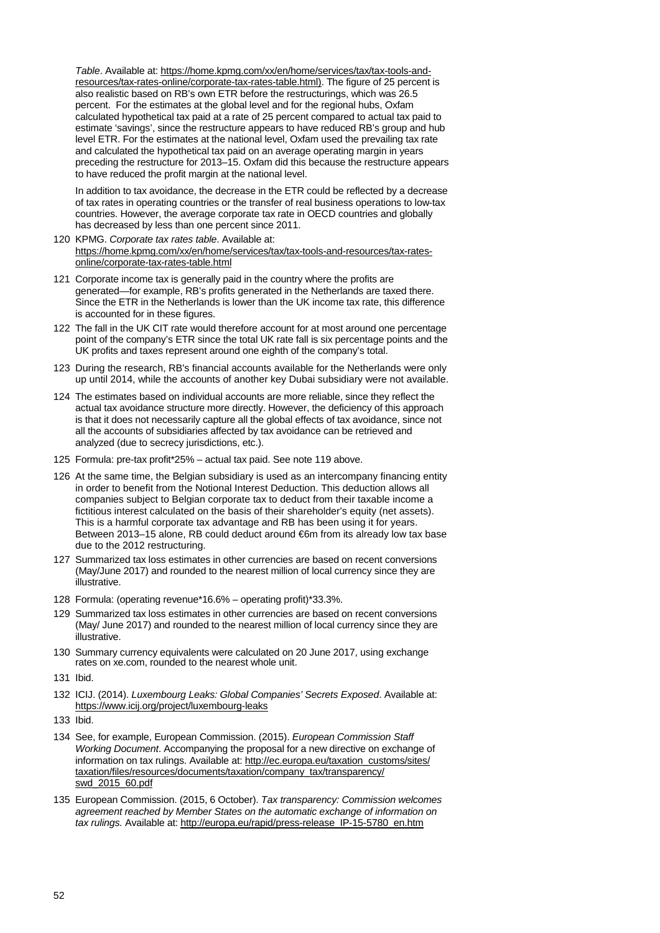*Table*. Available at: [https://home.kpmg.com/xx/en/home/services/tax/tax-tools-and](https://home.kpmg.com/xx/en/home/services/tax/tax-tools-and-resources/tax-rates-online/corporate-tax-rates-table.html))[resources/tax-rates-online/corporate-tax-rates-table.html\).](https://home.kpmg.com/xx/en/home/services/tax/tax-tools-and-resources/tax-rates-online/corporate-tax-rates-table.html)) The figure of 25 percent is also realistic based on RB's own ETR before the restructurings, which was 26.5 percent. For the estimates at the global level and for the regional hubs, Oxfam calculated hypothetical tax paid at a rate of 25 percent compared to actual tax paid to estimate 'savings', since the restructure appears to have reduced RB's group and hub level ETR. For the estimates at the national level, Oxfam used the prevailing tax rate and calculated the hypothetical tax paid on an average operating margin in years preceding the restructure for 2013–15. Oxfam did this because the restructure appears to have reduced the profit margin at the national level.

In addition to tax avoidance, the decrease in the ETR could be reflected by a decrease of tax rates in operating countries or the transfer of real business operations to low-tax countries. However, the average corporate tax rate in OECD countries and globally has decreased by less than one percent since 2011.

- <span id="page-51-0"></span>120 KPMG. *Corporate tax rates table*. Available at: [https://home.kpmg.com/xx/en/home/services/tax/tax-tools-and-resources/tax-rates](https://home.kpmg.com/xx/en/home/services/tax/tax-tools-and-resources/tax-rates-online/corporate-tax-rates-table.html)[online/corporate-tax-rates-table.html](https://home.kpmg.com/xx/en/home/services/tax/tax-tools-and-resources/tax-rates-online/corporate-tax-rates-table.html)
- <span id="page-51-1"></span>121 Corporate income tax is generally paid in the country where the profits are generated—for example, RB's profits generated in the Netherlands are taxed there. Since the ETR in the Netherlands is lower than the UK income tax rate, this difference is accounted for in these figures.
- <span id="page-51-2"></span>122 The fall in the UK CIT rate would therefore account for at most around one percentage point of the company's ETR since the total UK rate fall is six percentage points and the UK profits and taxes represent around one eighth of the company's total.
- <span id="page-51-3"></span>123 During the research, RB's financial accounts available for the Netherlands were only up until 2014, while the accounts of another key Dubai subsidiary were not available.
- <span id="page-51-4"></span>124 The estimates based on individual accounts are more reliable, since they reflect the actual tax avoidance structure more directly. However, the deficiency of this approach is that it does not necessarily capture all the global effects of tax avoidance, since not all the accounts of subsidiaries affected by tax avoidance can be retrieved and analyzed (due to secrecy jurisdictions, etc.).
- <span id="page-51-5"></span>125 Formula: pre-tax profit\*25% – actual tax paid. See note 119 above.
- <span id="page-51-6"></span>126 At the same time, the Belgian subsidiary is used as an intercompany financing entity in order to benefit from the Notional Interest Deduction. This deduction allows all companies subject to Belgian corporate tax to deduct from their taxable income a fictitious interest calculated on the basis of their shareholder's equity (net assets). This is a harmful corporate tax advantage and RB has been using it for years. Between 2013–15 alone, RB could deduct around €6m from its already low tax base due to the 2012 restructuring.
- <span id="page-51-7"></span>127 Summarized tax loss estimates in other currencies are based on recent conversions (May/June 2017) and rounded to the nearest million of local currency since they are illustrative.
- <span id="page-51-8"></span>128 Formula: (operating revenue\*16.6% – operating profit)\*33.3%.
- <span id="page-51-9"></span>129 Summarized tax loss estimates in other currencies are based on recent conversions (May/ June 2017) and rounded to the nearest million of local currency since they are illustrative.
- <span id="page-51-11"></span>130 Summary currency equivalents were calculated on 20 June 2017, using exchange rates on xe.com, rounded to the nearest whole unit.
- <span id="page-51-10"></span>131 Ibid.
- <span id="page-51-12"></span>132 ICIJ. (2014). *Luxembourg Leaks: Global Companies' Secrets Exposed*. Available at: <https://www.icij.org/project/luxembourg-leaks>
- <span id="page-51-13"></span>133 Ibid.
- <span id="page-51-14"></span>134 See, for example, European Commission. (2015). *European Commission Staff Working Document*. Accompanying the proposal for a new directive on exchange of information on tax rulings. Available at: [http://ec.europa.eu/taxation\\_customs/sites/](http://ec.europa.eu/taxation_customs/sites/taxation/files/resources/documents/%E2%80%8Ctaxation/company_tax/transparency/swd_2015_60.pdf) [taxation/files/resources/documents/taxation/company\\_tax/transparency/](http://ec.europa.eu/taxation_customs/sites/taxation/files/resources/documents/%E2%80%8Ctaxation/company_tax/transparency/swd_2015_60.pdf) [swd\\_2015\\_60.pdf](http://ec.europa.eu/taxation_customs/sites/taxation/files/resources/documents/%E2%80%8Ctaxation/company_tax/transparency/swd_2015_60.pdf)
- <span id="page-51-15"></span>135 European Commission. (2015, 6 October). *Tax transparency: Commission welcomes agreement reached by Member States on the automatic exchange of information on tax rulings.* Available at: [http://europa.eu/rapid/press-release\\_IP-15-5780\\_en.htm](http://europa.eu/rapid/press-release_IP-15-5780_en.htm)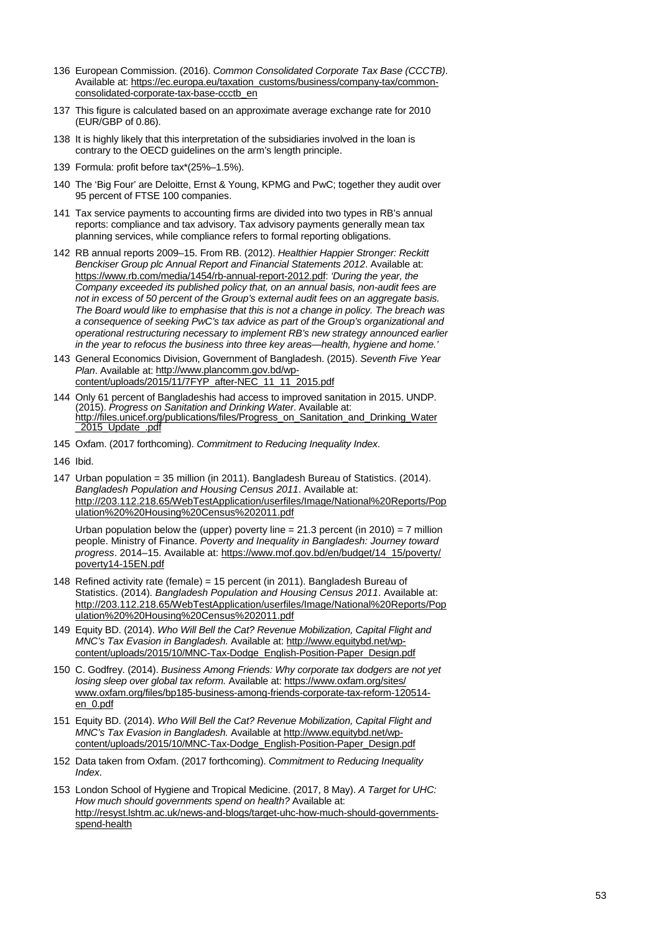- <span id="page-52-0"></span>136 European Commission. (2016). *Common Consolidated Corporate Tax Base (CCCTB)*. Available at: [https://ec.europa.eu/taxation\\_customs/business/company-tax/common](https://ec.europa.eu/taxation_customs/business/company-tax/common-consolidated-corporate-tax-base-ccctb_en)[consolidated-corporate-tax-base-ccctb\\_en](https://ec.europa.eu/taxation_customs/business/company-tax/common-consolidated-corporate-tax-base-ccctb_en)
- <span id="page-52-1"></span>137 This figure is calculated based on an approximate average exchange rate for 2010 (EUR/GBP of 0.86).
- <span id="page-52-2"></span>138 It is highly likely that this interpretation of the subsidiaries involved in the loan is contrary to the OECD guidelines on the arm's length principle.
- <span id="page-52-3"></span>139 Formula: profit before tax\*(25%–1.5%).
- <span id="page-52-4"></span>140 The 'Big Four' are Deloitte, Ernst & Young, KPMG and PwC; together they audit over 95 percent of FTSE 100 companies.
- <span id="page-52-5"></span>141 Tax service payments to accounting firms are divided into two types in RB's annual reports: compliance and tax advisory. Tax advisory payments generally mean tax planning services, while compliance refers to formal reporting obligations.
- <span id="page-52-6"></span>142 RB annual reports 2009–15. From RB. (2012). *Healthier Happier Stronger: Reckitt Benckiser Group plc Annual Report and Financial Statements 2012*. Available at: [https://www.rb.com/media/1454/rb-annual-report-2012.pdf:](https://www.rb.com/media/1454/rb-annual-report-2012.pdf) *'During the year, the Company exceeded its published policy that, on an annual basis, non-audit fees are not in excess of 50 percent of the Group's external audit fees on an aggregate basis. The Board would like to emphasise that this is not a change in policy. The breach was a consequence of seeking PwC's tax advice as part of the Group's organizational and operational restructuring necessary to implement RB's new strategy announced earlier in the year to refocus the business into three key areas—health, hygiene and home.'*
- <span id="page-52-7"></span>143 General Economics Division, Government of Bangladesh. (2015). *Seventh Five Year Plan*. Available at[: http://www.plancomm.gov.bd/wp](http://www.plancomm.gov.bd/wp-content/uploads/2015/11/7FYP_after-NEC_11_11_2015.pdf)[content/uploads/2015/11/7FYP\\_after-NEC\\_11\\_11\\_2015.pdf](http://www.plancomm.gov.bd/wp-content/uploads/2015/11/7FYP_after-NEC_11_11_2015.pdf)
- <span id="page-52-8"></span><sup>144</sup> Only 61 percent of Bangladeshis had access to improved sanitation in 2015. UNDP. (2015). *Progress on Sanitation and Drinking Water*. Available at: [http://files.unicef.org/publications/files/Progress\\_on\\_Sanitation\\_and\\_Drinking\\_Water](http://files.unicef.org/publications/files/%E2%80%8CProgress_on_Sanitation_and_Drinking_Water_2015_Update_.pdf) [\\_2015\\_Update\\_.pdf](http://files.unicef.org/publications/files/%E2%80%8CProgress_on_Sanitation_and_Drinking_Water_2015_Update_.pdf)
- <span id="page-52-9"></span>145 Oxfam. (2017 forthcoming). *Commitment to Reducing Inequality Index*.
- <span id="page-52-10"></span>146 Ibid.
- <span id="page-52-11"></span>147 Urban population = 35 million (in 2011). Bangladesh Bureau of Statistics. (2014). *Bangladesh Population and Housing Census 2011*. Available at: [http://203.112.218.65/WebTestApplication/userfiles/Image/National%20Reports/Pop](http://203.112.218.65/WebTestApplication/userfiles/Image/National%20Reports/Population%20%20Housing%20Census%202011.pdf) [ulation%20%20Housing%20Census%202011.pdf](http://203.112.218.65/WebTestApplication/userfiles/Image/National%20Reports/Population%20%20Housing%20Census%202011.pdf)

Urban population below the (upper) poverty line  $= 21.3$  percent (in 2010)  $= 7$  million people. Ministry of Finance. *Poverty and Inequality in Bangladesh: Journey toward progress*. 2014–15. Available at[: https://www.mof.gov.bd/en/budget/14\\_15/poverty/](https://www.mof.gov.bd/en/budget/14_15/poverty/poverty14-15EN.pdf) [poverty14-15EN.pdf](https://www.mof.gov.bd/en/budget/14_15/poverty/poverty14-15EN.pdf)

- <span id="page-52-12"></span>148 Refined activity rate (female) = 15 percent (in 2011). Bangladesh Bureau of Statistics. (2014). *Bangladesh Population and Housing Census 2011*. Available at: [http://203.112.218.65/WebTestApplication/userfiles/Image/National%20Reports/Pop](http://203.112.218.65/WebTestApplication/userfiles/Image/National%20Reports/Population%20%20Housing%20Census%202011.pdf) [ulation%20%20Housing%20Census%202011.pdf](http://203.112.218.65/WebTestApplication/userfiles/Image/National%20Reports/Population%20%20Housing%20Census%202011.pdf)
- <span id="page-52-13"></span>149 Equity BD. (2014). *Who Will Bell the Cat? Revenue Mobilization, Capital Flight and MNC's Tax Evasion in Bangladesh.* Available at[: http://www.equitybd.net/wp](http://www.equitybd.net/wp-content/uploads/2015/10/MNC-Tax-Dodge_English-Position-Paper_Design.pdf)[content/uploads/2015/10/MNC-Tax-Dodge\\_English-Position-Paper\\_Design.pdf](http://www.equitybd.net/wp-content/uploads/2015/10/MNC-Tax-Dodge_English-Position-Paper_Design.pdf)
- <span id="page-52-14"></span>150 C. Godfrey. (2014). *Business Among Friends: Why corporate tax dodgers are not yet losing sleep over global tax reform.* Available at[: https://www.oxfam.org/sites/](https://www.oxfam.org/sites/www.oxfam.org/files/bp185-business-among-friends-corporate-tax-reform-120514-en_0.pdf) [www.oxfam.org/files/bp185-business-among-friends-corporate-tax-reform-120514](https://www.oxfam.org/sites/www.oxfam.org/files/bp185-business-among-friends-corporate-tax-reform-120514-en_0.pdf) [en\\_0.pdf](https://www.oxfam.org/sites/www.oxfam.org/files/bp185-business-among-friends-corporate-tax-reform-120514-en_0.pdf)
- <span id="page-52-17"></span>151 Equity BD. (2014). *Who Will Bell the Cat? Revenue Mobilization, Capital Flight and MNC's Tax Evasion in Bangladesh.* Available at [http://www.equitybd.net/wp](http://www.equitybd.net/wp-content/uploads/2015/10/MNC-Tax-Dodge_English-Position-Paper_Design.pdf)[content/uploads/2015/10/MNC-Tax-Dodge\\_English-Position-Paper\\_Design.pdf](http://www.equitybd.net/wp-content/uploads/2015/10/MNC-Tax-Dodge_English-Position-Paper_Design.pdf)
- <span id="page-52-15"></span>152 Data taken from Oxfam. (2017 forthcoming). *Commitment to Reducing Inequality Index*.
- <span id="page-52-16"></span>153 London School of Hygiene and Tropical Medicine. (2017, 8 May). *A Target for UHC: How much should governments spend on health?* Available at: [http://resyst.lshtm.ac.uk/news-and-blogs/target-uhc-how-much-should-governments](http://resyst.lshtm.ac.uk/news-and-blogs/target-uhc-how-much-should-governments-spend-health)[spend-health](http://resyst.lshtm.ac.uk/news-and-blogs/target-uhc-how-much-should-governments-spend-health)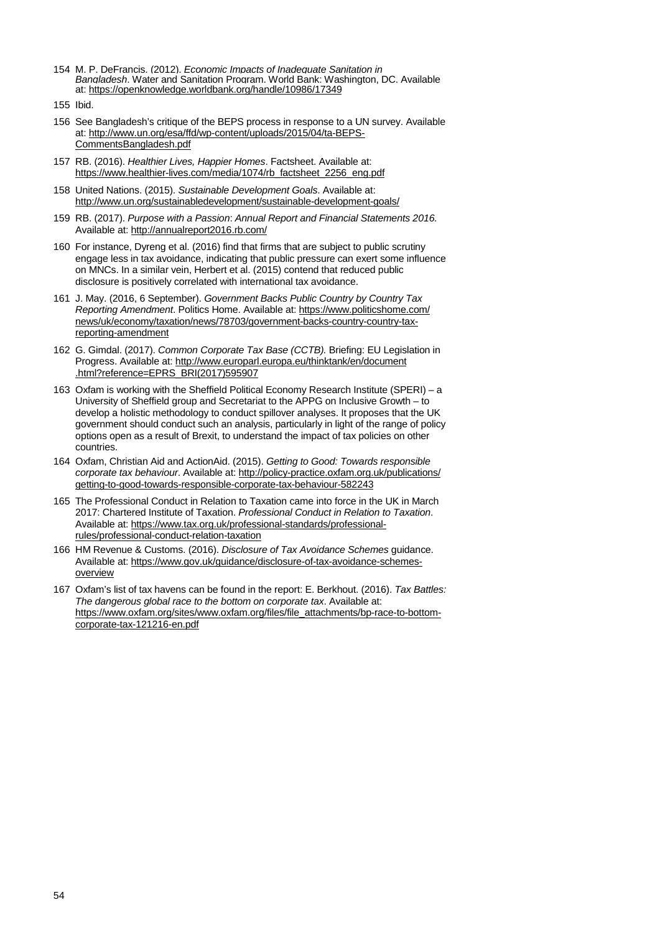- <span id="page-53-0"></span>154 M. P. DeFrancis. (2012). *Economic Impacts of Inadequate Sanitation in Bangladesh*. Water and Sanitation Program. World Bank: Washington, DC. Available at:<https://openknowledge.worldbank.org/handle/10986/17349>
- <span id="page-53-2"></span>155 Ibid.
- <span id="page-53-1"></span>156 See Bangladesh's critique of the BEPS process in response to a UN survey. Available at: [http://www.un.org/esa/ffd/wp-content/uploads/2015/04/ta-BEPS-](http://www.un.org/esa/ffd/wp-content/uploads/2015/04/ta-BEPS-CommentsBangladesh.pdf)[CommentsBangladesh.pdf](http://www.un.org/esa/ffd/wp-content/uploads/2015/04/ta-BEPS-CommentsBangladesh.pdf)
- <span id="page-53-3"></span>157 RB. (2016). *Healthier Lives, Happier Homes*. Factsheet. Available at: [https://www.healthier-lives.com/media/1074/rb\\_factsheet\\_2256\\_eng.pdf](https://www.healthier-lives.com/media/1074/rb_factsheet_2256_eng.pdf)
- <span id="page-53-4"></span>158 United Nations. (2015). *Sustainable Development Goals*. Available at: <http://www.un.org/sustainabledevelopment/sustainable-development-goals/>
- <span id="page-53-5"></span>159 RB. (2017). *Purpose with a Passion*: *Annual Report and Financial Statements 2016.*  Available at:<http://annualreport2016.rb.com/>
- <span id="page-53-6"></span>160 For instance, Dyreng et al. (2016) find that firms that are subject to public scrutiny engage less in tax avoidance, indicating that public pressure can exert some influence on MNCs. In a similar vein, Herbert et al. (2015) contend that reduced public disclosure is positively correlated with international tax avoidance.
- <span id="page-53-7"></span>161 J. May. (2016, 6 September). *Government Backs Public Country by Country Tax Reporting Amendment*. Politics Home. Available at[: https://www.politicshome.com/](https://www.politicshome.com/news/uk/economy/taxation/news/78703/government-backs-country-country-tax-reporting-amendment) [news/uk/economy/taxation/news/78703/government-backs-country-country-tax](https://www.politicshome.com/news/uk/economy/taxation/news/78703/government-backs-country-country-tax-reporting-amendment)[reporting-amendment](https://www.politicshome.com/news/uk/economy/taxation/news/78703/government-backs-country-country-tax-reporting-amendment)
- <span id="page-53-8"></span>162 G. Gimdal. (2017). *Common Corporate Tax Base (CCTB).* Briefing: EU Legislation in Progress. Available at: [http://www.europarl.europa.eu/thinktank/en/document](http://www.europarl.europa.eu/thinktank/en/document.html?reference=EPRS_BRI(2017)595907) [.html?reference=EPRS\\_BRI\(2017\)595907](http://www.europarl.europa.eu/thinktank/en/document.html?reference=EPRS_BRI(2017)595907)
- <span id="page-53-9"></span>163 Oxfam is working with the Sheffield Political Economy Research Institute (SPERI) – a University of Sheffield group and Secretariat to the APPG on Inclusive Growth – to develop a holistic methodology to conduct spillover analyses. It proposes that the UK government should conduct such an analysis, particularly in light of the range of policy options open as a result of Brexit, to understand the impact of tax policies on other countries.
- <span id="page-53-10"></span>164 Oxfam, Christian Aid and ActionAid. (2015). *Getting to Good: Towards responsible corporate tax behaviour*. Available at[: http://policy-practice.oxfam.org.uk/publications/](http://policy-practice.oxfam.org.uk/publications/getting-to-good-towards-responsible-corporate-tax-behaviour-582243) [getting-to-good-towards-responsible-corporate-tax-behaviour-582243](http://policy-practice.oxfam.org.uk/publications/getting-to-good-towards-responsible-corporate-tax-behaviour-582243)
- <span id="page-53-11"></span>165 The Professional Conduct in Relation to Taxation came into force in the UK in March 2017: Chartered Institute of Taxation. *Professional Conduct in Relation to Taxation*. Available at: [https://www.tax.org.uk/professional-standards/professional](https://www.tax.org.uk/professional-standards/professional-rules/professional-conduct-relation-taxation)[rules/professional-conduct-relation-taxation](https://www.tax.org.uk/professional-standards/professional-rules/professional-conduct-relation-taxation)
- <span id="page-53-12"></span>166 HM Revenue & Customs. (2016). *Disclosure of Tax Avoidance Schemes* guidance. Available at: [https://www.gov.uk/guidance/disclosure-of-tax-avoidance-schemes](https://www.gov.uk/guidance/disclosure-of-tax-avoidance-schemes-overview)[overview](https://www.gov.uk/guidance/disclosure-of-tax-avoidance-schemes-overview)
- <span id="page-53-13"></span>167 Oxfam's list of tax havens can be found in the report: E. Berkhout. (2016). *Tax Battles: The dangerous global race to the bottom on corporate tax*. Available at: [https://www.oxfam.org/sites/www.oxfam.org/files/file\\_attachments/bp-race-to-bottom](https://www.oxfam.org/sites/www.oxfam.org/files/file_attachments/bp-race-to-bottom-corporate-tax-121216-en.pdf)[corporate-tax-121216-en.pdf](https://www.oxfam.org/sites/www.oxfam.org/files/file_attachments/bp-race-to-bottom-corporate-tax-121216-en.pdf)